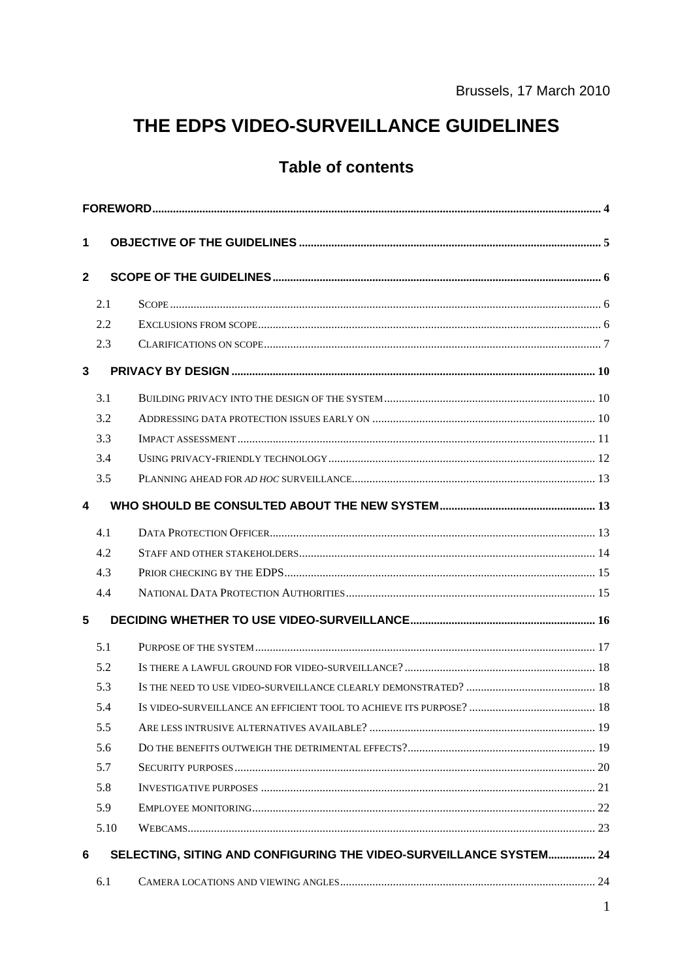# THE EDPS VIDEO-SURVEILLANCE GUIDELINES

## **Table of contents**

| 1            |      |                                                                    |  |  |  |  |  |
|--------------|------|--------------------------------------------------------------------|--|--|--|--|--|
| $\mathbf{2}$ |      |                                                                    |  |  |  |  |  |
|              | 2.1  |                                                                    |  |  |  |  |  |
|              | 2.2  |                                                                    |  |  |  |  |  |
|              | 2.3  |                                                                    |  |  |  |  |  |
| 3            |      |                                                                    |  |  |  |  |  |
|              | 3.1  |                                                                    |  |  |  |  |  |
|              | 3.2  |                                                                    |  |  |  |  |  |
|              | 3.3  |                                                                    |  |  |  |  |  |
|              | 3.4  |                                                                    |  |  |  |  |  |
|              | 3.5  |                                                                    |  |  |  |  |  |
| 4            |      |                                                                    |  |  |  |  |  |
|              | 4.1  |                                                                    |  |  |  |  |  |
|              | 4.2  |                                                                    |  |  |  |  |  |
|              | 4.3  |                                                                    |  |  |  |  |  |
|              | 4.4  |                                                                    |  |  |  |  |  |
| 5            |      |                                                                    |  |  |  |  |  |
|              | 5.1  |                                                                    |  |  |  |  |  |
|              | 5.2  |                                                                    |  |  |  |  |  |
|              | 5.3  |                                                                    |  |  |  |  |  |
|              | 5.4  |                                                                    |  |  |  |  |  |
|              | 5.5  |                                                                    |  |  |  |  |  |
|              | 5.6  |                                                                    |  |  |  |  |  |
|              | 5.7  |                                                                    |  |  |  |  |  |
|              | 5.8  |                                                                    |  |  |  |  |  |
|              | 5.9  |                                                                    |  |  |  |  |  |
|              | 5.10 |                                                                    |  |  |  |  |  |
| 6            |      | SELECTING, SITING AND CONFIGURING THE VIDEO-SURVEILLANCE SYSTEM 24 |  |  |  |  |  |
|              | 6.1  |                                                                    |  |  |  |  |  |
|              |      |                                                                    |  |  |  |  |  |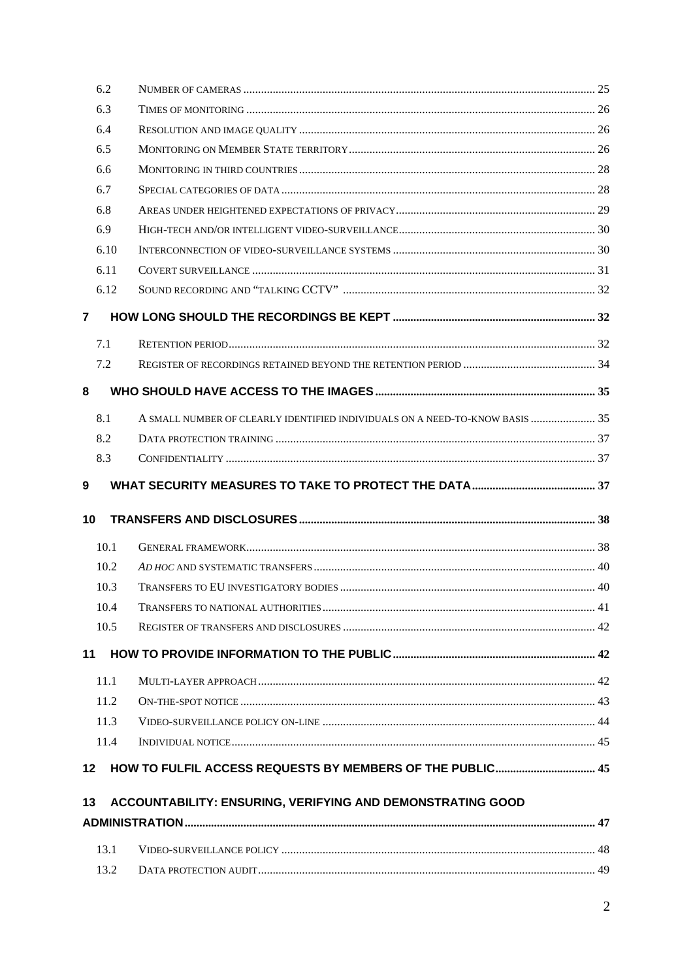|                | 6.2  |                                                                              |  |
|----------------|------|------------------------------------------------------------------------------|--|
|                | 6.3  |                                                                              |  |
|                | 6.4  |                                                                              |  |
|                | 6.5  |                                                                              |  |
|                | 6.6  |                                                                              |  |
|                | 6.7  |                                                                              |  |
|                | 6.8  |                                                                              |  |
|                | 6.9  |                                                                              |  |
|                | 6.10 |                                                                              |  |
|                | 6.11 |                                                                              |  |
|                | 6.12 |                                                                              |  |
| $\overline{7}$ |      |                                                                              |  |
|                | 7.1  |                                                                              |  |
|                | 7.2  |                                                                              |  |
| 8              |      |                                                                              |  |
|                | 8.1  | A SMALL NUMBER OF CLEARLY IDENTIFIED INDIVIDUALS ON A NEED-TO-KNOW BASIS  35 |  |
|                | 8.2  |                                                                              |  |
|                | 8.3  |                                                                              |  |
| 9              |      |                                                                              |  |
| 10             |      |                                                                              |  |
|                | 10.1 |                                                                              |  |
|                | 10.2 |                                                                              |  |
|                | 10.3 |                                                                              |  |
|                | 10.4 |                                                                              |  |
|                | 10.5 |                                                                              |  |
| 11             |      |                                                                              |  |
|                | 11.1 |                                                                              |  |
|                | 11.2 |                                                                              |  |
|                | 11.3 |                                                                              |  |
|                | 11.4 |                                                                              |  |
| $12 \,$        |      |                                                                              |  |
| 13             |      | ACCOUNTABILITY: ENSURING, VERIFYING AND DEMONSTRATING GOOD                   |  |
|                |      |                                                                              |  |
|                | 13.1 |                                                                              |  |
|                | 13.2 |                                                                              |  |
|                |      |                                                                              |  |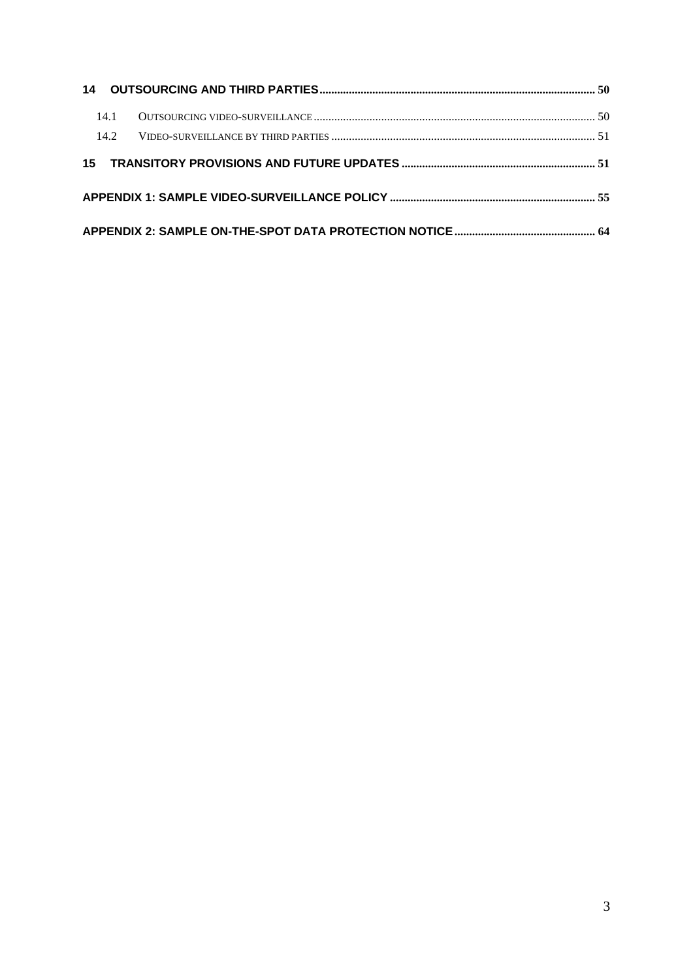|  | 14.1 |  |  |  |
|--|------|--|--|--|
|  | 14.2 |  |  |  |
|  |      |  |  |  |
|  |      |  |  |  |
|  |      |  |  |  |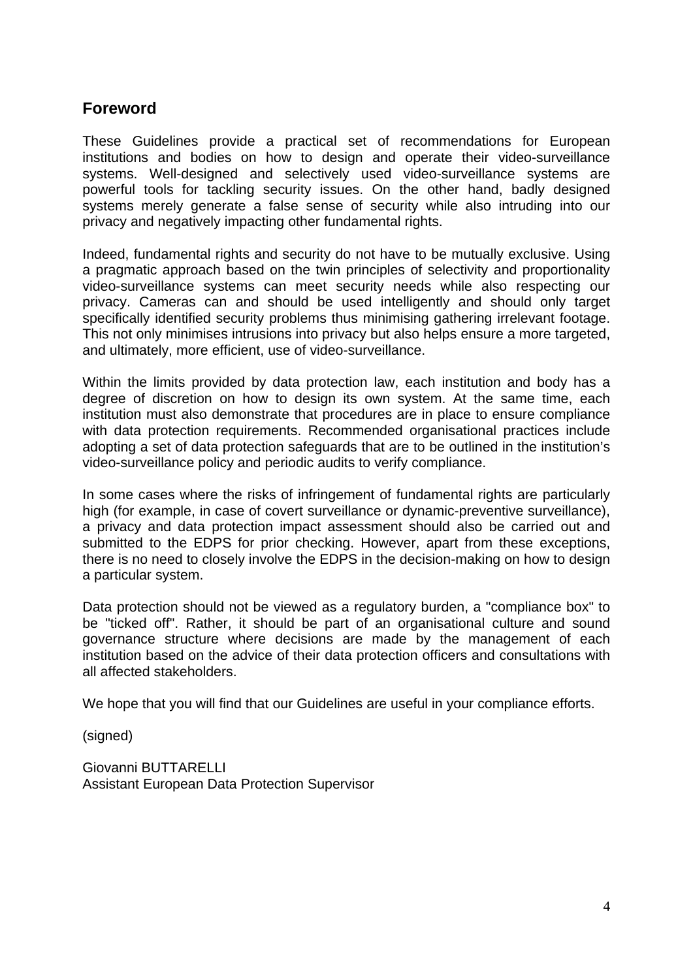## <span id="page-3-0"></span>**Foreword**

These Guidelines provide a practical set of recommendations for European institutions and bodies on how to design and operate their video-surveillance systems. Well-designed and selectively used video-surveillance systems are powerful tools for tackling security issues. On the other hand, badly designed systems merely generate a false sense of security while also intruding into our privacy and negatively impacting other fundamental rights.

Indeed, fundamental rights and security do not have to be mutually exclusive. Using a pragmatic approach based on the twin principles of selectivity and proportionality video-surveillance systems can meet security needs while also respecting our privacy. Cameras can and should be used intelligently and should only target specifically identified security problems thus minimising gathering irrelevant footage. This not only minimises intrusions into privacy but also helps ensure a more targeted, and ultimately, more efficient, use of video-surveillance.

Within the limits provided by data protection law, each institution and body has a degree of discretion on how to design its own system. At the same time, each institution must also demonstrate that procedures are in place to ensure compliance with data protection requirements. Recommended organisational practices include adopting a set of data protection safeguards that are to be outlined in the institution's video-surveillance policy and periodic audits to verify compliance.

In some cases where the risks of infringement of fundamental rights are particularly high (for example, in case of covert surveillance or dynamic-preventive surveillance), a privacy and data protection impact assessment should also be carried out and submitted to the EDPS for prior checking. However, apart from these exceptions, there is no need to closely involve the EDPS in the decision-making on how to design a particular system.

Data protection should not be viewed as a regulatory burden, a "compliance box" to be "ticked off". Rather, it should be part of an organisational culture and sound governance structure where decisions are made by the management of each institution based on the advice of their data protection officers and consultations with all affected stakeholders.

We hope that you will find that our Guidelines are useful in your compliance efforts.

(signed)

Giovanni BUTTARELLI Assistant European Data Protection Supervisor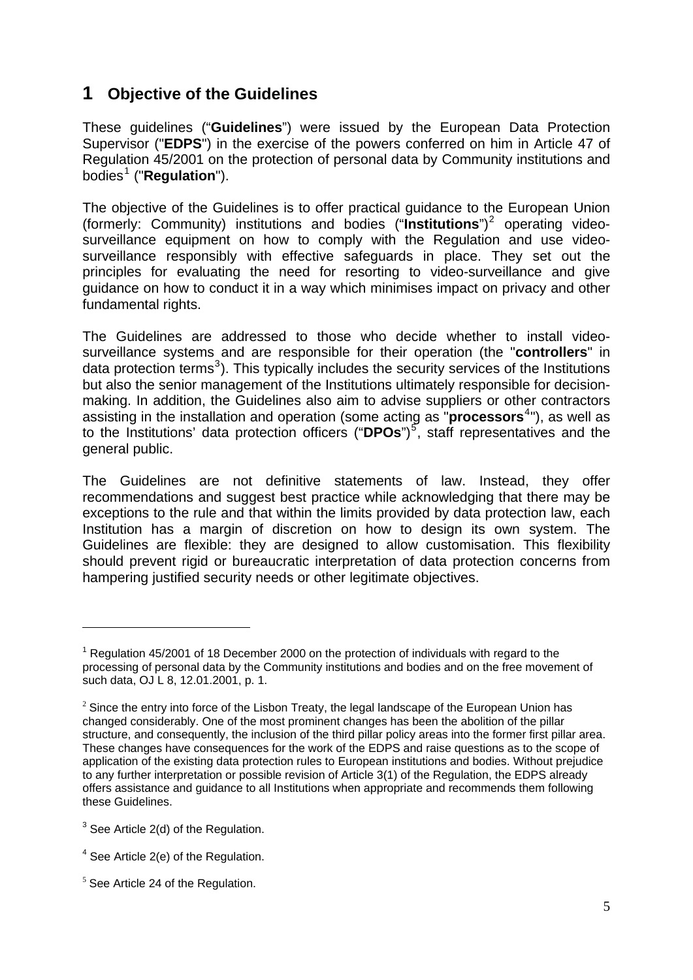## <span id="page-4-0"></span>**1 Objective of the Guidelines**

These guidelines ("**Guidelines**") were issued by the European Data Protection Supervisor ("**EDPS**") in the exercise of the powers conferred on him in Article 47 of Regulation 45/2001 on the protection of personal data by Community institutions and bodies<sup>[1](#page-4-1)</sup> ("**Regulation**").

The objective of the Guidelines is to offer practical guidance to the European Union (formerly: Community) institutions and bodies ("Institutions")<sup>[2](#page-4-2)</sup> operating videosurveillance equipment on how to comply with the Regulation and use videosurveillance responsibly with effective safeguards in place. They set out the principles for evaluating the need for resorting to video-surveillance and give guidance on how to conduct it in a way which minimises impact on privacy and other fundamental rights.

The Guidelines are addressed to those who decide whether to install videosurveillance systems and are responsible for their operation (the "**controllers**" in data protection terms<sup>[3](#page-4-3)</sup>). This typically includes the security services of the Institutions but also the senior management of the Institutions ultimately responsible for decisionmaking. In addition, the Guidelines also aim to advise suppliers or other contractors assisting in the installation and operation (some acting as "**processors**[4](#page-4-4) "), as well as to the Institutions' data protection officers ("DPOs")<sup>[5](#page-4-5)</sup>, staff representatives and the general public.

The Guidelines are not definitive statements of law. Instead, they offer recommendations and suggest best practice while acknowledging that there may be exceptions to the rule and that within the limits provided by data protection law, each Institution has a margin of discretion on how to design its own system. The Guidelines are flexible: they are designed to allow customisation. This flexibility should prevent rigid or bureaucratic interpretation of data protection concerns from hampering justified security needs or other legitimate objectives.

<span id="page-4-1"></span><sup>&</sup>lt;sup>1</sup> Regulation 45/2001 of 18 December 2000 on the protection of individuals with regard to the processing of personal data by the Community institutions and bodies and on the free movement of such data, OJ L 8, 12.01.2001, p. 1.

<span id="page-4-2"></span> $2$  Since the entry into force of the Lisbon Treaty, the legal landscape of the European Union has changed considerably. One of the most prominent changes has been the abolition of the pillar structure, and consequently, the inclusion of the third pillar policy areas into the former first pillar area. These changes have consequences for the work of the EDPS and raise questions as to the scope of application of the existing data protection rules to European institutions and bodies. Without prejudice to any further interpretation or possible revision of Article 3(1) of the Regulation, the EDPS already offers assistance and guidance to all Institutions when appropriate and recommends them following these Guidelines.

<span id="page-4-3"></span> $3$  See Article 2(d) of the Regulation.

<span id="page-4-4"></span><sup>4</sup> See Article 2(e) of the Regulation.

<span id="page-4-5"></span> $<sup>5</sup>$  See Article 24 of the Regulation.</sup>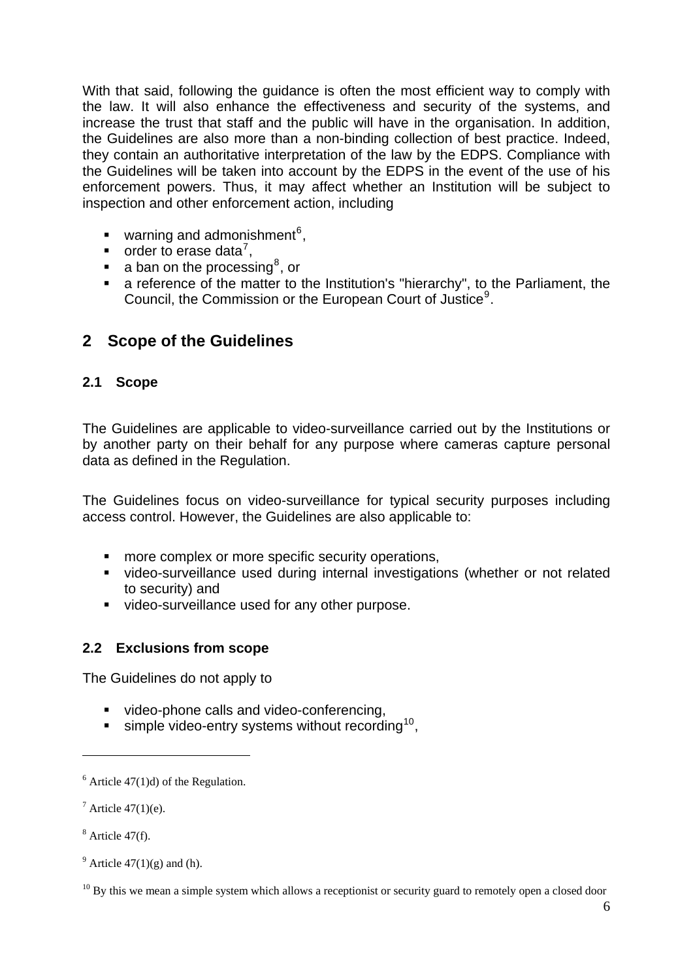With that said, following the guidance is often the most efficient way to comply with the law. It will also enhance the effectiveness and security of the systems, and increase the trust that staff and the public will have in the organisation. In addition, the Guidelines are also more than a non-binding collection of best practice. Indeed, they contain an authoritative interpretation of the law by the EDPS. Compliance with the Guidelines will be taken into account by the EDPS in the event of the use of his enforcement powers. Thus, it may affect whether an Institution will be subject to inspection and other enforcement action, including

- $\blacksquare$  warning and admonishment<sup>[6](#page-5-3)</sup>,
- $\blacksquare$  order to erase data<sup>[7](#page-5-4)</sup>,
- $\blacksquare$  a ban on the processing<sup>[8](#page-5-5)</sup>, or
- a reference of the matter to the Institution's "hierarchy", to the Parliament, the Council, the Commission or the European Court of Justice<sup>[9](#page-5-6)</sup>.

## <span id="page-5-0"></span>**2 Scope of the Guidelines**

## <span id="page-5-1"></span>**2.1 Scope**

The Guidelines are applicable to video-surveillance carried out by the Institutions or by another party on their behalf for any purpose where cameras capture personal data as defined in the Regulation.

The Guidelines focus on video-surveillance for typical security purposes including access control. However, the Guidelines are also applicable to:

- **nore complex or more specific security operations,**
- video-surveillance used during internal investigations (whether or not related to security) and
- video-surveillance used for any other purpose.

### <span id="page-5-2"></span>**2.2 Exclusions from scope**

The Guidelines do not apply to

- video-phone calls and video-conferencing.
- simple video-entry systems without recording<sup>[10](#page-5-7)</sup>,

<span id="page-5-3"></span> $6$  Article 47(1)d) of the Regulation.

<span id="page-5-4"></span> $^7$  Article 47(1)(e).

<span id="page-5-5"></span> $8$  Article 47(f).

<span id="page-5-6"></span><sup>&</sup>lt;sup>9</sup> Article  $47(1)(g)$  and (h).

<span id="page-5-7"></span> $10$  By this we mean a simple system which allows a receptionist or security guard to remotely open a closed door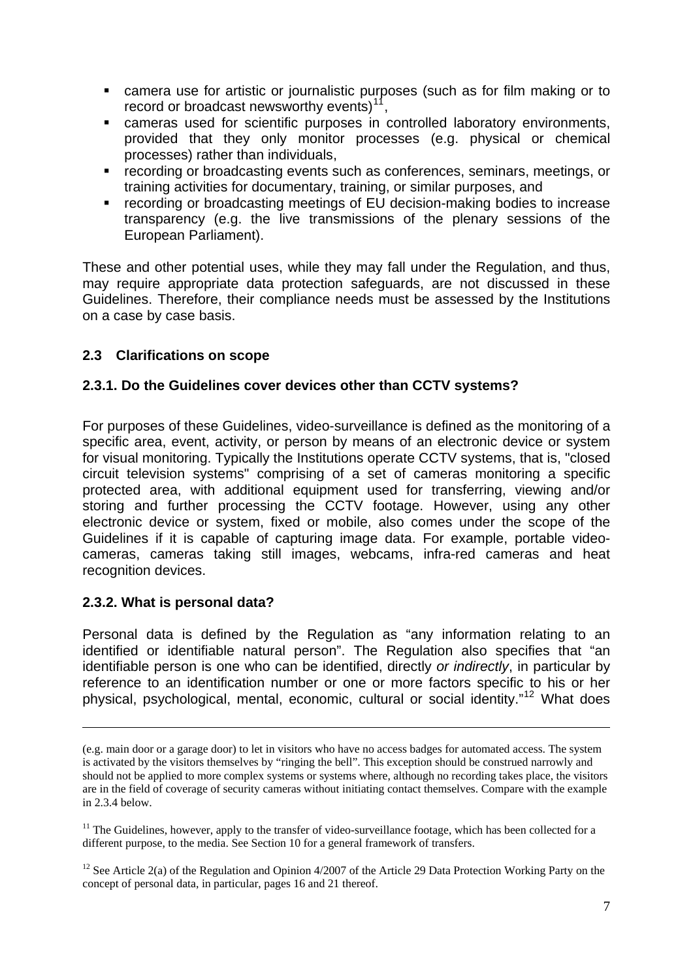- camera use for artistic or journalistic purposes (such as for film making or to record or broadcast newsworthy events) $11$ ,
- cameras used for scientific purposes in controlled laboratory environments, provided that they only monitor processes (e.g. physical or chemical processes) rather than individuals,
- recording or broadcasting events such as conferences, seminars, meetings, or training activities for documentary, training, or similar purposes, and
- **•** recording or broadcasting meetings of EU decision-making bodies to increase transparency (e.g. the live transmissions of the plenary sessions of the European Parliament).

These and other potential uses, while they may fall under the Regulation, and thus, may require appropriate data protection safeguards, are not discussed in these Guidelines. Therefore, their compliance needs must be assessed by the Institutions on a case by case basis.

## <span id="page-6-0"></span>**2.3 Clarifications on scope**

### **2.3.1. Do the Guidelines cover devices other than CCTV systems?**

For purposes of these Guidelines, video-surveillance is defined as the monitoring of a specific area, event, activity, or person by means of an electronic device or system for visual monitoring. Typically the Institutions operate CCTV systems, that is, "closed circuit television systems" comprising of a set of cameras monitoring a specific protected area, with additional equipment used for transferring, viewing and/or storing and further processing the CCTV footage. However, using any other electronic device or system, fixed or mobile, also comes under the scope of the Guidelines if it is capable of capturing image data. For example, portable videocameras, cameras taking still images, webcams, infra-red cameras and heat recognition devices.

### **2.3.2. What is personal data?**

1

Personal data is defined by the Regulation as "any information relating to an identified or identifiable natural person". The Regulation also specifies that "an identifiable person is one who can be identified, directly *or indirectly*, in particular by reference to an identification number or one or more factors specific to his or her physical, psychological, mental, economic, cultural or social identity."[12](#page-6-2) What does

<sup>(</sup>e.g. main door or a garage door) to let in visitors who have no access badges for automated access. The system is activated by the visitors themselves by "ringing the bell". This exception should be construed narrowly and should not be applied to more complex systems or systems where, although no recording takes place, the visitors are in the field of coverage of security cameras without initiating contact themselves. Compare with the example in 2.3.4 below.

<span id="page-6-1"></span> $11$  The Guidelines, however, apply to the transfer of video-surveillance footage, which has been collected for a different purpose, to the media. See Section 10 for a general framework of transfers.

<span id="page-6-2"></span><sup>&</sup>lt;sup>12</sup> See Article 2(a) of the Regulation and Opinion  $4/2007$  of the Article 29 Data Protection Working Party on the concept of personal data, in particular, pages 16 and 21 thereof.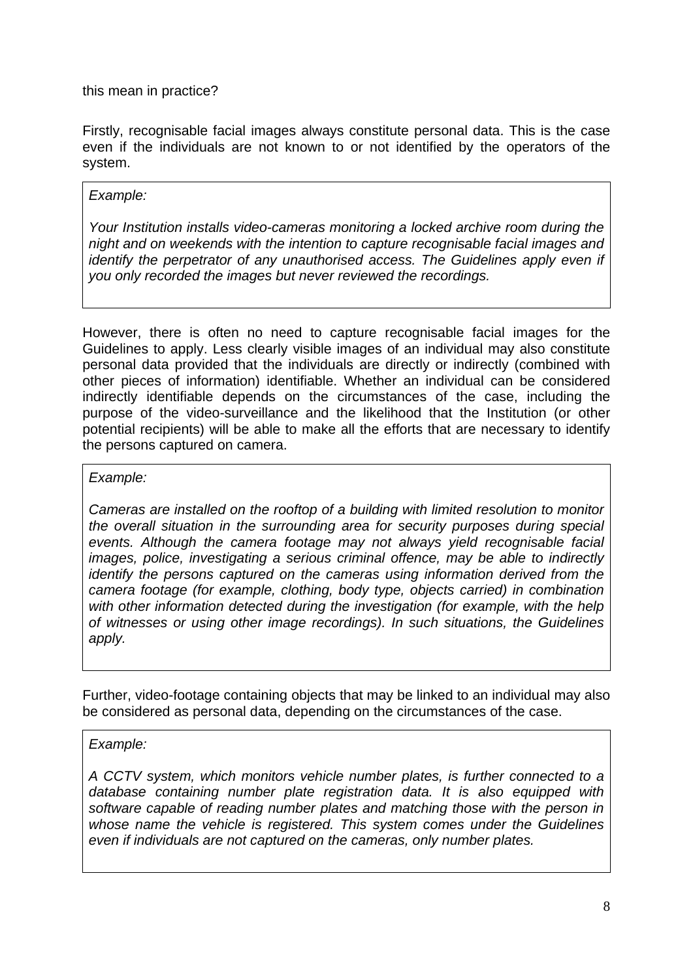this mean in practice?

Firstly, recognisable facial images always constitute personal data. This is the case even if the individuals are not known to or not identified by the operators of the system.

#### *Example:*

*Your Institution installs video-cameras monitoring a locked archive room during the night and on weekends with the intention to capture recognisable facial images and identify the perpetrator of any unauthorised access. The Guidelines apply even if you only recorded the images but never reviewed the recordings.* 

However, there is often no need to capture recognisable facial images for the Guidelines to apply. Less clearly visible images of an individual may also constitute personal data provided that the individuals are directly or indirectly (combined with other pieces of information) identifiable. Whether an individual can be considered indirectly identifiable depends on the circumstances of the case, including the purpose of the video-surveillance and the likelihood that the Institution (or other potential recipients) will be able to make all the efforts that are necessary to identify the persons captured on camera.

*Example:* 

*Cameras are installed on the rooftop of a building with limited resolution to monitor the overall situation in the surrounding area for security purposes during special events. Although the camera footage may not always yield recognisable facial images, police, investigating a serious criminal offence, may be able to indirectly identify the persons captured on the cameras using information derived from the camera footage (for example, clothing, body type, objects carried) in combination*  with other information detected during the investigation (for example, with the help *of witnesses or using other image recordings). In such situations, the Guidelines apply.* 

Further, video-footage containing objects that may be linked to an individual may also be considered as personal data, depending on the circumstances of the case.

### *Example:*

*A CCTV system, which monitors vehicle number plates, is further connected to a database containing number plate registration data. It is also equipped with software capable of reading number plates and matching those with the person in whose name the vehicle is registered. This system comes under the Guidelines even if individuals are not captured on the cameras, only number plates.*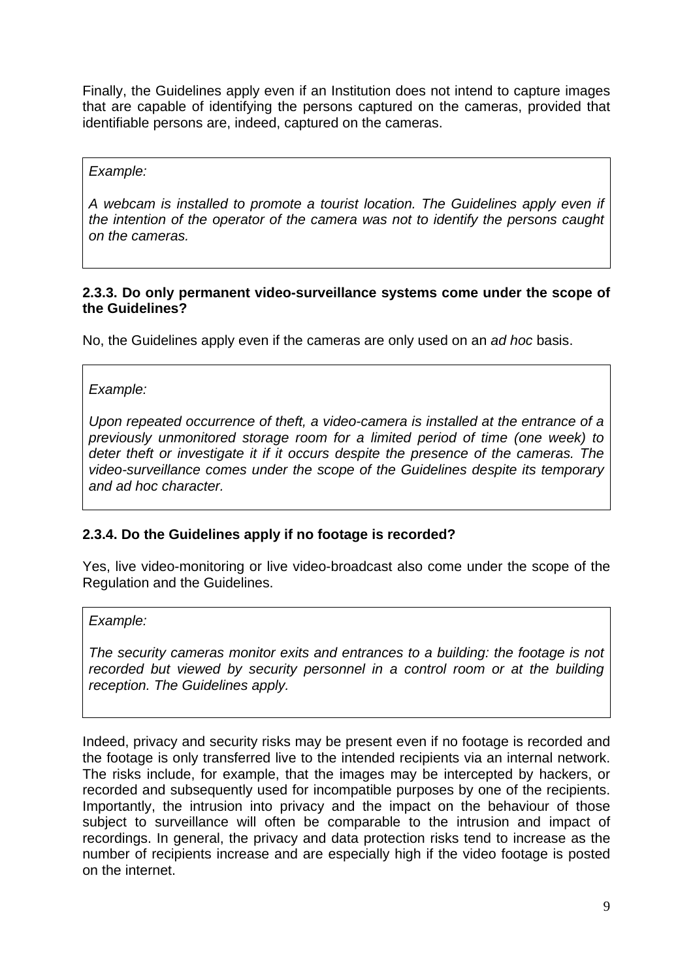Finally, the Guidelines apply even if an Institution does not intend to capture images that are capable of identifying the persons captured on the cameras, provided that identifiable persons are, indeed, captured on the cameras.

#### *Example:*

*A webcam is installed to promote a tourist location. The Guidelines apply even if the intention of the operator of the camera was not to identify the persons caught on the cameras.* 

#### **2.3.3. Do only permanent video-surveillance systems come under the scope of the Guidelines?**

No, the Guidelines apply even if the cameras are only used on an *ad hoc* basis.

*Example:* 

*Upon repeated occurrence of theft, a video-camera is installed at the entrance of a previously unmonitored storage room for a limited period of time (one week) to deter theft or investigate it if it occurs despite the presence of the cameras. The video-surveillance comes under the scope of the Guidelines despite its temporary and ad hoc character.* 

### **2.3.4. Do the Guidelines apply if no footage is recorded?**

Yes, live video-monitoring or live video-broadcast also come under the scope of the Regulation and the Guidelines.

*Example:* 

*The security cameras monitor exits and entrances to a building: the footage is not*  recorded but viewed by security personnel in a control room or at the building *reception. The Guidelines apply.* 

Indeed, privacy and security risks may be present even if no footage is recorded and the footage is only transferred live to the intended recipients via an internal network. The risks include, for example, that the images may be intercepted by hackers, or recorded and subsequently used for incompatible purposes by one of the recipients. Importantly, the intrusion into privacy and the impact on the behaviour of those subject to surveillance will often be comparable to the intrusion and impact of recordings. In general, the privacy and data protection risks tend to increase as the number of recipients increase and are especially high if the video footage is posted on the internet.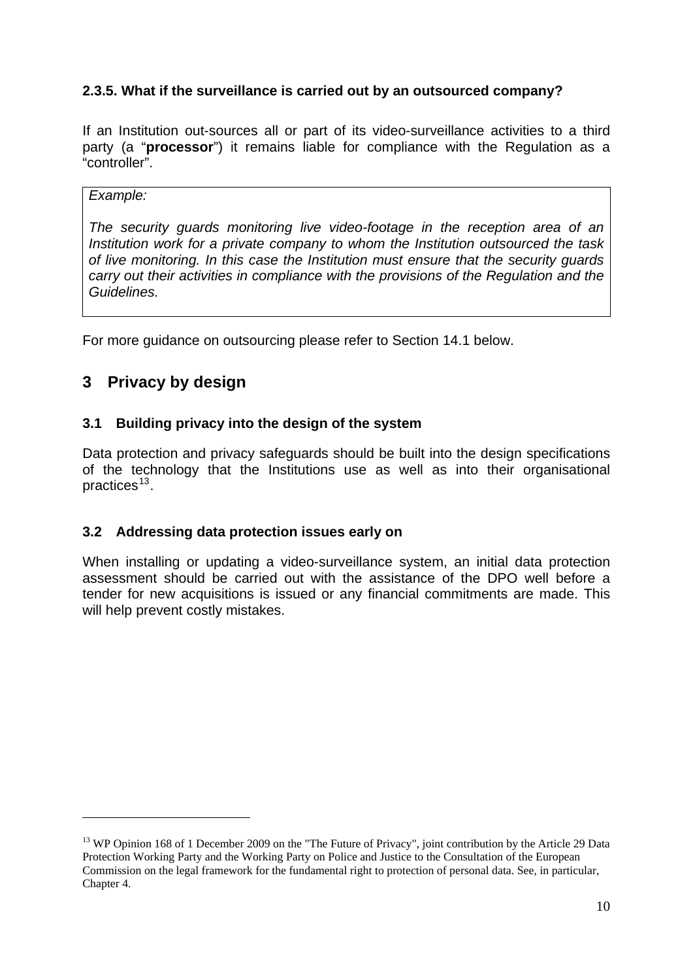## **2.3.5. What if the surveillance is carried out by an outsourced company?**

If an Institution out-sources all or part of its video-surveillance activities to a third party (a "**processor**") it remains liable for compliance with the Regulation as a "controller".

#### *Example:*

-

*The security guards monitoring live video-footage in the reception area of an Institution work for a private company to whom the Institution outsourced the task of live monitoring. In this case the Institution must ensure that the security guards carry out their activities in compliance with the provisions of the Regulation and the Guidelines.* 

For more guidance on outsourcing please refer to Section 14.1 below.

## <span id="page-9-0"></span>**3 Privacy by design**

#### <span id="page-9-1"></span>**3.1 Building privacy into the design of the system**

Data protection and privacy safeguards should be built into the design specifications of the technology that the Institutions use as well as into their organisational practices<sup>[13](#page-9-3)</sup>.

#### <span id="page-9-2"></span>**3.2 Addressing data protection issues early on**

When installing or updating a video-surveillance system, an initial data protection assessment should be carried out with the assistance of the DPO well before a tender for new acquisitions is issued or any financial commitments are made. This will help prevent costly mistakes.

<span id="page-9-3"></span><sup>&</sup>lt;sup>13</sup> WP Opinion 168 of 1 December 2009 on the "The Future of Privacy", joint contribution by the Article 29 Data Protection Working Party and the Working Party on Police and Justice to the Consultation of the European Commission on the legal framework for the fundamental right to protection of personal data. See, in particular, Chapter 4.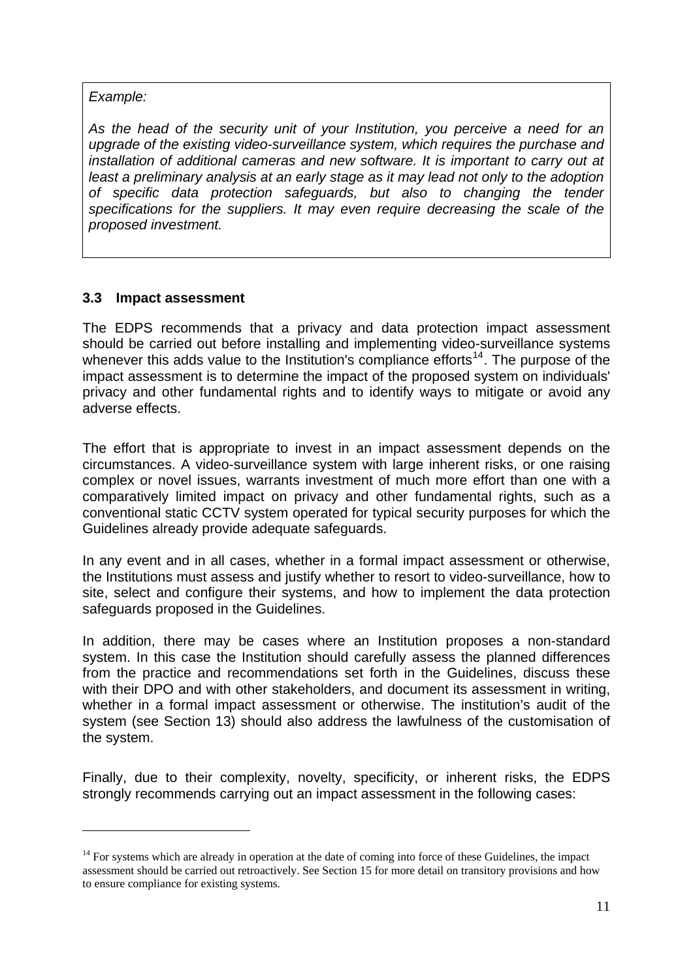*Example:* 

1

*As the head of the security unit of your Institution, you perceive a need for an upgrade of the existing video-surveillance system, which requires the purchase and installation of additional cameras and new software. It is important to carry out at least a preliminary analysis at an early stage as it may lead not only to the adoption of specific data protection safeguards, but also to changing the tender specifications for the suppliers. It may even require decreasing the scale of the proposed investment.* 

### <span id="page-10-0"></span>**3.3 Impact assessment**

The EDPS recommends that a privacy and data protection impact assessment should be carried out before installing and implementing video-surveillance systems whenever this adds value to the Institution's compliance efforts<sup>[14](#page-10-1)</sup>. The purpose of the impact assessment is to determine the impact of the proposed system on individuals' privacy and other fundamental rights and to identify ways to mitigate or avoid any adverse effects.

The effort that is appropriate to invest in an impact assessment depends on the circumstances. A video-surveillance system with large inherent risks, or one raising complex or novel issues, warrants investment of much more effort than one with a comparatively limited impact on privacy and other fundamental rights, such as a conventional static CCTV system operated for typical security purposes for which the Guidelines already provide adequate safeguards.

In any event and in all cases, whether in a formal impact assessment or otherwise, the Institutions must assess and justify whether to resort to video-surveillance, how to site, select and configure their systems, and how to implement the data protection safeguards proposed in the Guidelines.

In addition, there may be cases where an Institution proposes a non-standard system. In this case the Institution should carefully assess the planned differences from the practice and recommendations set forth in the Guidelines, discuss these with their DPO and with other stakeholders, and document its assessment in writing, whether in a formal impact assessment or otherwise. The institution's audit of the system (see Section 13) should also address the lawfulness of the customisation of the system.

Finally, due to their complexity, novelty, specificity, or inherent risks, the EDPS strongly recommends carrying out an impact assessment in the following cases:

<span id="page-10-1"></span><sup>&</sup>lt;sup>14</sup> For systems which are already in operation at the date of coming into force of these Guidelines, the impact assessment should be carried out retroactively. See Section 15 for more detail on transitory provisions and how to ensure compliance for existing systems.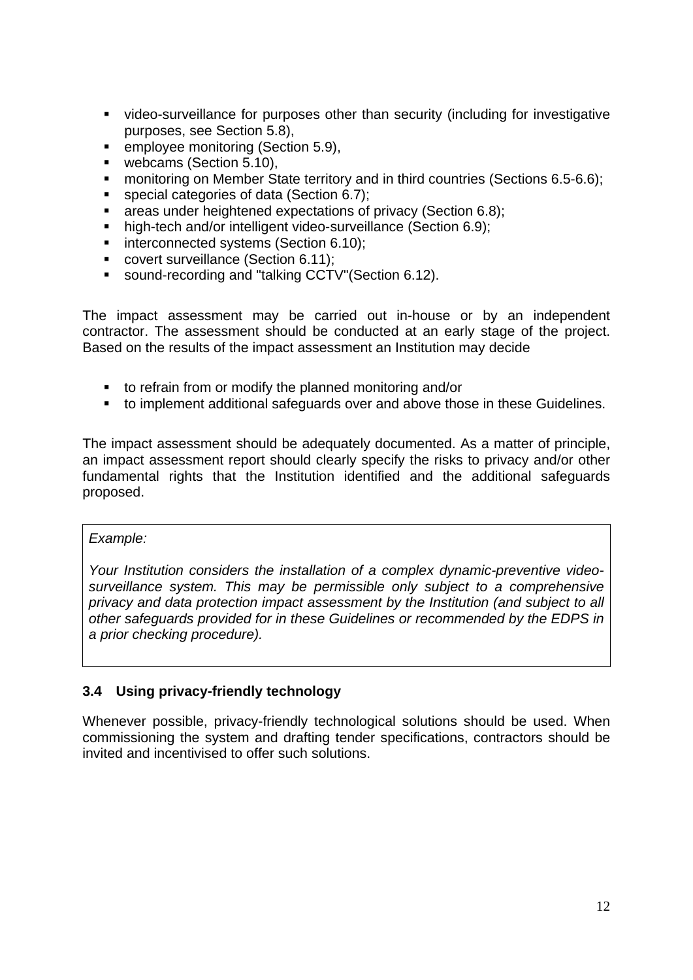- video-surveillance for purposes other than security (including for investigative purposes, see Section 5.8),
- **EXECTED EMPLOYEE MONITORIAL EXECT** 6.9),
- **webcams (Section 5.10),**
- **EXECT** monitoring on Member State territory and in third countries (Sections 6.5-6.6);
- special categories of data (Section 6.7);
- **areas under heightened expectations of privacy (Section 6.8):**
- high-tech and/or intelligent video-surveillance (Section 6.9);
- **interconnected systems (Section 6.10);**
- covert surveillance (Section 6.11);
- sound-recording and "talking CCTV"(Section 6.12).

The impact assessment may be carried out in-house or by an independent contractor. The assessment should be conducted at an early stage of the project. Based on the results of the impact assessment an Institution may decide

- to refrain from or modify the planned monitoring and/or
- to implement additional safeguards over and above those in these Guidelines.

The impact assessment should be adequately documented. As a matter of principle, an impact assessment report should clearly specify the risks to privacy and/or other fundamental rights that the Institution identified and the additional safeguards proposed.

#### *Example:*

*Your Institution considers the installation of a complex dynamic-preventive videosurveillance system. This may be permissible only subject to a comprehensive privacy and data protection impact assessment by the Institution (and subject to all other safeguards provided for in these Guidelines or recommended by the EDPS in a prior checking procedure).* 

## <span id="page-11-0"></span>**3.4 Using privacy-friendly technology**

Whenever possible, privacy-friendly technological solutions should be used. When commissioning the system and drafting tender specifications, contractors should be invited and incentivised to offer such solutions.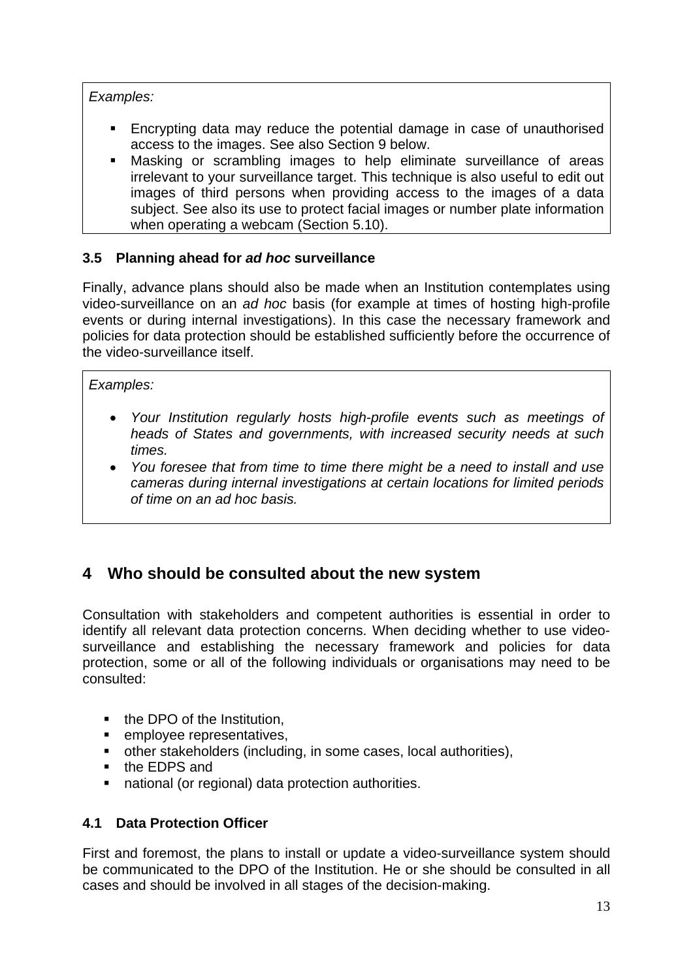*Examples:* 

- Encrypting data may reduce the potential damage in case of unauthorised access to the images. See also Section 9 below.
- Masking or scrambling images to help eliminate surveillance of areas irrelevant to your surveillance target. This technique is also useful to edit out images of third persons when providing access to the images of a data subject. See also its use to protect facial images or number plate information when operating a webcam (Section 5.10).

## <span id="page-12-0"></span>**3.5 Planning ahead for** *ad hoc* **surveillance**

Finally, advance plans should also be made when an Institution contemplates using video-surveillance on an *ad hoc* basis (for example at times of hosting high-profile events or during internal investigations). In this case the necessary framework and policies for data protection should be established sufficiently before the occurrence of the video-surveillance itself.

## *Examples:*

- *Your Institution regularly hosts high-profile events such as meetings of heads of States and governments, with increased security needs at such times.*
- *You foresee that from time to time there might be a need to install and use cameras during internal investigations at certain locations for limited periods of time on an ad hoc basis.*

## <span id="page-12-1"></span>**4 Who should be consulted about the new system**

Consultation with stakeholders and competent authorities is essential in order to identify all relevant data protection concerns. When deciding whether to use videosurveillance and establishing the necessary framework and policies for data protection, some or all of the following individuals or organisations may need to be consulted:

- the DPO of the Institution,
- **EXECUTE:** employee representatives,
- other stakeholders (including, in some cases, local authorities),
- the EDPS and
- national (or regional) data protection authorities.

## <span id="page-12-2"></span>**4.1 Data Protection Officer**

First and foremost, the plans to install or update a video-surveillance system should be communicated to the DPO of the Institution. He or she should be consulted in all cases and should be involved in all stages of the decision-making.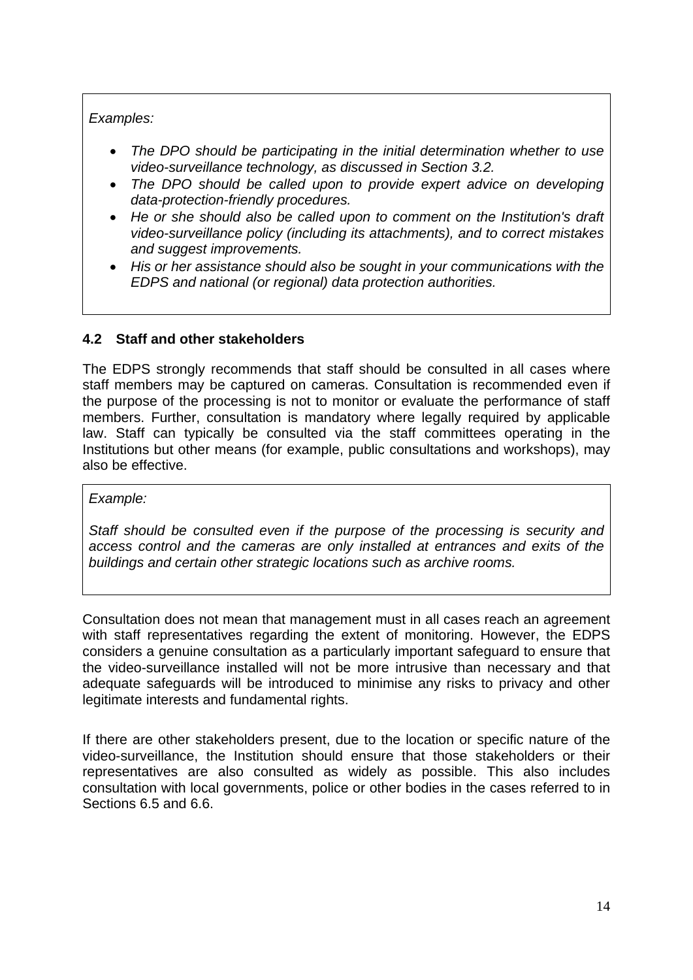### *Examples:*

- *The DPO should be participating in the initial determination whether to use video-surveillance technology, as discussed in Section 3.2.*
- *The DPO should be called upon to provide expert advice on developing data-protection-friendly procedures.*
- *He or she should also be called upon to comment on the Institution's draft video-surveillance policy (including its attachments), and to correct mistakes and suggest improvements.*
- *His or her assistance should also be sought in your communications with the EDPS and national (or regional) data protection authorities.*

## <span id="page-13-0"></span>**4.2 Staff and other stakeholders**

The EDPS strongly recommends that staff should be consulted in all cases where staff members may be captured on cameras. Consultation is recommended even if the purpose of the processing is not to monitor or evaluate the performance of staff members. Further, consultation is mandatory where legally required by applicable law. Staff can typically be consulted via the staff committees operating in the Institutions but other means (for example, public consultations and workshops), may also be effective.

#### *Example:*

*Staff should be consulted even if the purpose of the processing is security and access control and the cameras are only installed at entrances and exits of the buildings and certain other strategic locations such as archive rooms.* 

Consultation does not mean that management must in all cases reach an agreement with staff representatives regarding the extent of monitoring. However, the EDPS considers a genuine consultation as a particularly important safeguard to ensure that the video-surveillance installed will not be more intrusive than necessary and that adequate safeguards will be introduced to minimise any risks to privacy and other legitimate interests and fundamental rights.

If there are other stakeholders present, due to the location or specific nature of the video-surveillance, the Institution should ensure that those stakeholders or their representatives are also consulted as widely as possible. This also includes consultation with local governments, police or other bodies in the cases referred to in Sections 6.5 and 6.6.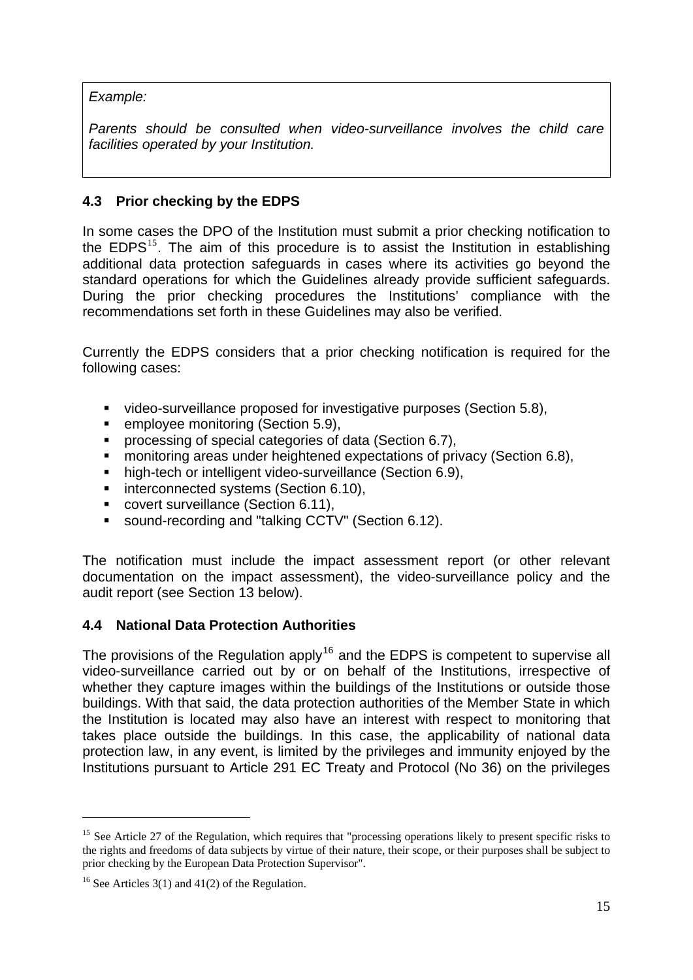*Example:* 

*Parents should be consulted when video-surveillance involves the child care facilities operated by your Institution.* 

## <span id="page-14-0"></span>**4.3 Prior checking by the EDPS**

In some cases the DPO of the Institution must submit a prior checking notification to the  $EDPS<sup>15</sup>$  $EDPS<sup>15</sup>$  $EDPS<sup>15</sup>$ . The aim of this procedure is to assist the Institution in establishing additional data protection safeguards in cases where its activities go beyond the standard operations for which the Guidelines already provide sufficient safeguards. During the prior checking procedures the Institutions' compliance with the recommendations set forth in these Guidelines may also be verified.

Currently the EDPS considers that a prior checking notification is required for the following cases:

- video-surveillance proposed for investigative purposes (Section 5.8),
- **EXECTED EMPLOYEE MONITORY CONCEYED FIG. 15.8.** employee monitoring (Section 5.9),
- **processing of special categories of data (Section 6.7),**
- **nd monitoring areas under heightened expectations of privacy (Section 6.8),**
- **high-tech or intelligent video-surveillance (Section 6.9),**
- **interconnected systems (Section 6.10),**
- covert surveillance (Section 6.11),
- sound-recording and "talking CCTV" (Section 6.12).

The notification must include the impact assessment report (or other relevant documentation on the impact assessment), the video-surveillance policy and the audit report (see Section 13 below).

### <span id="page-14-1"></span>**4.4 National Data Protection Authorities**

The provisions of the Regulation apply<sup>[16](#page-14-3)</sup> and the EDPS is competent to supervise all video-surveillance carried out by or on behalf of the Institutions, irrespective of whether they capture images within the buildings of the Institutions or outside those buildings. With that said, the data protection authorities of the Member State in which the Institution is located may also have an interest with respect to monitoring that takes place outside the buildings. In this case, the applicability of national data protection law, in any event, is limited by the privileges and immunity enjoyed by the Institutions pursuant to Article 291 EC Treaty and Protocol (No 36) on the privileges

<span id="page-14-2"></span><sup>&</sup>lt;sup>15</sup> See Article 27 of the Regulation, which requires that "processing operations likely to present specific risks to the rights and freedoms of data subjects by virtue of their nature, their scope, or their purposes shall be subject to prior checking by the European Data Protection Supervisor".

<span id="page-14-3"></span><sup>&</sup>lt;sup>16</sup> See Articles  $3(1)$  and  $41(2)$  of the Regulation.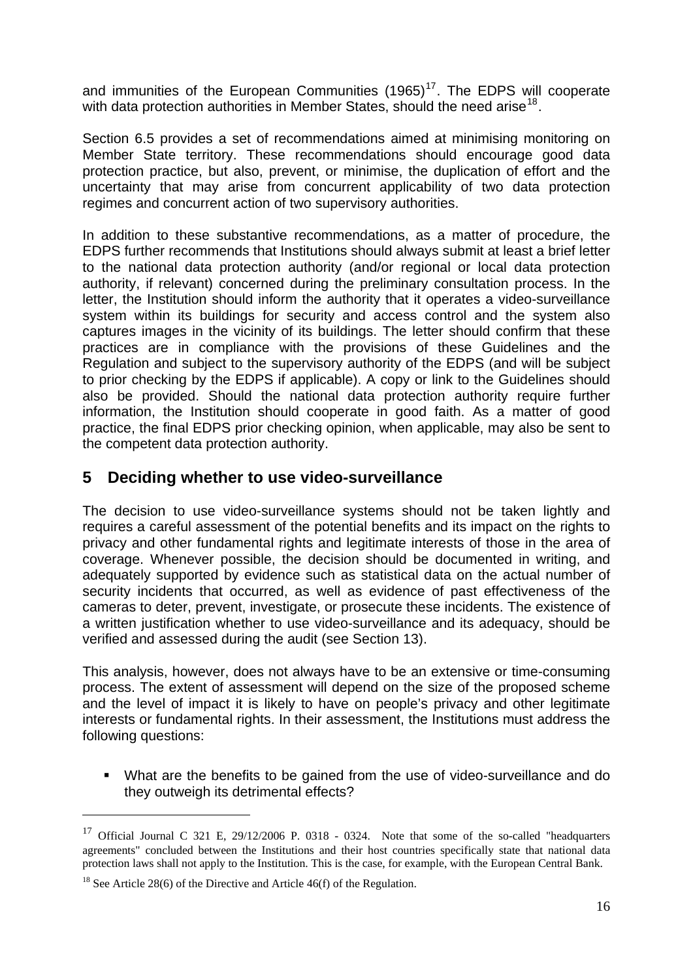and immunities of the European Communities  $(1965)^{17}$  $(1965)^{17}$  $(1965)^{17}$ . The EDPS will cooperate with data protection authorities in Member States, should the need arise<sup>[18](#page-15-2)</sup>.

Section 6.5 provides a set of recommendations aimed at minimising monitoring on Member State territory. These recommendations should encourage good data protection practice, but also, prevent, or minimise, the duplication of effort and the uncertainty that may arise from concurrent applicability of two data protection regimes and concurrent action of two supervisory authorities.

In addition to these substantive recommendations, as a matter of procedure, the EDPS further recommends that Institutions should always submit at least a brief letter to the national data protection authority (and/or regional or local data protection authority, if relevant) concerned during the preliminary consultation process. In the letter, the Institution should inform the authority that it operates a video-surveillance system within its buildings for security and access control and the system also captures images in the vicinity of its buildings. The letter should confirm that these practices are in compliance with the provisions of these Guidelines and the Regulation and subject to the supervisory authority of the EDPS (and will be subject to prior checking by the EDPS if applicable). A copy or link to the Guidelines should also be provided. Should the national data protection authority require further information, the Institution should cooperate in good faith. As a matter of good practice, the final EDPS prior checking opinion, when applicable, may also be sent to the competent data protection authority.

## <span id="page-15-0"></span>**5 Deciding whether to use video-surveillance**

The decision to use video-surveillance systems should not be taken lightly and requires a careful assessment of the potential benefits and its impact on the rights to privacy and other fundamental rights and legitimate interests of those in the area of coverage. Whenever possible, the decision should be documented in writing, and adequately supported by evidence such as statistical data on the actual number of security incidents that occurred, as well as evidence of past effectiveness of the cameras to deter, prevent, investigate, or prosecute these incidents. The existence of a written justification whether to use video-surveillance and its adequacy, should be verified and assessed during the audit (see Section 13).

This analysis, however, does not always have to be an extensive or time-consuming process. The extent of assessment will depend on the size of the proposed scheme and the level of impact it is likely to have on people's privacy and other legitimate interests or fundamental rights. In their assessment, the Institutions must address the following questions:

 What are the benefits to be gained from the use of video-surveillance and do they outweigh its detrimental effects?

<span id="page-15-1"></span><sup>&</sup>lt;sup>17</sup> Official Journal C 321 E, 29/12/2006 P. 0318 - 0324. Note that some of the so-called "headquarters agreements" concluded between the Institutions and their host countries specifically state that national data protection laws shall not apply to the Institution. This is the case, for example, with the European Central Bank.

<span id="page-15-2"></span><sup>&</sup>lt;sup>18</sup> See Article 28(6) of the Directive and Article 46(f) of the Regulation.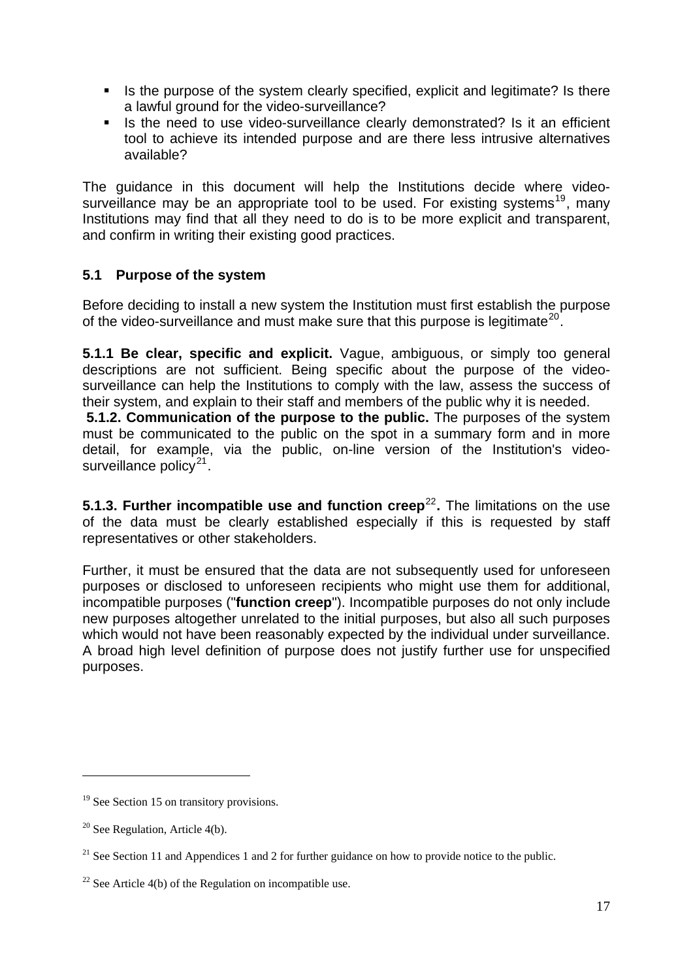- Is the purpose of the system clearly specified, explicit and legitimate? Is there a lawful ground for the video-surveillance?
- If Is the need to use video-surveillance clearly demonstrated? Is it an efficient tool to achieve its intended purpose and are there less intrusive alternatives available?

The guidance in this document will help the Institutions decide where video-surveillance may be an appropriate tool to be used. For existing systems<sup>[19](#page-16-1)</sup>, many Institutions may find that all they need to do is to be more explicit and transparent, and confirm in writing their existing good practices.

## <span id="page-16-0"></span>**5.1 Purpose of the system**

Before deciding to install a new system the Institution must first establish the purpose of the video-surveillance and must make sure that this purpose is legitimate<sup>[20](#page-16-2)</sup>.

**5.1.1 Be clear, specific and explicit.** Vague, ambiguous, or simply too general descriptions are not sufficient. Being specific about the purpose of the videosurveillance can help the Institutions to comply with the law, assess the success of their system, and explain to their staff and members of the public why it is needed.

**5.1.2. Communication of the purpose to the public.** The purposes of the system must be communicated to the public on the spot in a summary form and in more detail, for example, via the public, on-line version of the Institution's videosurveillance policy $2^1$ .

**5.1.3. Further incompatible use and function creep<sup>[22](#page-16-4)</sup>.** The limitations on the use of the data must be clearly established especially if this is requested by staff representatives or other stakeholders.

Further, it must be ensured that the data are not subsequently used for unforeseen purposes or disclosed to unforeseen recipients who might use them for additional, incompatible purposes ("**function creep**"). Incompatible purposes do not only include new purposes altogether unrelated to the initial purposes, but also all such purposes which would not have been reasonably expected by the individual under surveillance. A broad high level definition of purpose does not justify further use for unspecified purposes.

<span id="page-16-1"></span><sup>&</sup>lt;sup>19</sup> See Section 15 on transitory provisions.

<span id="page-16-2"></span> $20$  See Regulation, Article 4(b).

<span id="page-16-3"></span> $21$  See Section 11 and Appendices 1 and 2 for further guidance on how to provide notice to the public.

<span id="page-16-4"></span><sup>&</sup>lt;sup>22</sup> See Article 4(b) of the Regulation on incompatible use.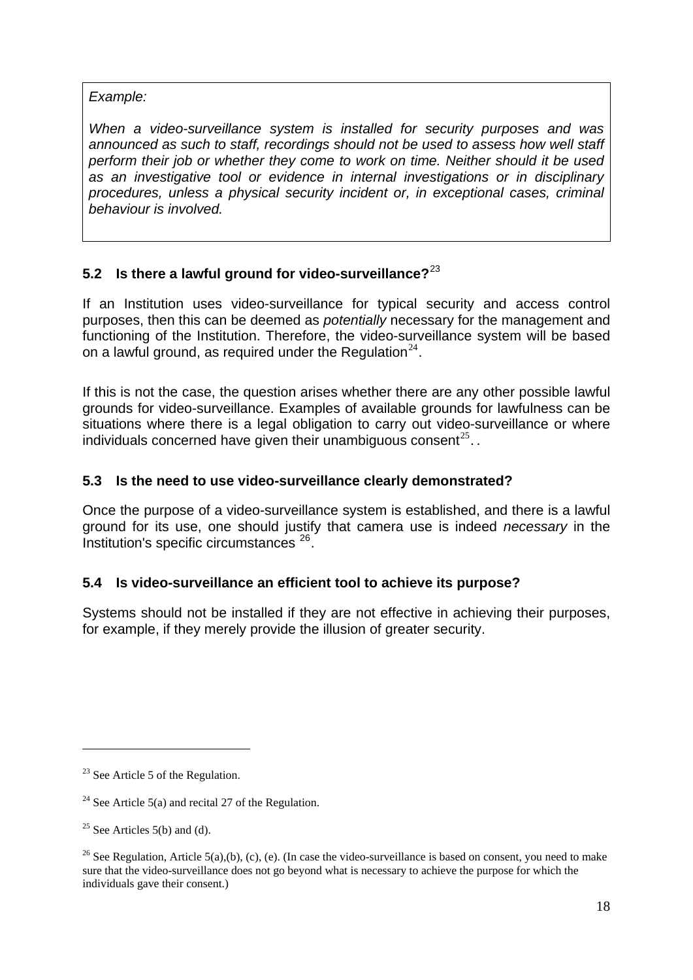*Example:* 

*When a video-surveillance system is installed for security purposes and was announced as such to staff, recordings should not be used to assess how well staff perform their job or whether they come to work on time. Neither should it be used as an investigative tool or evidence in internal investigations or in disciplinary procedures, unless a physical security incident or, in exceptional cases, criminal behaviour is involved.* 

## <span id="page-17-0"></span>**5.2 Is there a lawful ground for video-surveillance?**[23](#page-17-3)

If an Institution uses video-surveillance for typical security and access control purposes, then this can be deemed as *potentially* necessary for the management and functioning of the Institution. Therefore, the video-surveillance system will be based on a lawful ground, as required under the Regulation<sup>[24](#page-17-4)</sup>.

If this is not the case, the question arises whether there are any other possible lawful grounds for video-surveillance. Examples of available grounds for lawfulness can be situations where there is a legal obligation to carry out video-surveillance or where individuals concerned have given their unambiguous consent<sup>[25](#page-17-5)</sup>...

### <span id="page-17-1"></span>**5.3 Is the need to use video-surveillance clearly demonstrated?**

Once the purpose of a video-surveillance system is established, and there is a lawful ground for its use, one should justify that camera use is indeed *necessary* in the Institution's specific circumstances [26](#page-17-6).

### <span id="page-17-2"></span>**5.4 Is video-surveillance an efficient tool to achieve its purpose?**

Systems should not be installed if they are not effective in achieving their purposes, for example, if they merely provide the illusion of greater security.

1

<span id="page-17-3"></span> $23$  See Article 5 of the Regulation.

<span id="page-17-4"></span><sup>&</sup>lt;sup>24</sup> See Article 5(a) and recital 27 of the Regulation.

<span id="page-17-5"></span> $25$  See Articles 5(b) and (d).

<span id="page-17-6"></span><sup>&</sup>lt;sup>26</sup> See Regulation, Article 5(a),(b), (c), (e). (In case the video-surveillance is based on consent, you need to make sure that the video-surveillance does not go beyond what is necessary to achieve the purpose for which the individuals gave their consent.)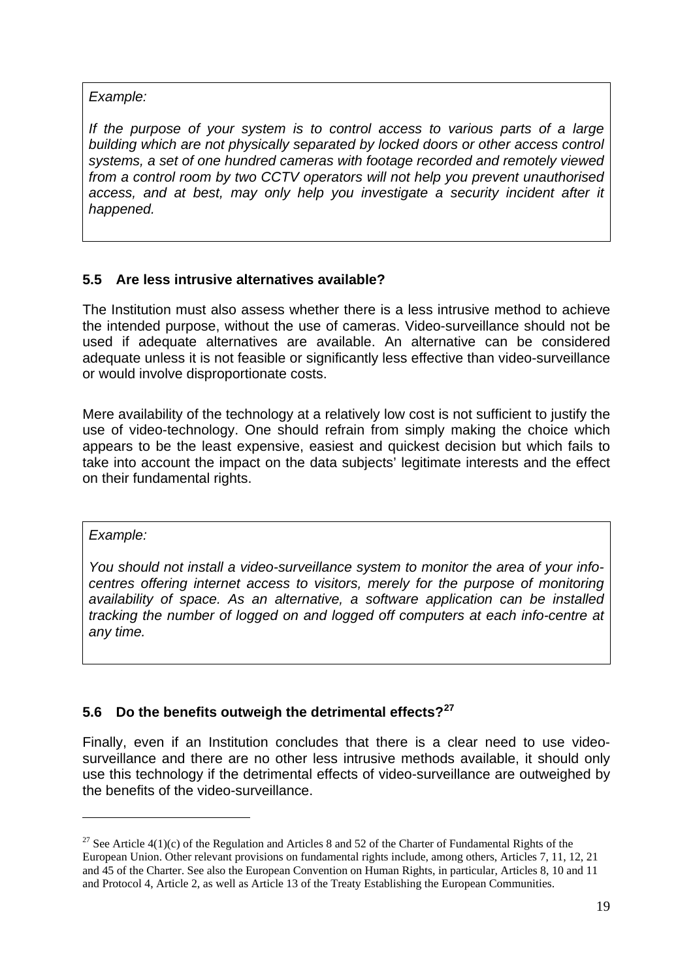#### *Example:*

*If the purpose of your system is to control access to various parts of a large building which are not physically separated by locked doors or other access control systems, a set of one hundred cameras with footage recorded and remotely viewed from a control room by two CCTV operators will not help you prevent unauthorised*  access, and at best, may only help you investigate a security incident after it *happened.* 

## <span id="page-18-0"></span>**5.5 Are less intrusive alternatives available?**

The Institution must also assess whether there is a less intrusive method to achieve the intended purpose, without the use of cameras. Video-surveillance should not be used if adequate alternatives are available. An alternative can be considered adequate unless it is not feasible or significantly less effective than video-surveillance or would involve disproportionate costs.

Mere availability of the technology at a relatively low cost is not sufficient to justify the use of video-technology. One should refrain from simply making the choice which appears to be the least expensive, easiest and quickest decision but which fails to take into account the impact on the data subjects' legitimate interests and the effect on their fundamental rights.

#### *Example:*

-

*You should not install a video-surveillance system to monitor the area of your infocentres offering internet access to visitors, merely for the purpose of monitoring availability of space. As an alternative, a software application can be installed tracking the number of logged on and logged off computers at each info-centre at any time.* 

### <span id="page-18-1"></span>**5.6 Do the benefits outweigh the detrimental effects?[27](#page-18-2)**

Finally, even if an Institution concludes that there is a clear need to use videosurveillance and there are no other less intrusive methods available, it should only use this technology if the detrimental effects of video-surveillance are outweighed by the benefits of the video-surveillance.

<span id="page-18-2"></span><sup>&</sup>lt;sup>27</sup> See Article  $4(1)(c)$  of the Regulation and Articles 8 and 52 of the Charter of Fundamental Rights of the European Union. Other relevant provisions on fundamental rights include, among others, Articles 7, 11, 12, 21 and 45 of the Charter. See also the European Convention on Human Rights, in particular, Articles 8, 10 and 11 and Protocol 4, Article 2, as well as Article 13 of the Treaty Establishing the European Communities.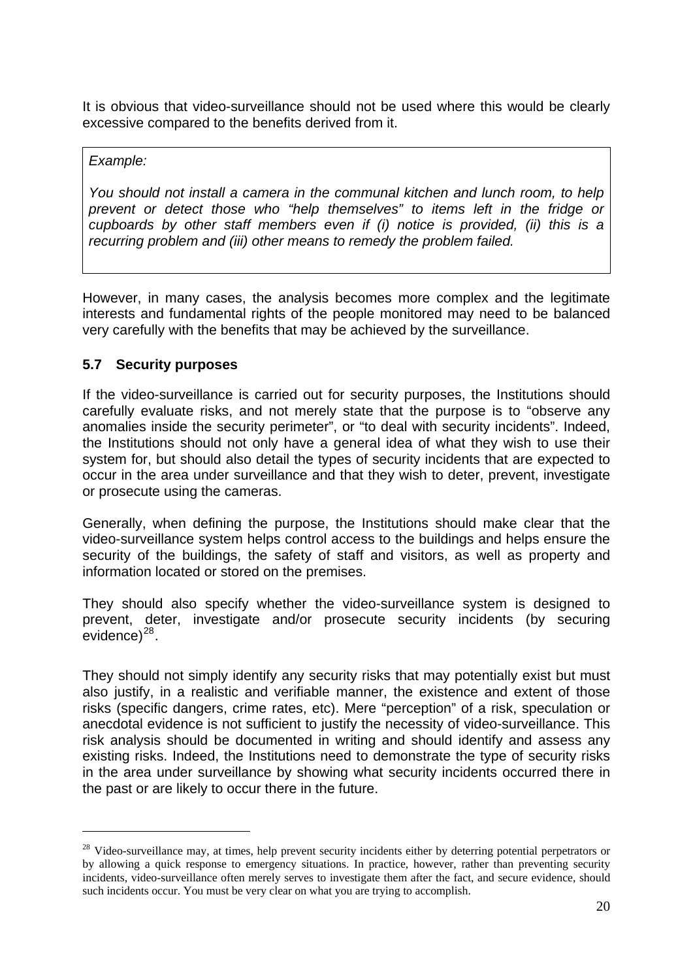It is obvious that video-surveillance should not be used where this would be clearly excessive compared to the benefits derived from it.

#### *Example:*

-

*You should not install a camera in the communal kitchen and lunch room, to help prevent or detect those who "help themselves" to items left in the fridge or cupboards by other staff members even if (i) notice is provided, (ii) this is a recurring problem and (iii) other means to remedy the problem failed.*

However, in many cases, the analysis becomes more complex and the legitimate interests and fundamental rights of the people monitored may need to be balanced very carefully with the benefits that may be achieved by the surveillance.

#### <span id="page-19-0"></span>**5.7 Security purposes**

If the video-surveillance is carried out for security purposes, the Institutions should carefully evaluate risks, and not merely state that the purpose is to "observe any anomalies inside the security perimeter", or "to deal with security incidents". Indeed, the Institutions should not only have a general idea of what they wish to use their system for, but should also detail the types of security incidents that are expected to occur in the area under surveillance and that they wish to deter, prevent, investigate or prosecute using the cameras.

Generally, when defining the purpose, the Institutions should make clear that the video-surveillance system helps control access to the buildings and helps ensure the security of the buildings, the safety of staff and visitors, as well as property and information located or stored on the premises.

They should also specify whether the video-surveillance system is designed to prevent, deter, investigate and/or prosecute security incidents (by securing  $e$ vidence $e^{28}$  $e^{28}$  $e^{28}$ .

They should not simply identify any security risks that may potentially exist but must also justify, in a realistic and verifiable manner, the existence and extent of those risks (specific dangers, crime rates, etc). Mere "perception" of a risk, speculation or anecdotal evidence is not sufficient to justify the necessity of video-surveillance. This risk analysis should be documented in writing and should identify and assess any existing risks. Indeed, the Institutions need to demonstrate the type of security risks in the area under surveillance by showing what security incidents occurred there in the past or are likely to occur there in the future.

<span id="page-19-1"></span><sup>&</sup>lt;sup>28</sup> Video-surveillance may, at times, help prevent security incidents either by deterring potential perpetrators or by allowing a quick response to emergency situations. In practice, however, rather than preventing security incidents, video-surveillance often merely serves to investigate them after the fact, and secure evidence, should such incidents occur. You must be very clear on what you are trying to accomplish.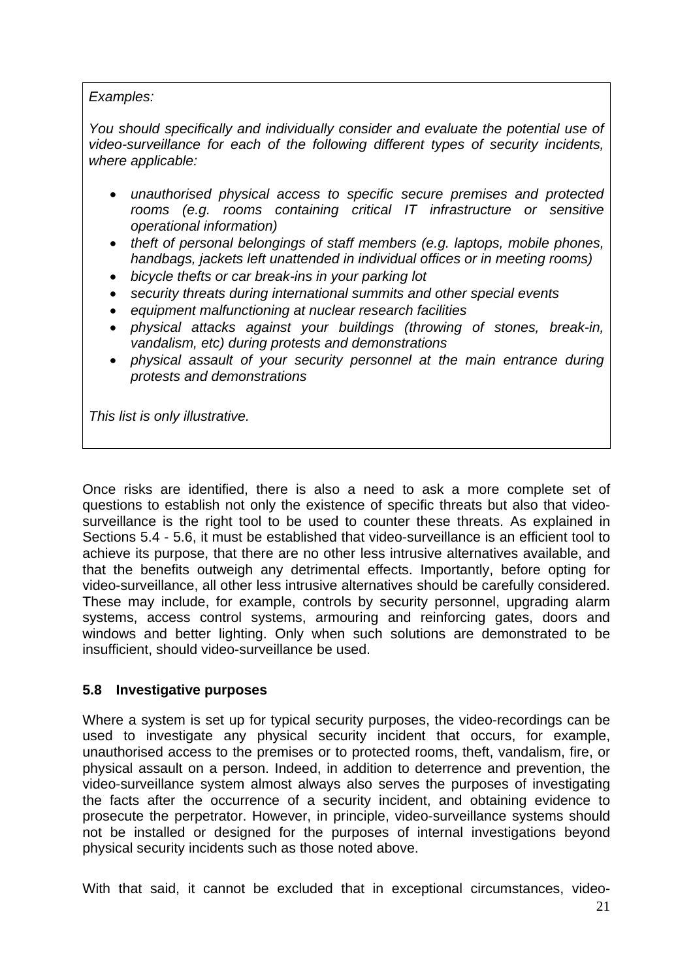#### *Examples:*

*You should specifically and individually consider and evaluate the potential use of video-surveillance for each of the following different types of security incidents, where applicable:* 

- *unauthorised physical access to specific secure premises and protected rooms (e.g. rooms containing critical IT infrastructure or sensitive operational information)*
- *theft of personal belongings of staff members (e.g. laptops, mobile phones, handbags, jackets left unattended in individual offices or in meeting rooms)*
- *bicycle thefts or car break-ins in your parking lot*
- *security threats during international summits and other special events*
- *equipment malfunctioning at nuclear research facilities*
- *physical attacks against your buildings (throwing of stones, break-in, vandalism, etc) during protests and demonstrations*
- *physical assault of your security personnel at the main entrance during protests and demonstrations*

*This list is only illustrative.* 

Once risks are identified, there is also a need to ask a more complete set of questions to establish not only the existence of specific threats but also that videosurveillance is the right tool to be used to counter these threats. As explained in Sections 5.4 - 5.6, it must be established that video-surveillance is an efficient tool to achieve its purpose, that there are no other less intrusive alternatives available, and that the benefits outweigh any detrimental effects. Importantly, before opting for video-surveillance, all other less intrusive alternatives should be carefully considered. These may include, for example, controls by security personnel, upgrading alarm systems, access control systems, armouring and reinforcing gates, doors and windows and better lighting. Only when such solutions are demonstrated to be insufficient, should video-surveillance be used.

#### <span id="page-20-0"></span>**5.8 Investigative purposes**

Where a system is set up for typical security purposes, the video-recordings can be used to investigate any physical security incident that occurs, for example, unauthorised access to the premises or to protected rooms, theft, vandalism, fire, or physical assault on a person. Indeed, in addition to deterrence and prevention, the video-surveillance system almost always also serves the purposes of investigating the facts after the occurrence of a security incident, and obtaining evidence to prosecute the perpetrator. However, in principle, video-surveillance systems should not be installed or designed for the purposes of internal investigations beyond physical security incidents such as those noted above.

With that said, it cannot be excluded that in exceptional circumstances, video-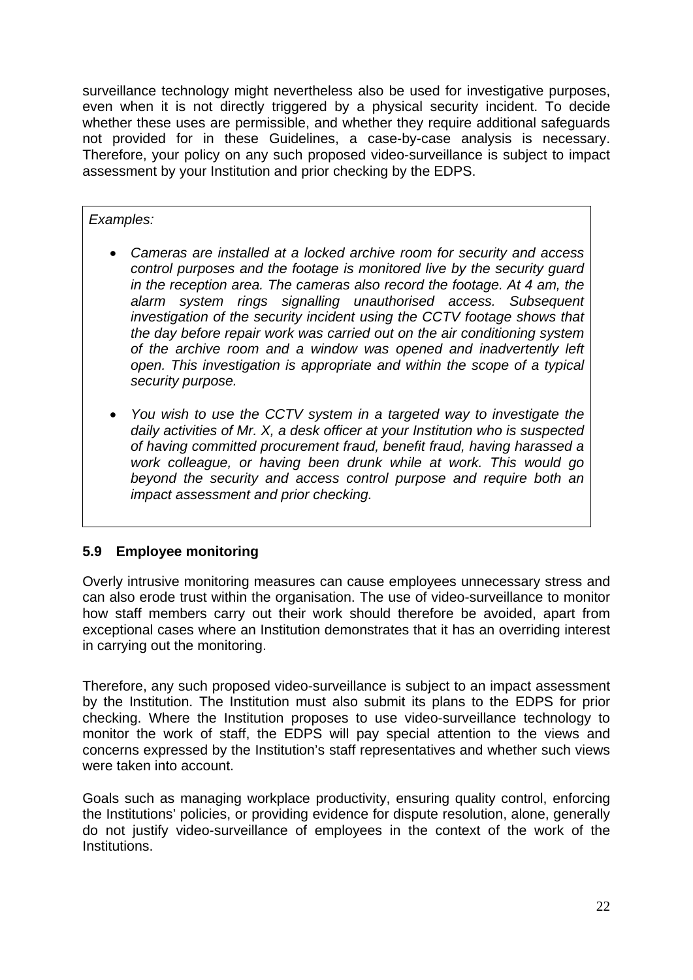surveillance technology might nevertheless also be used for investigative purposes, even when it is not directly triggered by a physical security incident. To decide whether these uses are permissible, and whether they require additional safeguards not provided for in these Guidelines, a case-by-case analysis is necessary. Therefore, your policy on any such proposed video-surveillance is subject to impact assessment by your Institution and prior checking by the EDPS.

#### *Examples:*

- *Cameras are installed at a locked archive room for security and access control purposes and the footage is monitored live by the security guard in the reception area. The cameras also record the footage. At 4 am, the alarm system rings signalling unauthorised access. Subsequent investigation of the security incident using the CCTV footage shows that the day before repair work was carried out on the air conditioning system of the archive room and a window was opened and inadvertently left open. This investigation is appropriate and within the scope of a typical security purpose.*
- *You wish to use the CCTV system in a targeted way to investigate the daily activities of Mr. X, a desk officer at your Institution who is suspected of having committed procurement fraud, benefit fraud, having harassed a work colleague, or having been drunk while at work. This would go beyond the security and access control purpose and require both an impact assessment and prior checking.*

### <span id="page-21-0"></span>**5.9 Employee monitoring**

Overly intrusive monitoring measures can cause employees unnecessary stress and can also erode trust within the organisation. The use of video-surveillance to monitor how staff members carry out their work should therefore be avoided, apart from exceptional cases where an Institution demonstrates that it has an overriding interest in carrying out the monitoring.

Therefore, any such proposed video-surveillance is subject to an impact assessment by the Institution. The Institution must also submit its plans to the EDPS for prior checking. Where the Institution proposes to use video-surveillance technology to monitor the work of staff, the EDPS will pay special attention to the views and concerns expressed by the Institution's staff representatives and whether such views were taken into account.

Goals such as managing workplace productivity, ensuring quality control, enforcing the Institutions' policies, or providing evidence for dispute resolution, alone, generally do not justify video-surveillance of employees in the context of the work of the Institutions.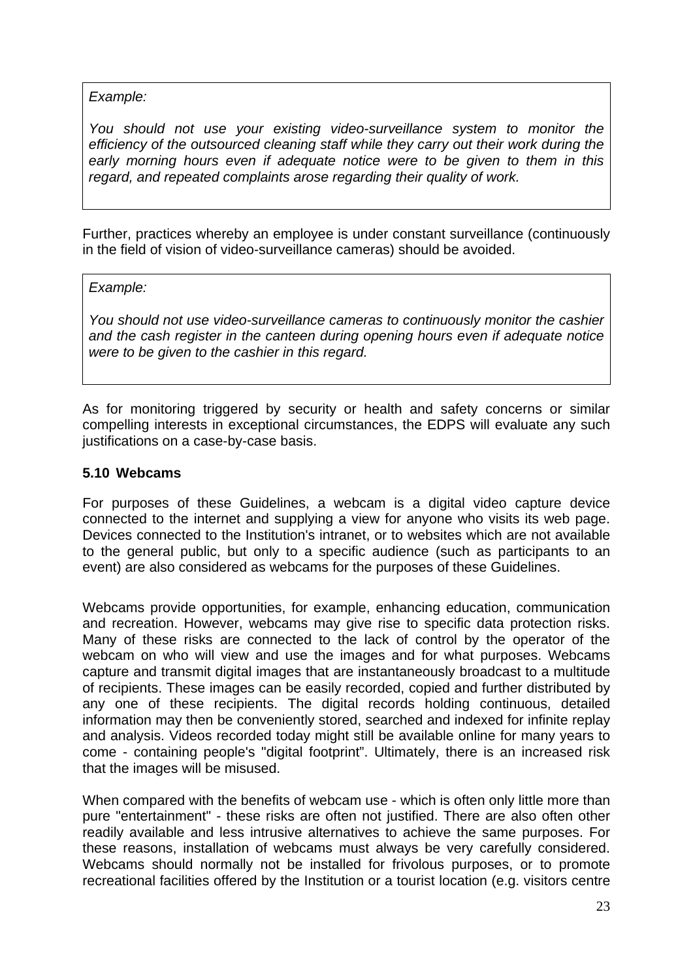#### *Example:*

*You should not use your existing video-surveillance system to monitor the efficiency of the outsourced cleaning staff while they carry out their work during the early morning hours even if adequate notice were to be given to them in this regard, and repeated complaints arose regarding their quality of work.* 

Further, practices whereby an employee is under constant surveillance (continuously in the field of vision of video-surveillance cameras) should be avoided.

#### *Example:*

*You should not use video-surveillance cameras to continuously monitor the cashier and the cash register in the canteen during opening hours even if adequate notice were to be given to the cashier in this regard.* 

As for monitoring triggered by security or health and safety concerns or similar compelling interests in exceptional circumstances, the EDPS will evaluate any such justifications on a case-by-case basis.

### <span id="page-22-0"></span>**5.10 Webcams**

For purposes of these Guidelines, a webcam is a digital [video capture](http://en.wikipedia.org/wiki/Video_capture) device connected to the internet and supplying a view for anyone who visits its web page. Devices connected to the Institution's intranet, or to websites which are not available to the general public, but only to a specific audience (such as participants to an event) are also considered as webcams for the purposes of these Guidelines.

Webcams provide opportunities, for example, enhancing education, communication and recreation. However, webcams may give rise to specific data protection risks. Many of these risks are connected to the lack of control by the operator of the webcam on who will view and use the images and for what purposes. Webcams capture and transmit digital images that are instantaneously broadcast to a multitude of recipients. These images can be easily recorded, copied and further distributed by any one of these recipients. The digital records holding continuous, detailed information may then be conveniently stored, searched and indexed for infinite replay and analysis. Videos recorded today might still be available online for many years to come - containing people's "digital footprint". Ultimately, there is an increased risk that the images will be misused.

When compared with the benefits of webcam use - which is often only little more than pure "entertainment" - these risks are often not justified. There are also often other readily available and less intrusive alternatives to achieve the same purposes. For these reasons, installation of webcams must always be very carefully considered. Webcams should normally not be installed for frivolous purposes, or to promote recreational facilities offered by the Institution or a tourist location (e.g. visitors centre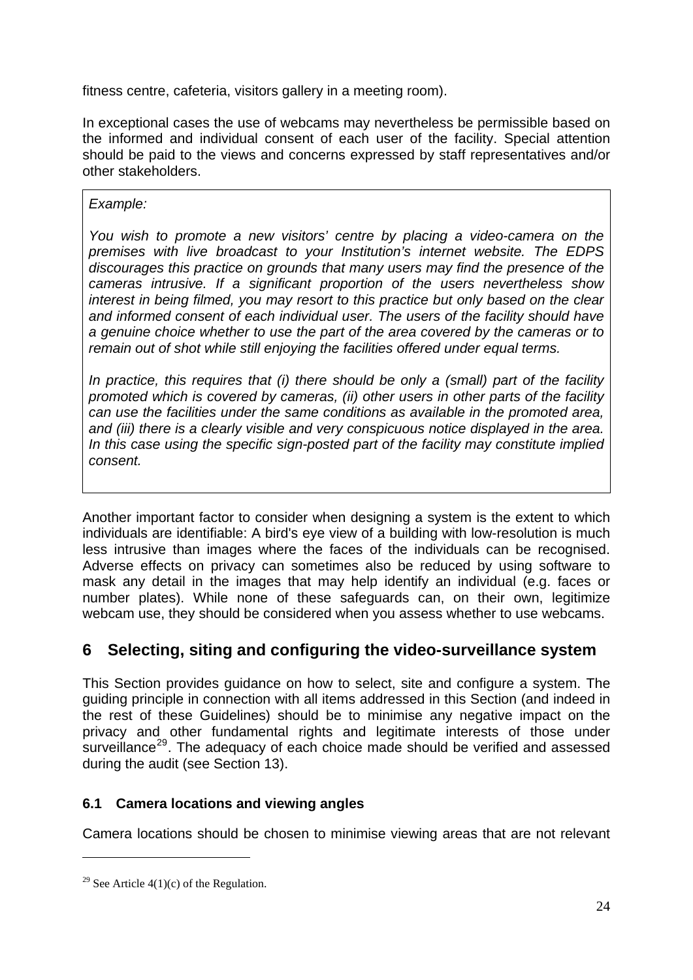fitness centre, cafeteria, visitors gallery in a meeting room).

In exceptional cases the use of webcams may nevertheless be permissible based on the informed and individual consent of each user of the facility. Special attention should be paid to the views and concerns expressed by staff representatives and/or other stakeholders.

## *Example:*

*You wish to promote a new visitors' centre by placing a video-camera on the premises with live broadcast to your Institution's internet website. The EDPS discourages this practice on grounds that many users may find the presence of the cameras intrusive. If a significant proportion of the users nevertheless show interest in being filmed, you may resort to this practice but only based on the clear and informed consent of each individual user. The users of the facility should have a genuine choice whether to use the part of the area covered by the cameras or to remain out of shot while still enjoying the facilities offered under equal terms.* 

*In practice, this requires that (i) there should be only a (small) part of the facility promoted which is covered by cameras, (ii) other users in other parts of the facility can use the facilities under the same conditions as available in the promoted area, and (iii) there is a clearly visible and very conspicuous notice displayed in the area. In this case using the specific sign-posted part of the facility may constitute implied consent.* 

Another important factor to consider when designing a system is the extent to which individuals are identifiable: A bird's eye view of a building with low-resolution is much less intrusive than images where the faces of the individuals can be recognised. Adverse effects on privacy can sometimes also be reduced by using software to mask any detail in the images that may help identify an individual (e.g. faces or number plates). While none of these safeguards can, on their own, legitimize webcam use, they should be considered when you assess whether to use webcams.

## <span id="page-23-0"></span>**6 Selecting, siting and configuring the video-surveillance system**

This Section provides guidance on how to select, site and configure a system. The guiding principle in connection with all items addressed in this Section (and indeed in the rest of these Guidelines) should be to minimise any negative impact on the privacy and other fundamental rights and legitimate interests of those under surveillance<sup>[29](#page-23-2)</sup>. The adequacy of each choice made should be verified and assessed during the audit (see Section 13).

## <span id="page-23-1"></span>**6.1 Camera locations and viewing angles**

Camera locations should be chosen to minimise viewing areas that are not relevant

<span id="page-23-2"></span><sup>&</sup>lt;sup>29</sup> See Article  $4(1)(c)$  of the Regulation.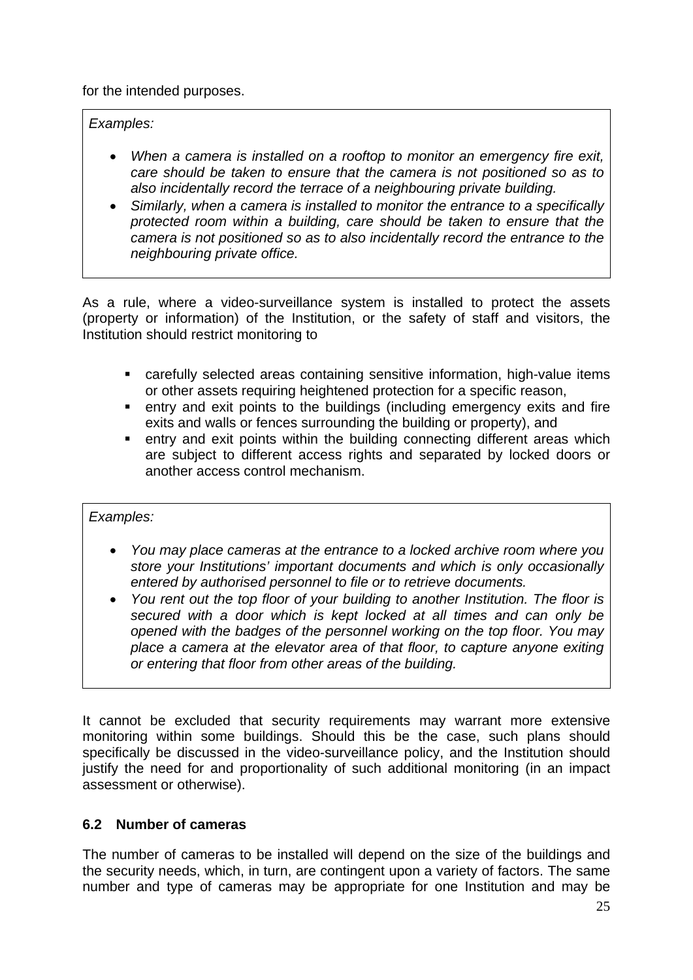for the intended purposes.

*Examples:* 

- *When a camera is installed on a rooftop to monitor an emergency fire exit, care should be taken to ensure that the camera is not positioned so as to also incidentally record the terrace of a neighbouring private building.*
- *Similarly, when a camera is installed to monitor the entrance to a specifically protected room within a building, care should be taken to ensure that the camera is not positioned so as to also incidentally record the entrance to the neighbouring private office.*

As a rule, where a video-surveillance system is installed to protect the assets (property or information) of the Institution, or the safety of staff and visitors, the Institution should restrict monitoring to

- carefully selected areas containing sensitive information, high-value items or other assets requiring heightened protection for a specific reason,
- entry and exit points to the buildings (including emergency exits and fire exits and walls or fences surrounding the building or property), and
- **EXT** entry and exit points within the building connecting different areas which are subject to different access rights and separated by locked doors or another access control mechanism.

*Examples:* 

- *You may place cameras at the entrance to a locked archive room where you store your Institutions' important documents and which is only occasionally entered by authorised personnel to file or to retrieve documents.*
- *You rent out the top floor of your building to another Institution. The floor is secured with a door which is kept locked at all times and can only be opened with the badges of the personnel working on the top floor. You may place a camera at the elevator area of that floor, to capture anyone exiting or entering that floor from other areas of the building.*

It cannot be excluded that security requirements may warrant more extensive monitoring within some buildings. Should this be the case, such plans should specifically be discussed in the video-surveillance policy, and the Institution should justify the need for and proportionality of such additional monitoring (in an impact assessment or otherwise).

## <span id="page-24-0"></span>**6.2 Number of cameras**

The number of cameras to be installed will depend on the size of the buildings and the security needs, which, in turn, are contingent upon a variety of factors. The same number and type of cameras may be appropriate for one Institution and may be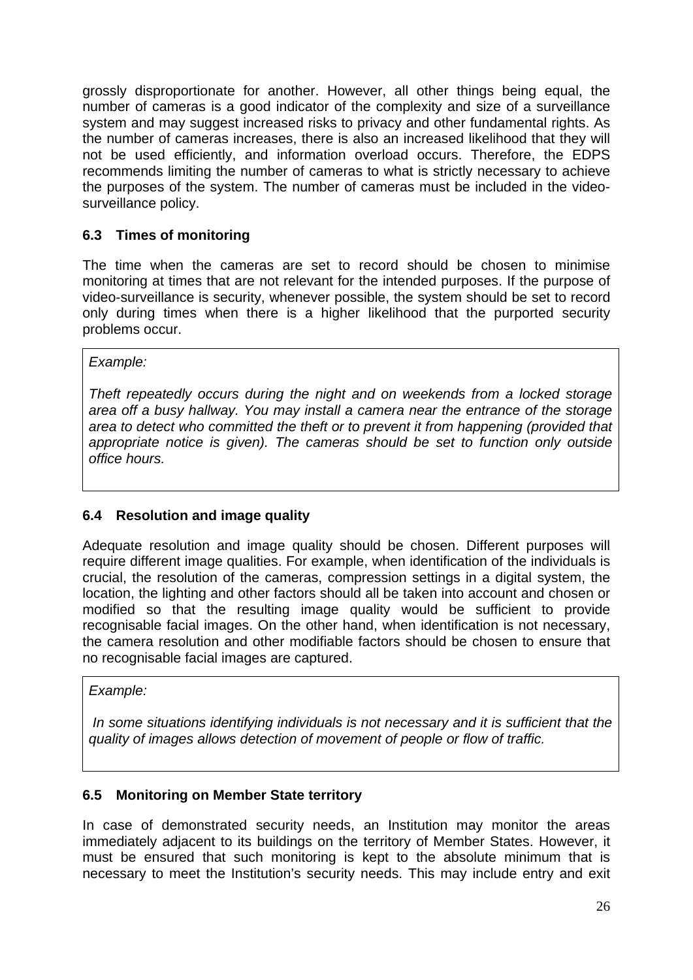grossly disproportionate for another. However, all other things being equal, the number of cameras is a good indicator of the complexity and size of a surveillance system and may suggest increased risks to privacy and other fundamental rights. As the number of cameras increases, there is also an increased likelihood that they will not be used efficiently, and information overload occurs. Therefore, the EDPS recommends limiting the number of cameras to what is strictly necessary to achieve the purposes of the system. The number of cameras must be included in the videosurveillance policy.

## <span id="page-25-0"></span>**6.3 Times of monitoring**

The time when the cameras are set to record should be chosen to minimise monitoring at times that are not relevant for the intended purposes. If the purpose of video-surveillance is security, whenever possible, the system should be set to record only during times when there is a higher likelihood that the purported security problems occur.

#### *Example:*

*Theft repeatedly occurs during the night and on weekends from a locked storage area off a busy hallway. You may install a camera near the entrance of the storage area to detect who committed the theft or to prevent it from happening (provided that appropriate notice is given). The cameras should be set to function only outside office hours.* 

### <span id="page-25-1"></span>**6.4 Resolution and image quality**

Adequate resolution and image quality should be chosen. Different purposes will require different image qualities. For example, when identification of the individuals is crucial, the resolution of the cameras, compression settings in a digital system, the location, the lighting and other factors should all be taken into account and chosen or modified so that the resulting image quality would be sufficient to provide recognisable facial images. On the other hand, when identification is not necessary, the camera resolution and other modifiable factors should be chosen to ensure that no recognisable facial images are captured.

#### *Example:*

 *In some situations identifying individuals is not necessary and it is sufficient that the quality of images allows detection of movement of people or flow of traffic.* 

#### <span id="page-25-2"></span>**6.5 Monitoring on Member State territory**

In case of demonstrated security needs, an Institution may monitor the areas immediately adjacent to its buildings on the territory of Member States. However, it must be ensured that such monitoring is kept to the absolute minimum that is necessary to meet the Institution's security needs. This may include entry and exit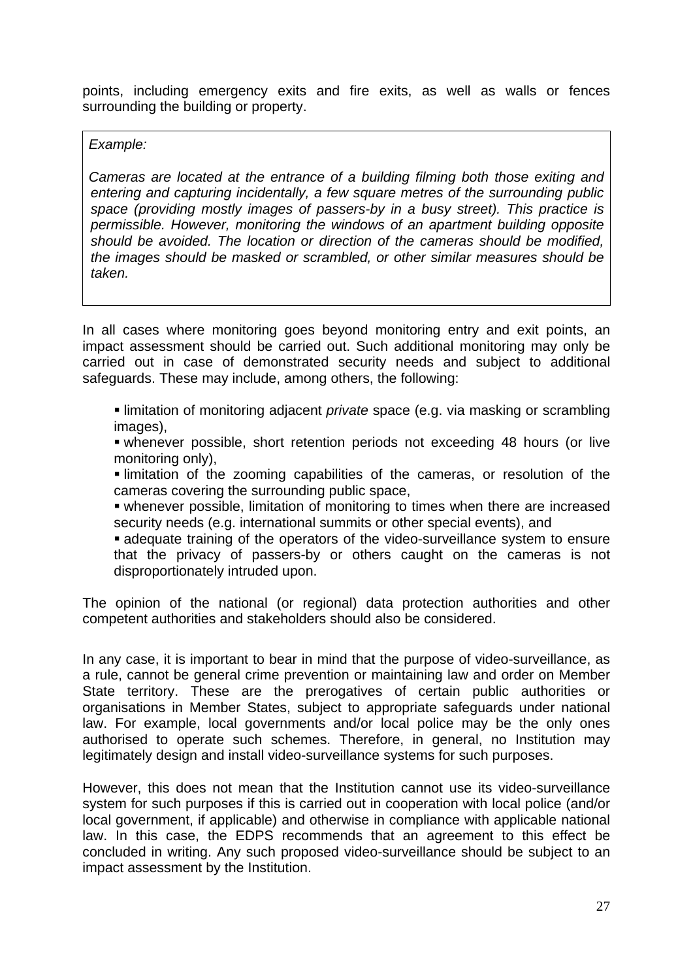points, including emergency exits and fire exits, as well as walls or fences surrounding the building or property.

#### *Example:*

*Cameras are located at the entrance of a building filming both those exiting and entering and capturing incidentally, a few square metres of the surrounding public space (providing mostly images of passers-by in a busy street). This practice is permissible. However, monitoring the windows of an apartment building opposite should be avoided. The location or direction of the cameras should be modified, the images should be masked or scrambled, or other similar measures should be taken.* 

In all cases where monitoring goes beyond monitoring entry and exit points, an impact assessment should be carried out. Such additional monitoring may only be carried out in case of demonstrated security needs and subject to additional safeguards. These may include, among others, the following:

 limitation of monitoring adjacent *private* space (e.g. via masking or scrambling images),

 whenever possible, short retention periods not exceeding 48 hours (or live monitoring only),

 limitation of the zooming capabilities of the cameras, or resolution of the cameras covering the surrounding public space,

 whenever possible, limitation of monitoring to times when there are increased security needs (e.g. international summits or other special events), and

 adequate training of the operators of the video-surveillance system to ensure that the privacy of passers-by or others caught on the cameras is not disproportionately intruded upon.

The opinion of the national (or regional) data protection authorities and other competent authorities and stakeholders should also be considered.

In any case, it is important to bear in mind that the purpose of video-surveillance, as a rule, cannot be general crime prevention or maintaining law and order on Member State territory. These are the prerogatives of certain public authorities or organisations in Member States, subject to appropriate safeguards under national law. For example, local governments and/or local police may be the only ones authorised to operate such schemes. Therefore, in general, no Institution may legitimately design and install video-surveillance systems for such purposes.

However, this does not mean that the Institution cannot use its video-surveillance system for such purposes if this is carried out in cooperation with local police (and/or local government, if applicable) and otherwise in compliance with applicable national law. In this case, the EDPS recommends that an agreement to this effect be concluded in writing. Any such proposed video-surveillance should be subject to an impact assessment by the Institution.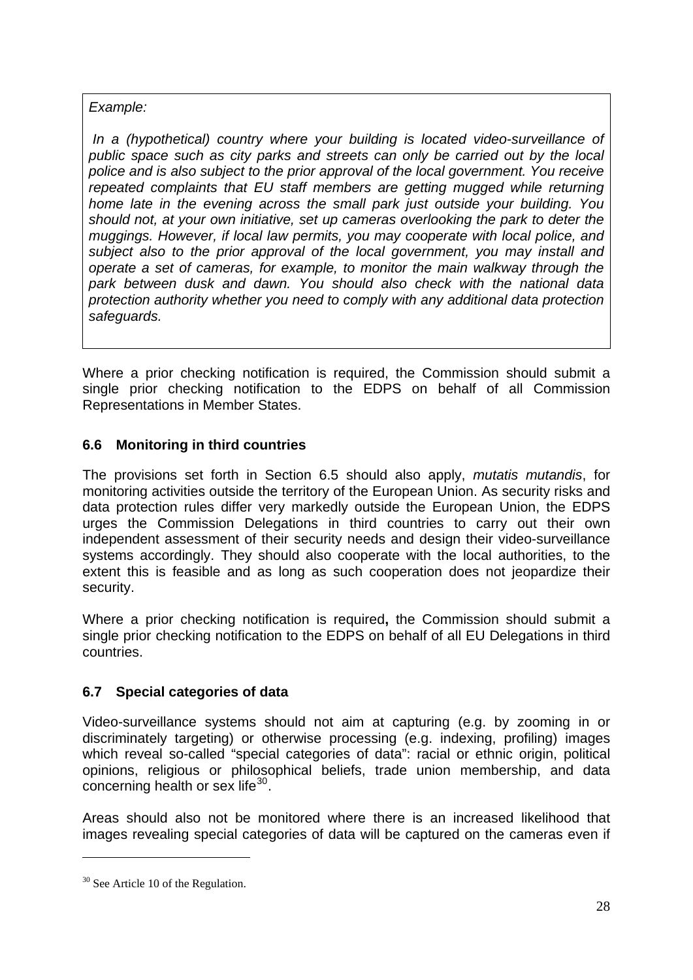## *Example:*

 *In a (hypothetical) country where your building is located video-surveillance of public space such as city parks and streets can only be carried out by the local police and is also subject to the prior approval of the local government. You receive repeated complaints that EU staff members are getting mugged while returning home late in the evening across the small park just outside your building. You should not, at your own initiative, set up cameras overlooking the park to deter the muggings. However, if local law permits, you may cooperate with local police, and subject also to the prior approval of the local government, you may install and operate a set of cameras, for example, to monitor the main walkway through the park between dusk and dawn. You should also check with the national data protection authority whether you need to comply with any additional data protection safeguards.* 

Where a prior checking notification is required, the Commission should submit a single prior checking notification to the EDPS on behalf of all Commission Representations in Member States.

## <span id="page-27-0"></span>**6.6 Monitoring in third countries**

The provisions set forth in Section 6.5 should also apply, *mutatis mutandis*, for monitoring activities outside the territory of the European Union. As security risks and data protection rules differ very markedly outside the European Union, the EDPS urges the Commission Delegations in third countries to carry out their own independent assessment of their security needs and design their video-surveillance systems accordingly. They should also cooperate with the local authorities, to the extent this is feasible and as long as such cooperation does not jeopardize their security.

Where a prior checking notification is required**,** the Commission should submit a single prior checking notification to the EDPS on behalf of all EU Delegations in third countries.

## <span id="page-27-1"></span>**6.7 Special categories of data**

Video-surveillance systems should not aim at capturing (e.g. by zooming in or discriminately targeting) or otherwise processing (e.g. indexing, profiling) images which reveal so-called "special categories of data": racial or ethnic origin, political opinions, religious or philosophical beliefs, trade union membership, and data concerning health or sex life $30$ .

Areas should also not be monitored where there is an increased likelihood that images revealing special categories of data will be captured on the cameras even if

<span id="page-27-2"></span> $30$  See Article 10 of the Regulation.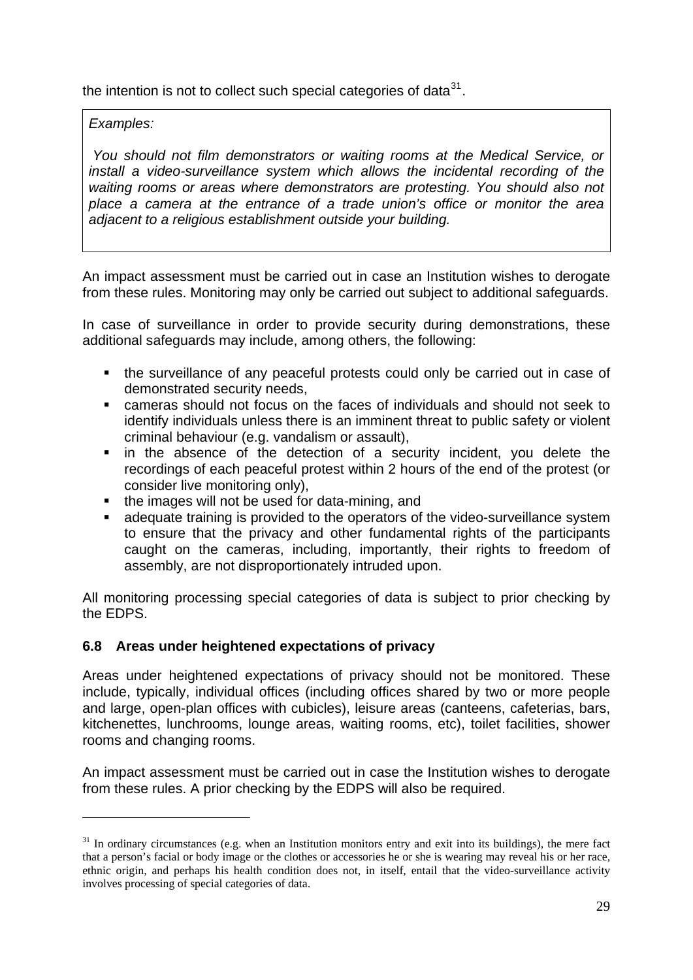the intention is not to collect such special categories of data $31$ .

## *Examples:*

-

 *You should not film demonstrators or waiting rooms at the Medical Service, or install a video-surveillance system which allows the incidental recording of the waiting rooms or areas where demonstrators are protesting. You should also not place a camera at the entrance of a trade union's office or monitor the area adjacent to a religious establishment outside your building.* 

An impact assessment must be carried out in case an Institution wishes to derogate from these rules. Monitoring may only be carried out subject to additional safeguards.

In case of surveillance in order to provide security during demonstrations, these additional safeguards may include, among others, the following:

- the surveillance of any peaceful protests could only be carried out in case of demonstrated security needs,
- cameras should not focus on the faces of individuals and should not seek to identify individuals unless there is an imminent threat to public safety or violent criminal behaviour (e.g. vandalism or assault),
- in the absence of the detection of a security incident, you delete the recordings of each peaceful protest within 2 hours of the end of the protest (or consider live monitoring only),
- the images will not be used for data-mining, and
- adequate training is provided to the operators of the video-surveillance system to ensure that the privacy and other fundamental rights of the participants caught on the cameras, including, importantly, their rights to freedom of assembly, are not disproportionately intruded upon.

All monitoring processing special categories of data is subject to prior checking by the EDPS.

### <span id="page-28-0"></span>**6.8 Areas under heightened expectations of privacy**

Areas under heightened expectations of privacy should not be monitored. These include, typically, individual offices (including offices shared by two or more people and large, open-plan offices with cubicles), leisure areas (canteens, cafeterias, bars, kitchenettes, lunchrooms, lounge areas, waiting rooms, etc), toilet facilities, shower rooms and changing rooms.

An impact assessment must be carried out in case the Institution wishes to derogate from these rules. A prior checking by the EDPS will also be required.

<span id="page-28-1"></span><sup>&</sup>lt;sup>31</sup> In ordinary circumstances (e.g. when an Institution monitors entry and exit into its buildings), the mere fact that a person's facial or body image or the clothes or accessories he or she is wearing may reveal his or her race, ethnic origin, and perhaps his health condition does not, in itself, entail that the video-surveillance activity involves processing of special categories of data.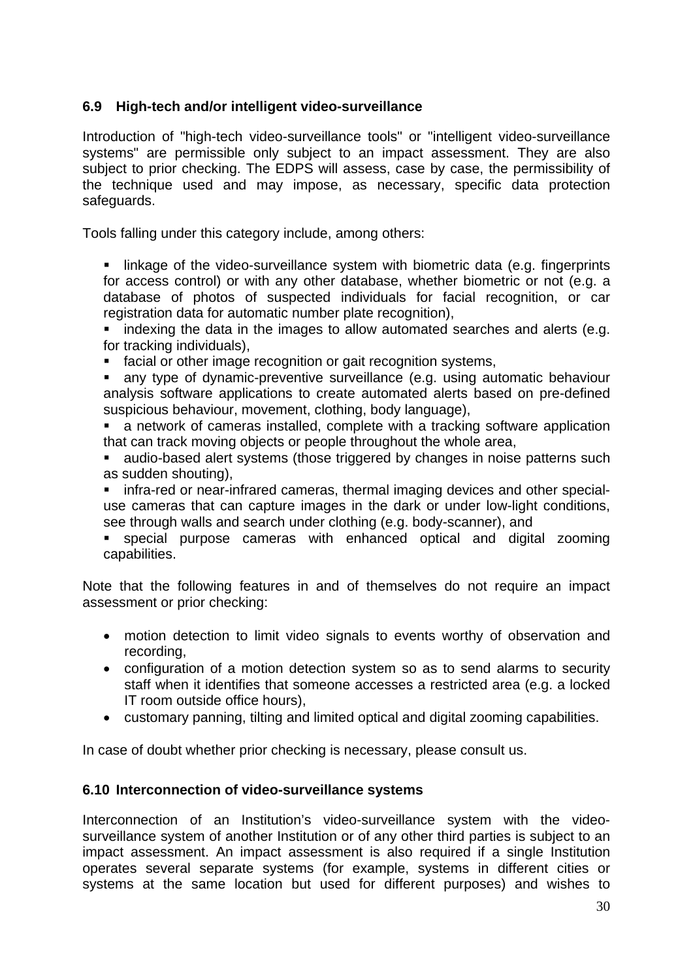### <span id="page-29-0"></span>**6.9 High-tech and/or intelligent video-surveillance**

Introduction of "high-tech video-surveillance tools" or "intelligent video-surveillance systems" are permissible only subject to an impact assessment. They are also subject to prior checking. The EDPS will assess, case by case, the permissibility of the technique used and may impose, as necessary, specific data protection safeguards.

Tools falling under this category include, among others:

**If linkage of the video-surveillance system with biometric data (e.g. fingerprints** for access control) or with any other database, whether biometric or not (e.g. a database of photos of suspected individuals for facial recognition, or car registration data for automatic number plate recognition),

• indexing the data in the images to allow automated searches and alerts (e.g. for tracking individuals),

facial or other image recognition or gait recognition systems,

 any type of dynamic-preventive surveillance (e.g. using automatic behaviour analysis software applications to create automated alerts based on pre-defined suspicious behaviour, movement, clothing, body language),

 a network of cameras installed, complete with a tracking software application that can track moving objects or people throughout the whole area,

**audio-based alert systems (those triggered by changes in noise patterns such** as sudden shouting),

 infra-red or near-infrared cameras, thermal imaging devices and other specialuse cameras that can capture images in the dark or under low-light conditions, see through walls and search under clothing (e.g. body-scanner), and

 special purpose cameras with enhanced optical and digital zooming capabilities.

Note that the following features in and of themselves do not require an impact assessment or prior checking:

- motion detection to limit video signals to events worthy of observation and recording,
- configuration of a motion detection system so as to send alarms to security staff when it identifies that someone accesses a restricted area (e.g. a locked IT room outside office hours),
- customary panning, tilting and limited optical and digital zooming capabilities.

In case of doubt whether prior checking is necessary, please consult us.

#### <span id="page-29-1"></span>**6.10 Interconnection of video-surveillance systems**

Interconnection of an Institution's video-surveillance system with the videosurveillance system of another Institution or of any other third parties is subject to an impact assessment. An impact assessment is also required if a single Institution operates several separate systems (for example, systems in different cities or systems at the same location but used for different purposes) and wishes to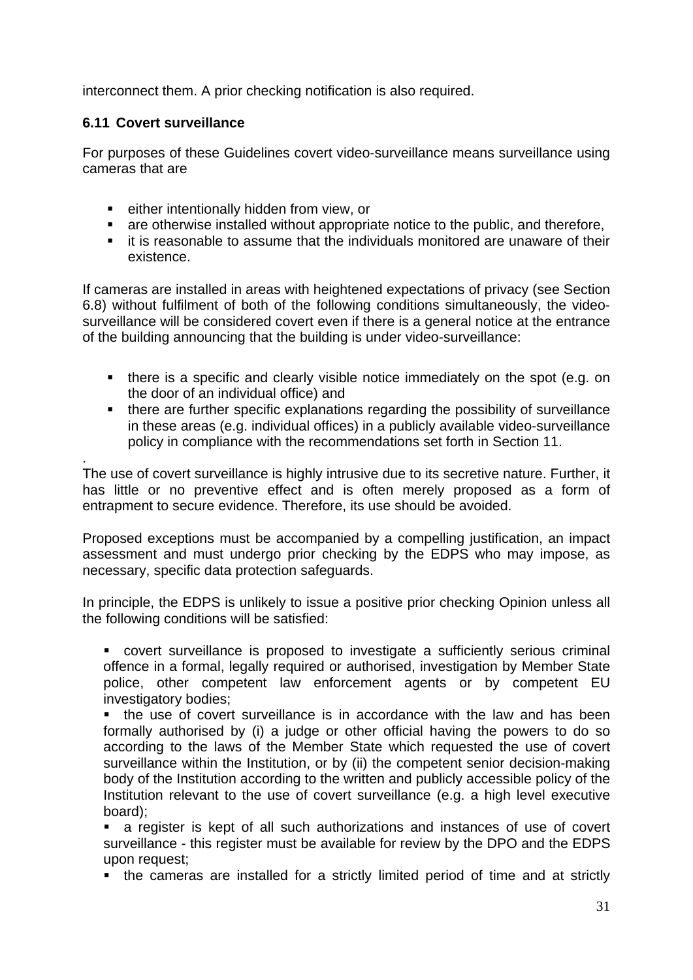interconnect them. A prior checking notification is also required.

#### <span id="page-30-0"></span>**6.11 Covert surveillance**

For purposes of these Guidelines covert video-surveillance means surveillance using cameras that are

- **EXECT** either intentionally hidden from view, or
- are otherwise installed without appropriate notice to the public, and therefore,
- **EXT** it is reasonable to assume that the individuals monitored are unaware of their existence.

If cameras are installed in areas with heightened expectations of privacy (see Section 6.8) without fulfilment of both of the following conditions simultaneously, the videosurveillance will be considered covert even if there is a general notice at the entrance of the building announcing that the building is under video-surveillance:

- there is a specific and clearly visible notice immediately on the spot (e.g. on the door of an individual office) and
- there are further specific explanations regarding the possibility of surveillance in these areas (e.g. individual offices) in a publicly available video-surveillance policy in compliance with the recommendations set forth in Section 11.

. The use of covert surveillance is highly intrusive due to its secretive nature. Further, it has little or no preventive effect and is often merely proposed as a form of entrapment to secure evidence. Therefore, its use should be avoided.

Proposed exceptions must be accompanied by a compelling justification, an impact assessment and must undergo prior checking by the EDPS who may impose, as necessary, specific data protection safeguards.

In principle, the EDPS is unlikely to issue a positive prior checking Opinion unless all the following conditions will be satisfied:

 covert surveillance is proposed to investigate a sufficiently serious criminal offence in a formal, legally required or authorised, investigation by Member State police, other competent law enforcement agents or by competent EU investigatory bodies;

 the use of covert surveillance is in accordance with the law and has been formally authorised by (i) a judge or other official having the powers to do so according to the laws of the Member State which requested the use of covert surveillance within the Institution, or by (ii) the competent senior decision-making body of the Institution according to the written and publicly accessible policy of the Institution relevant to the use of covert surveillance (e.g. a high level executive board);

 a register is kept of all such authorizations and instances of use of covert surveillance - this register must be available for review by the DPO and the EDPS upon request;

the cameras are installed for a strictly limited period of time and at strictly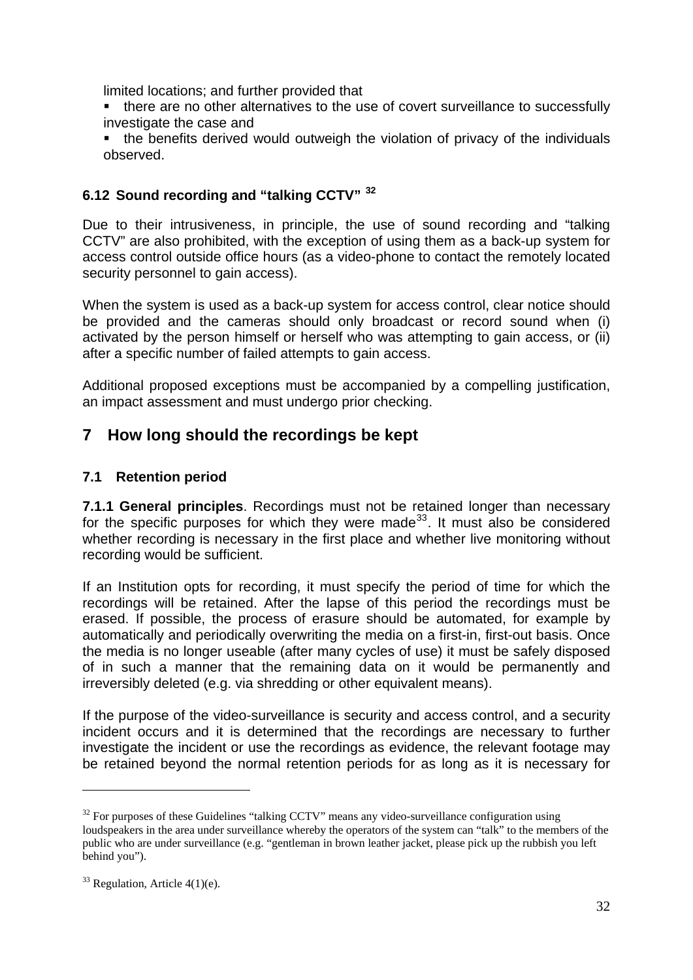limited locations; and further provided that

- there are no other alternatives to the use of covert surveillance to successfully investigate the case and
- the benefits derived would outweigh the violation of privacy of the individuals observed.

## <span id="page-31-0"></span>**6.12 Sound recording and "talking CCTV" [32](#page-31-3)**

Due to their intrusiveness, in principle, the use of sound recording and "talking CCTV" are also prohibited, with the exception of using them as a back-up system for access control outside office hours (as a video-phone to contact the remotely located security personnel to gain access).

When the system is used as a back-up system for access control, clear notice should be provided and the cameras should only broadcast or record sound when (i) activated by the person himself or herself who was attempting to gain access, or (ii) after a specific number of failed attempts to gain access.

Additional proposed exceptions must be accompanied by a compelling justification, an impact assessment and must undergo prior checking.

## <span id="page-31-1"></span>**7 How long should the recordings be kept**

## <span id="page-31-2"></span>**7.1 Retention period**

**7.1.1 General principles**. Recordings must not be retained longer than necessary for the specific purposes for which they were made<sup>[33](#page-31-4)</sup>. It must also be considered whether recording is necessary in the first place and whether live monitoring without recording would be sufficient.

If an Institution opts for recording, it must specify the period of time for which the recordings will be retained. After the lapse of this period the recordings must be erased. If possible, the process of erasure should be automated, for example by automatically and periodically overwriting the media on a first-in, first-out basis. Once the media is no longer useable (after many cycles of use) it must be safely disposed of in such a manner that the remaining data on it would be permanently and irreversibly deleted (e.g. via shredding or other equivalent means).

If the purpose of the video-surveillance is security and access control, and a security incident occurs and it is determined that the recordings are necessary to further investigate the incident or use the recordings as evidence, the relevant footage may be retained beyond the normal retention periods for as long as it is necessary for

<span id="page-31-3"></span> $32$  For purposes of these Guidelines "talking CCTV" means any video-surveillance configuration using loudspeakers in the area under surveillance whereby the operators of the system can "talk" to the members of the public who are under surveillance (e.g. "gentleman in brown leather jacket, please pick up the rubbish you left behind you").

<span id="page-31-4"></span> $33$  Regulation, Article 4(1)(e).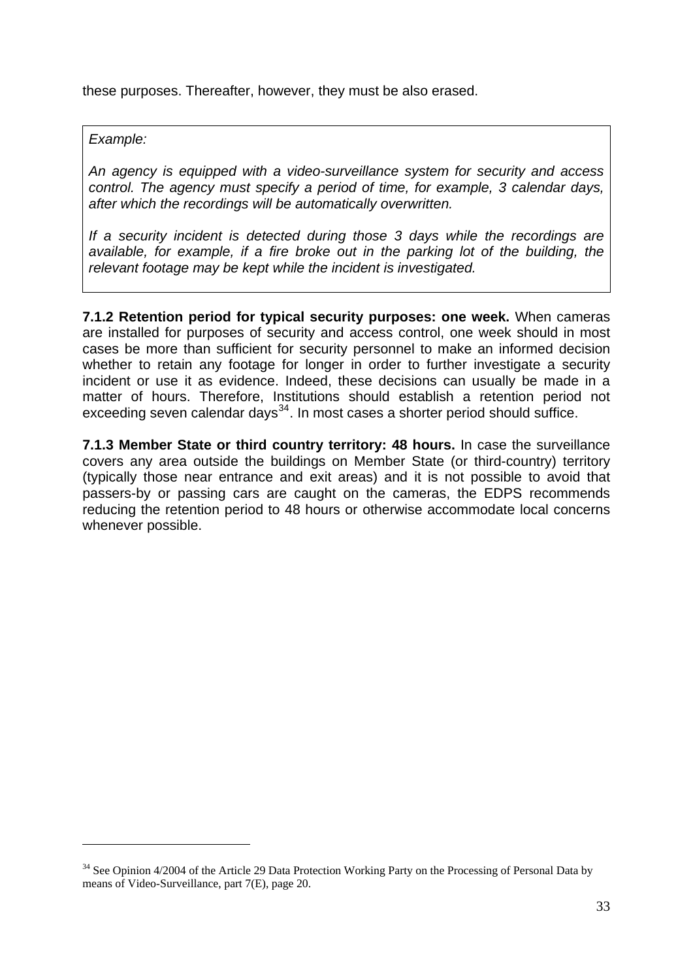these purposes. Thereafter, however, they must be also erased.

#### *Example:*

-

*An agency is equipped with a video-surveillance system for security and access control. The agency must specify a period of time, for example, 3 calendar days, after which the recordings will be automatically overwritten.* 

*If a security incident is detected during those 3 days while the recordings are available, for example, if a fire broke out in the parking lot of the building, the relevant footage may be kept while the incident is investigated.*

**7.1.2 Retention period for typical security purposes: one week.** When cameras are installed for purposes of security and access control, one week should in most cases be more than sufficient for security personnel to make an informed decision whether to retain any footage for longer in order to further investigate a security incident or use it as evidence. Indeed, these decisions can usually be made in a matter of hours. Therefore, Institutions should establish a retention period not exceeding seven calendar days<sup>[34](#page-32-0)</sup>. In most cases a shorter period should suffice.

**7.1.3 Member State or third country territory: 48 hours.** In case the surveillance covers any area outside the buildings on Member State (or third-country) territory (typically those near entrance and exit areas) and it is not possible to avoid that passers-by or passing cars are caught on the cameras, the EDPS recommends reducing the retention period to 48 hours or otherwise accommodate local concerns whenever possible.

<span id="page-32-0"></span><sup>&</sup>lt;sup>34</sup> See Opinion 4/2004 of the Article 29 Data Protection Working Party on the Processing of Personal Data by means of Video-Surveillance, part 7(E), page 20.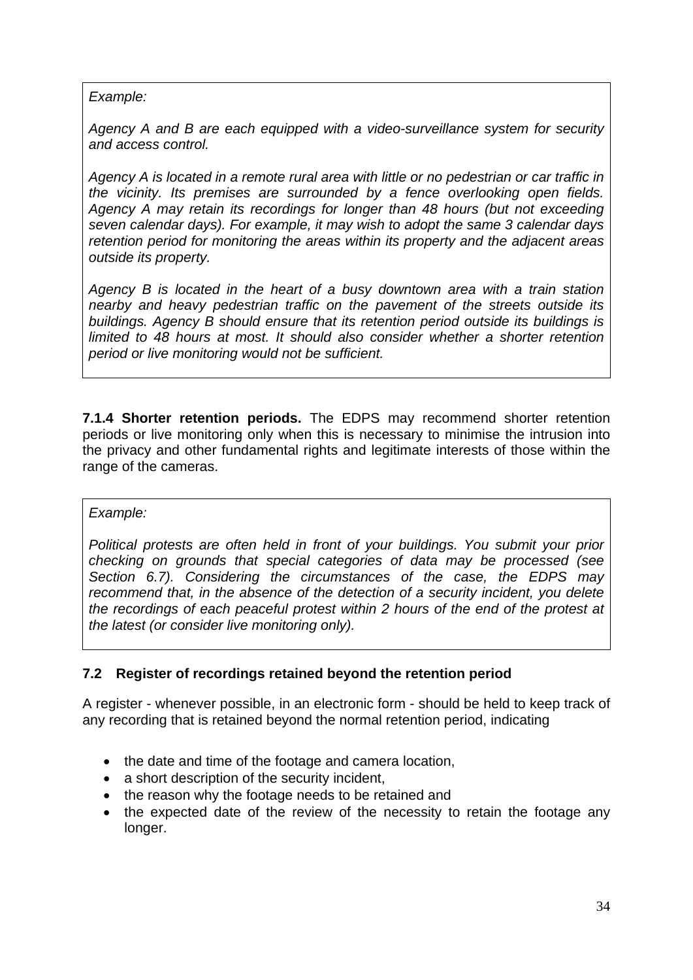#### *Example:*

*Agency A and B are each equipped with a video-surveillance system for security and access control.* 

*Agency A is located in a remote rural area with little or no pedestrian or car traffic in the vicinity. Its premises are surrounded by a fence overlooking open fields. Agency A may retain its recordings for longer than 48 hours (but not exceeding seven calendar days). For example, it may wish to adopt the same 3 calendar days retention period for monitoring the areas within its property and the adjacent areas outside its property.* 

*Agency B is located in the heart of a busy downtown area with a train station nearby and heavy pedestrian traffic on the pavement of the streets outside its buildings. Agency B should ensure that its retention period outside its buildings is*  limited to 48 hours at most. It should also consider whether a shorter retention *period or live monitoring would not be sufficient.*

**7.1.4 Shorter retention periods.** The EDPS may recommend shorter retention periods or live monitoring only when this is necessary to minimise the intrusion into the privacy and other fundamental rights and legitimate interests of those within the range of the cameras.

#### *Example:*

*Political protests are often held in front of your buildings. You submit your prior checking on grounds that special categories of data may be processed (see Section 6.7). Considering the circumstances of the case, the EDPS may recommend that, in the absence of the detection of a security incident, you delete the recordings of each peaceful protest within 2 hours of the end of the protest at the latest (or consider live monitoring only).* 

### <span id="page-33-0"></span>**7.2 Register of recordings retained beyond the retention period**

A register - whenever possible, in an electronic form - should be held to keep track of any recording that is retained beyond the normal retention period, indicating

- the date and time of the footage and camera location,
- a short description of the security incident,
- the reason why the footage needs to be retained and
- the expected date of the review of the necessity to retain the footage any longer.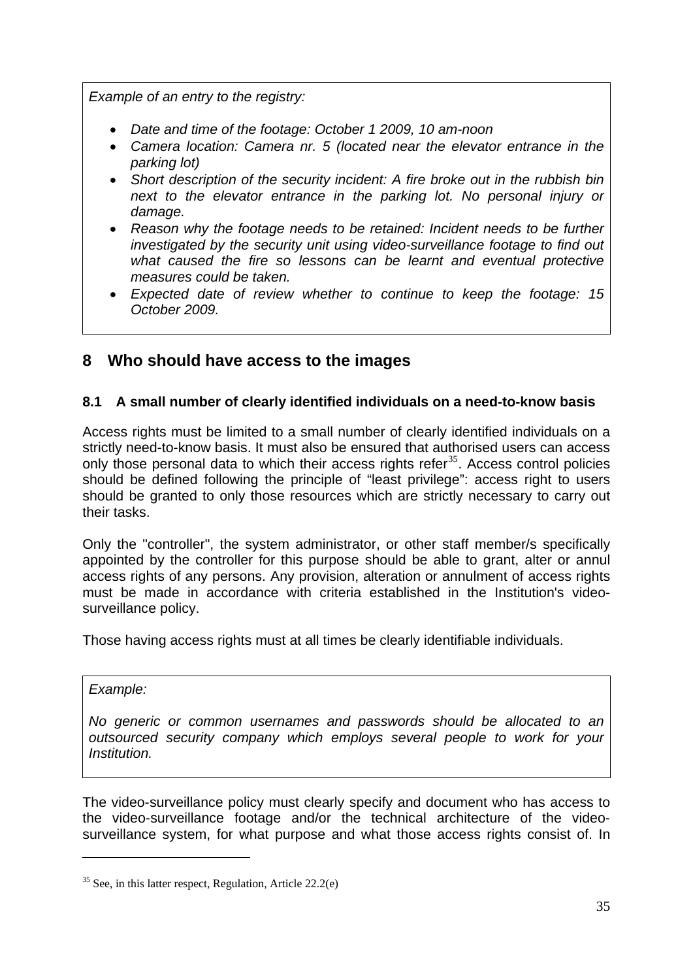*Example of an entry to the registry:* 

- *Date and time of the footage: October 1 2009, 10 am-noon*
- *Camera location: Camera nr. 5 (located near the elevator entrance in the parking lot)*
- *Short description of the security incident: A fire broke out in the rubbish bin next to the elevator entrance in the parking lot. No personal injury or damage.*
- *Reason why the footage needs to be retained: Incident needs to be further investigated by the security unit using video-surveillance footage to find out what caused the fire so lessons can be learnt and eventual protective measures could be taken.*
- *Expected date of review whether to continue to keep the footage: 15 October 2009.*

## <span id="page-34-0"></span>**8 Who should have access to the images**

## <span id="page-34-1"></span>**8.1 A small number of clearly identified individuals on a need-to-know basis**

Access rights must be limited to a small number of clearly identified individuals on a strictly need-to-know basis. It must also be ensured that authorised users can access only those personal data to which their access rights refer<sup>[35](#page-34-2)</sup>. Access control policies should be defined following the principle of "least privilege": access right to users should be granted to only those resources which are strictly necessary to carry out their tasks.

Only the "controller", the system administrator, or other staff member/s specifically appointed by the controller for this purpose should be able to grant, alter or annul access rights of any persons. Any provision, alteration or annulment of access rights must be made in accordance with criteria established in the Institution's videosurveillance policy.

Those having access rights must at all times be clearly identifiable individuals.

#### *Example:*

-

*No generic or common usernames and passwords should be allocated to an outsourced security company which employs several people to work for your Institution.* 

The video-surveillance policy must clearly specify and document who has access to the video-surveillance footage and/or the technical architecture of the videosurveillance system, for what purpose and what those access rights consist of. In

<span id="page-34-2"></span> $35$  See, in this latter respect, Regulation, Article 22.2(e)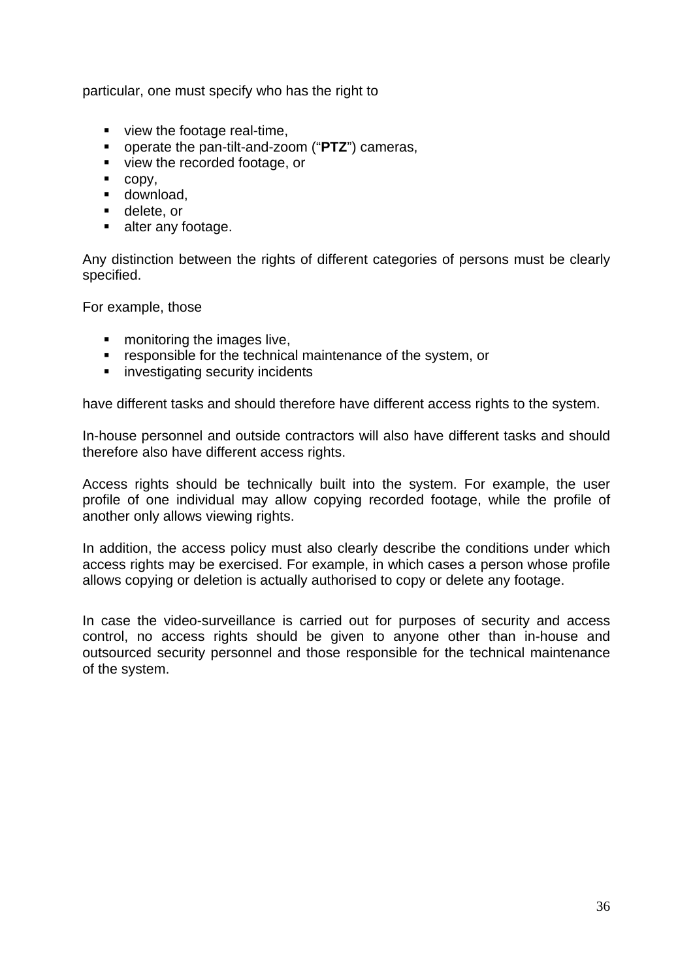particular, one must specify who has the right to

- view the footage real-time,
- operate the pan-tilt-and-zoom ("**PTZ**") cameras,
- view the recorded footage, or
- $\text{-} \text{copy},$
- **download,**
- **delete**, or
- **alter any footage.**

Any distinction between the rights of different categories of persons must be clearly specified.

For example, those

- **n** monitoring the images live,
- **F** responsible for the technical maintenance of the system, or
- **EXECUTE:** investigating security incidents

have different tasks and should therefore have different access rights to the system.

In-house personnel and outside contractors will also have different tasks and should therefore also have different access rights.

Access rights should be technically built into the system. For example, the user profile of one individual may allow copying recorded footage, while the profile of another only allows viewing rights.

In addition, the access policy must also clearly describe the conditions under which access rights may be exercised. For example, in which cases a person whose profile allows copying or deletion is actually authorised to copy or delete any footage.

In case the video-surveillance is carried out for purposes of security and access control, no access rights should be given to anyone other than in-house and outsourced security personnel and those responsible for the technical maintenance of the system.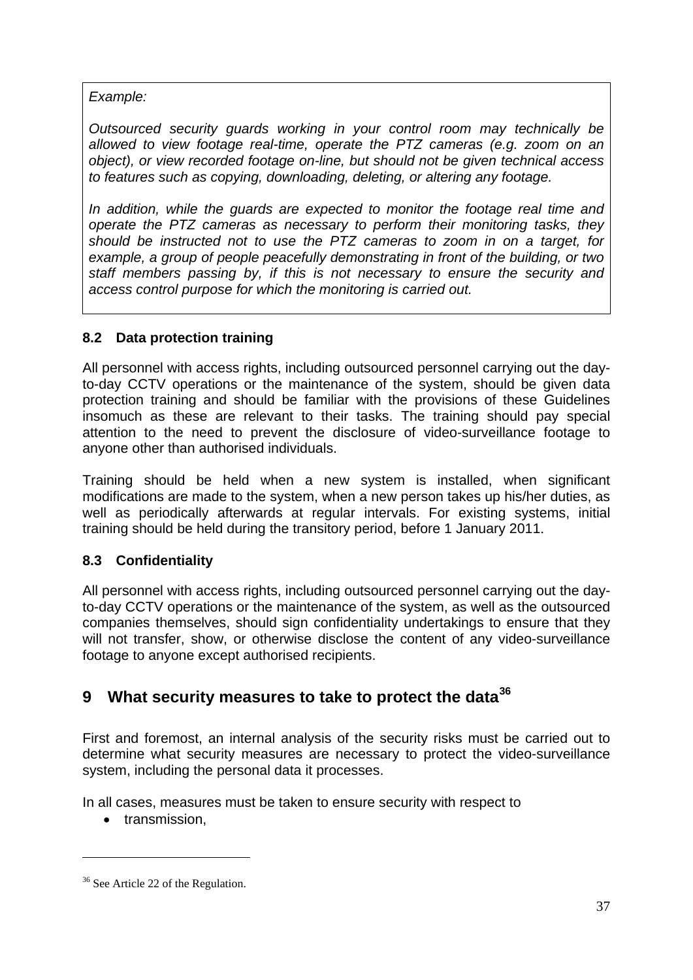*Example:* 

*Outsourced security guards working in your control room may technically be allowed to view footage real-time, operate the PTZ cameras (e.g. zoom on an object), or view recorded footage on-line, but should not be given technical access to features such as copying, downloading, deleting, or altering any footage.* 

*In addition, while the guards are expected to monitor the footage real time and operate the PTZ cameras as necessary to perform their monitoring tasks, they should be instructed not to use the PTZ cameras to zoom in on a target, for example, a group of people peacefully demonstrating in front of the building, or two staff members passing by, if this is not necessary to ensure the security and access control purpose for which the monitoring is carried out.* 

## <span id="page-36-0"></span>**8.2 Data protection training**

All personnel with access rights, including outsourced personnel carrying out the dayto-day CCTV operations or the maintenance of the system, should be given data protection training and should be familiar with the provisions of these Guidelines insomuch as these are relevant to their tasks. The training should pay special attention to the need to prevent the disclosure of video-surveillance footage to anyone other than authorised individuals.

Training should be held when a new system is installed, when significant modifications are made to the system, when a new person takes up his/her duties, as well as periodically afterwards at regular intervals. For existing systems, initial training should be held during the transitory period, before 1 January 2011.

## <span id="page-36-1"></span>**8.3 Confidentiality**

All personnel with access rights, including outsourced personnel carrying out the dayto-day CCTV operations or the maintenance of the system, as well as the outsourced companies themselves, should sign confidentiality undertakings to ensure that they will not transfer, show, or otherwise disclose the content of any video-surveillance footage to anyone except authorised recipients.

# <span id="page-36-2"></span>**9 What security measures to take to protect the data[36](#page-36-3)**

First and foremost, an internal analysis of the security risks must be carried out to determine what security measures are necessary to protect the video-surveillance system, including the personal data it processes.

In all cases, measures must be taken to ensure security with respect to

• transmission.

<span id="page-36-3"></span><sup>&</sup>lt;sup>36</sup> See Article 22 of the Regulation.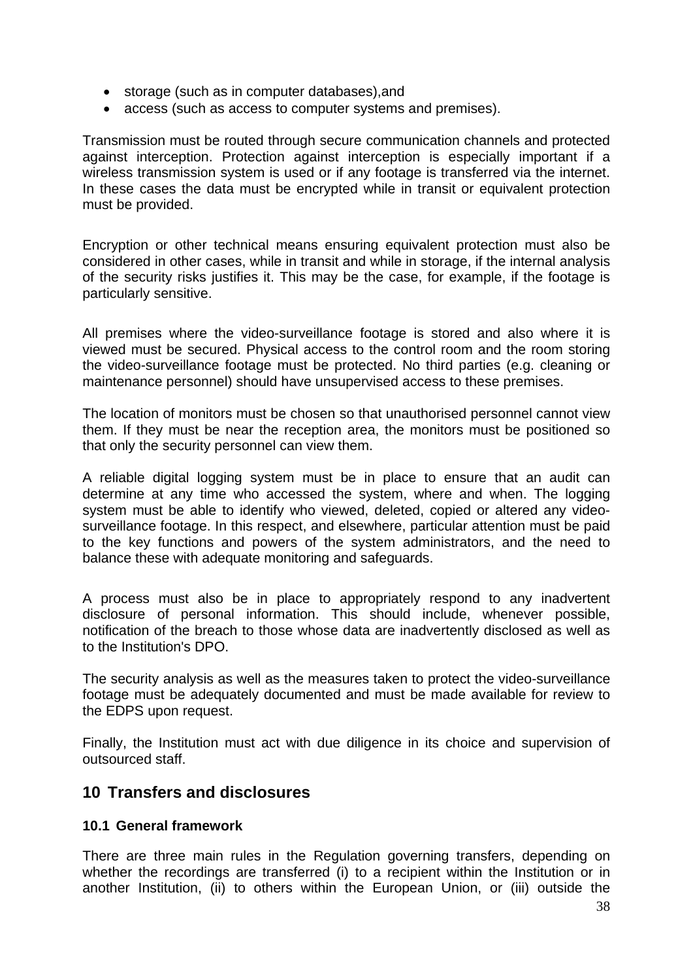- storage (such as in computer databases),and
- access (such as access to computer systems and premises).

Transmission must be routed through secure communication channels and protected against interception. Protection against interception is especially important if a wireless transmission system is used or if any footage is transferred via the internet. In these cases the data must be encrypted while in transit or equivalent protection must be provided.

Encryption or other technical means ensuring equivalent protection must also be considered in other cases, while in transit and while in storage, if the internal analysis of the security risks justifies it. This may be the case, for example, if the footage is particularly sensitive.

All premises where the video-surveillance footage is stored and also where it is viewed must be secured. Physical access to the control room and the room storing the video-surveillance footage must be protected. No third parties (e.g. cleaning or maintenance personnel) should have unsupervised access to these premises.

The location of monitors must be chosen so that unauthorised personnel cannot view them. If they must be near the reception area, the monitors must be positioned so that only the security personnel can view them.

A reliable digital logging system must be in place to ensure that an audit can determine at any time who accessed the system, where and when. The logging system must be able to identify who viewed, deleted, copied or altered any videosurveillance footage. In this respect, and elsewhere, particular attention must be paid to the key functions and powers of the system administrators, and the need to balance these with adequate monitoring and safeguards.

A process must also be in place to appropriately respond to any inadvertent disclosure of personal information. This should include, whenever possible, notification of the breach to those whose data are inadvertently disclosed as well as to the Institution's DPO.

The security analysis as well as the measures taken to protect the video-surveillance footage must be adequately documented and must be made available for review to the EDPS upon request.

Finally, the Institution must act with due diligence in its choice and supervision of outsourced staff.

## <span id="page-37-0"></span>**10 Transfers and disclosures**

#### <span id="page-37-1"></span>**10.1 General framework**

There are three main rules in the Regulation governing transfers, depending on whether the recordings are transferred (i) to a recipient within the Institution or in another Institution, (ii) to others within the European Union, or (iii) outside the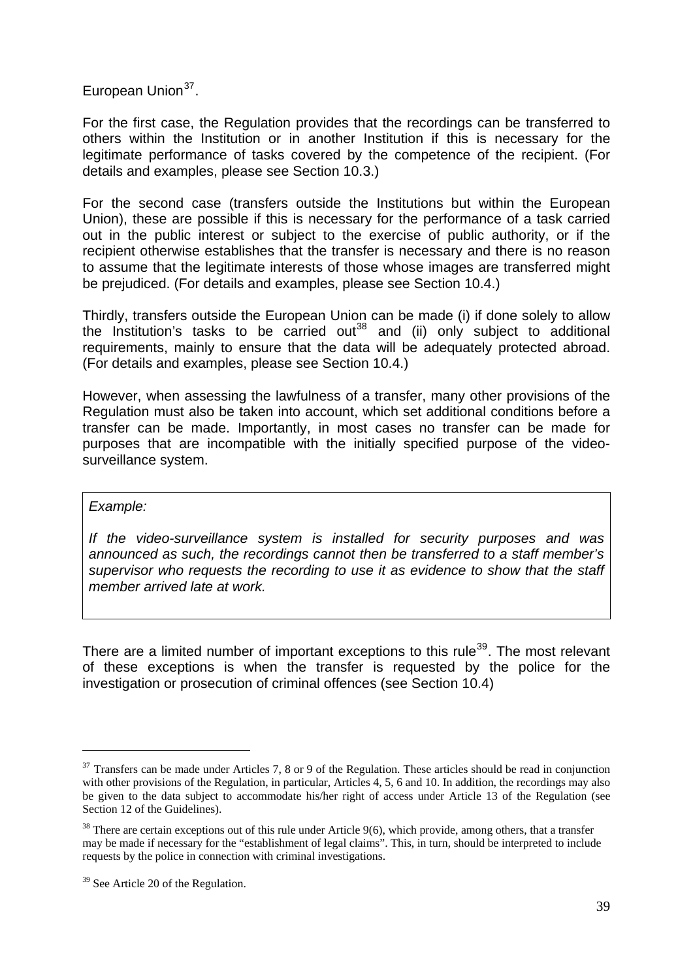European Union<sup>[37](#page-38-0)</sup>.

For the first case, the Regulation provides that the recordings can be transferred to others within the Institution or in another Institution if this is necessary for the legitimate performance of tasks covered by the competence of the recipient. (For details and examples, please see Section 10.3.)

For the second case (transfers outside the Institutions but within the European Union), these are possible if this is necessary for the performance of a task carried out in the public interest or subject to the exercise of public authority, or if the recipient otherwise establishes that the transfer is necessary and there is no reason to assume that the legitimate interests of those whose images are transferred might be prejudiced. (For details and examples, please see Section 10.4.)

Thirdly, transfers outside the European Union can be made (i) if done solely to allow the Institution's tasks to be carried out<sup>[38](#page-38-1)</sup> and (ii) only subject to additional requirements, mainly to ensure that the data will be adequately protected abroad. (For details and examples, please see Section 10.4.)

However, when assessing the lawfulness of a transfer, many other provisions of the Regulation must also be taken into account, which set additional conditions before a transfer can be made. Importantly, in most cases no transfer can be made for purposes that are incompatible with the initially specified purpose of the videosurveillance system.

#### *Example:*

-

*If the video-surveillance system is installed for security purposes and was announced as such, the recordings cannot then be transferred to a staff member's supervisor who requests the recording to use it as evidence to show that the staff member arrived late at work.*

There are a limited number of important exceptions to this rule<sup>[39](#page-38-2)</sup>. The most relevant of these exceptions is when the transfer is requested by the police for the investigation or prosecution of criminal offences (see Section 10.4)

<span id="page-38-0"></span> $37$  Transfers can be made under Articles 7, 8 or 9 of the Regulation. These articles should be read in conjunction with other provisions of the Regulation, in particular, Articles 4, 5, 6 and 10. In addition, the recordings may also be given to the data subject to accommodate his/her right of access under Article 13 of the Regulation (see Section 12 of the Guidelines).

<span id="page-38-1"></span><sup>&</sup>lt;sup>38</sup> There are certain exceptions out of this rule under Article 9(6), which provide, among others, that a transfer may be made if necessary for the "establishment of legal claims". This, in turn, should be interpreted to include requests by the police in connection with criminal investigations.

<span id="page-38-2"></span><sup>&</sup>lt;sup>39</sup> See Article 20 of the Regulation.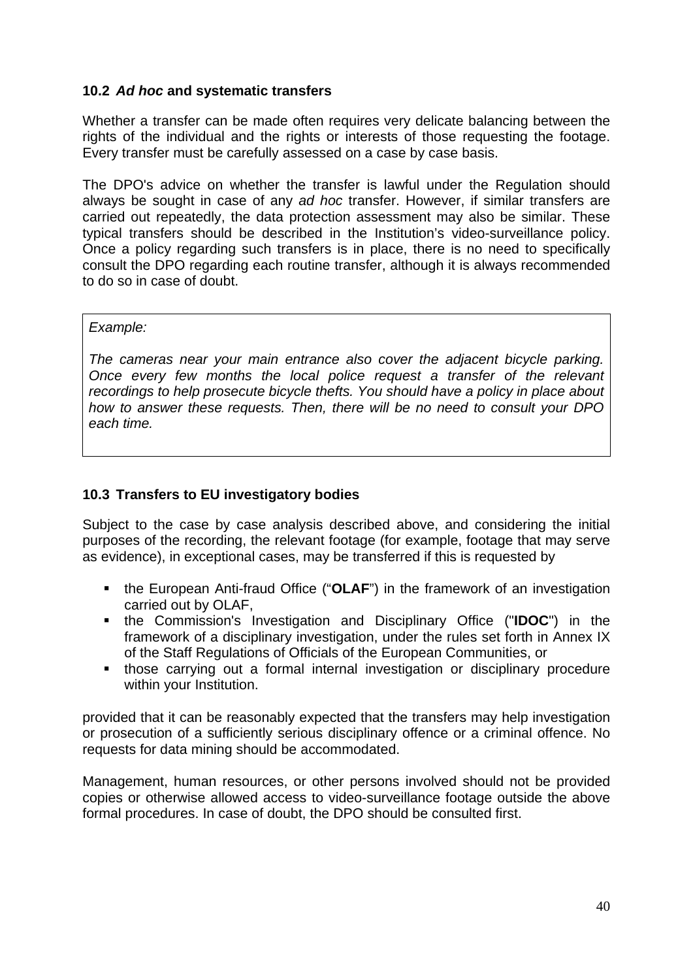### <span id="page-39-0"></span>**10.2** *Ad hoc* **and systematic transfers**

Whether a transfer can be made often requires very delicate balancing between the rights of the individual and the rights or interests of those requesting the footage. Every transfer must be carefully assessed on a case by case basis.

The DPO's advice on whether the transfer is lawful under the Regulation should always be sought in case of any *ad hoc* transfer. However, if similar transfers are carried out repeatedly, the data protection assessment may also be similar. These typical transfers should be described in the Institution's video-surveillance policy. Once a policy regarding such transfers is in place, there is no need to specifically consult the DPO regarding each routine transfer, although it is always recommended to do so in case of doubt.

#### *Example:*

*The cameras near your main entrance also cover the adjacent bicycle parking. Once every few months the local police request a transfer of the relevant recordings to help prosecute bicycle thefts. You should have a policy in place about how to answer these requests. Then, there will be no need to consult your DPO each time.* 

#### <span id="page-39-1"></span>**10.3 Transfers to EU investigatory bodies**

Subject to the case by case analysis described above, and considering the initial purposes of the recording, the relevant footage (for example, footage that may serve as evidence), in exceptional cases, may be transferred if this is requested by

- **the European Anti-fraud Office ("OLAF") in the framework of an investigation** carried out by OLAF,
- the Commission's Investigation and Disciplinary Office ("**IDOC**") in the framework of a disciplinary investigation, under the rules set forth in Annex IX of the Staff Regulations of Officials of the European Communities, or
- those carrying out a formal internal investigation or disciplinary procedure within your Institution.

provided that it can be reasonably expected that the transfers may help investigation or prosecution of a sufficiently serious disciplinary offence or a criminal offence. No requests for data mining should be accommodated.

Management, human resources, or other persons involved should not be provided copies or otherwise allowed access to video-surveillance footage outside the above formal procedures. In case of doubt, the DPO should be consulted first.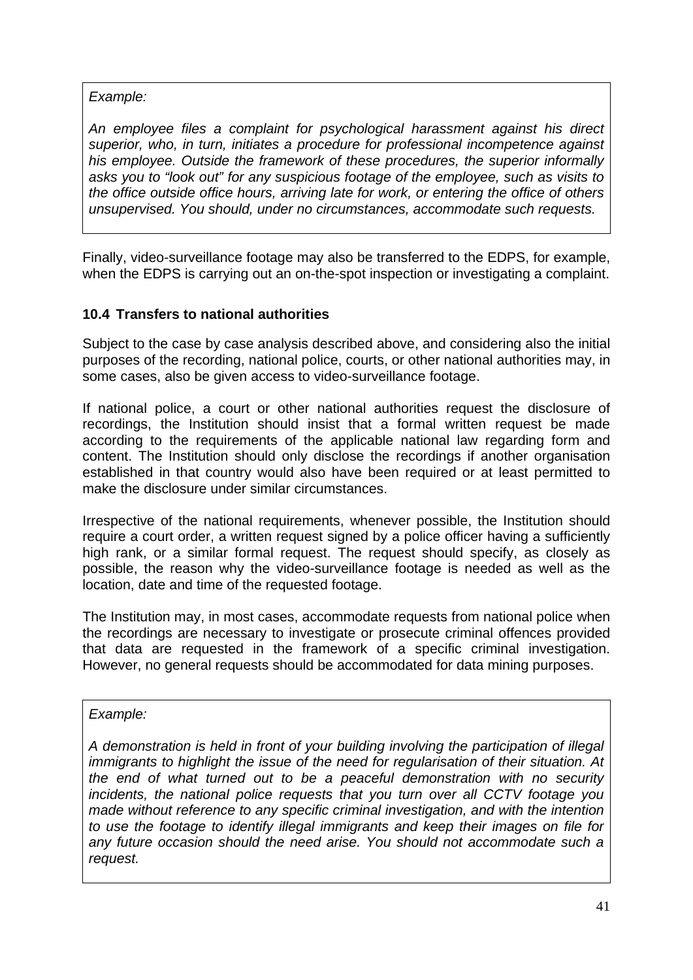*Example:* 

*An employee files a complaint for psychological harassment against his direct superior, who, in turn, initiates a procedure for professional incompetence against his employee. Outside the framework of these procedures, the superior informally asks you to "look out" for any suspicious footage of the employee, such as visits to the office outside office hours, arriving late for work, or entering the office of others unsupervised. You should, under no circumstances, accommodate such requests.* 

Finally, video-surveillance footage may also be transferred to the EDPS, for example, when the EDPS is carrying out an on-the-spot inspection or investigating a complaint.

## <span id="page-40-0"></span>**10.4 Transfers to national authorities**

Subject to the case by case analysis described above, and considering also the initial purposes of the recording, national police, courts, or other national authorities may, in some cases, also be given access to video-surveillance footage.

If national police, a court or other national authorities request the disclosure of recordings, the Institution should insist that a formal written request be made according to the requirements of the applicable national law regarding form and content. The Institution should only disclose the recordings if another organisation established in that country would also have been required or at least permitted to make the disclosure under similar circumstances.

Irrespective of the national requirements, whenever possible, the Institution should require a court order, a written request signed by a police officer having a sufficiently high rank, or a similar formal request. The request should specify, as closely as possible, the reason why the video-surveillance footage is needed as well as the location, date and time of the requested footage.

The Institution may, in most cases, accommodate requests from national police when the recordings are necessary to investigate or prosecute criminal offences provided that data are requested in the framework of a specific criminal investigation. However, no general requests should be accommodated for data mining purposes.

#### *Example:*

*A demonstration is held in front of your building involving the participation of illegal immigrants to highlight the issue of the need for regularisation of their situation. At the end of what turned out to be a peaceful demonstration with no security incidents, the national police requests that you turn over all CCTV footage you made without reference to any specific criminal investigation, and with the intention to use the footage to identify illegal immigrants and keep their images on file for any future occasion should the need arise. You should not accommodate such a request.*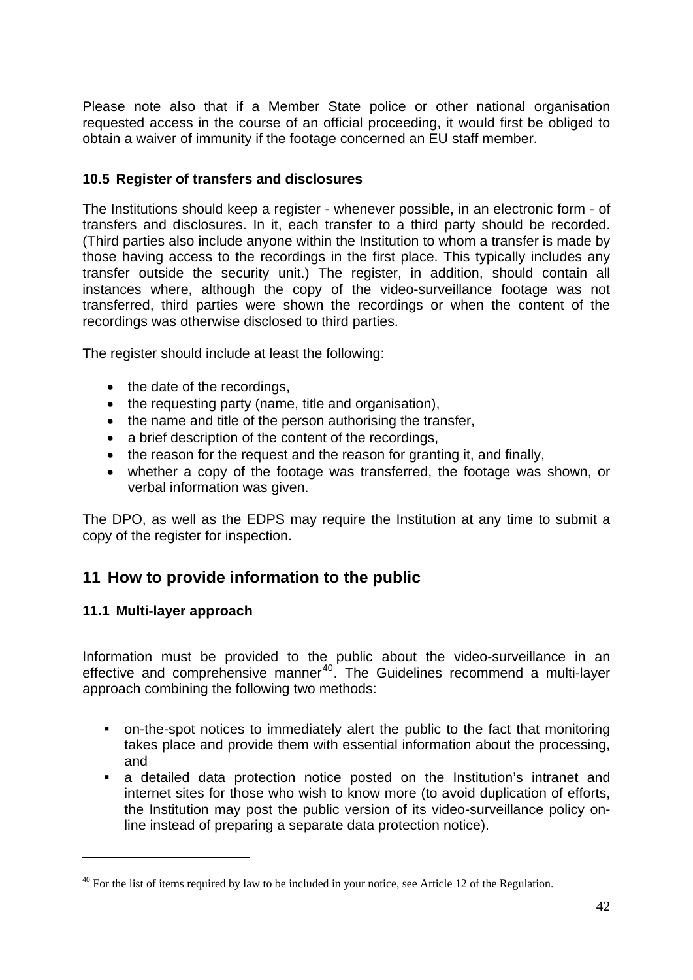Please note also that if a Member State police or other national organisation requested access in the course of an official proceeding, it would first be obliged to obtain a waiver of immunity if the footage concerned an EU staff member.

### <span id="page-41-0"></span>**10.5 Register of transfers and disclosures**

The Institutions should keep a register - whenever possible, in an electronic form - of transfers and disclosures. In it, each transfer to a third party should be recorded. (Third parties also include anyone within the Institution to whom a transfer is made by those having access to the recordings in the first place. This typically includes any transfer outside the security unit.) The register, in addition, should contain all instances where, although the copy of the video-surveillance footage was not transferred, third parties were shown the recordings or when the content of the recordings was otherwise disclosed to third parties.

The register should include at least the following:

- the date of the recordings,
- the requesting party (name, title and organisation),
- the name and title of the person authorising the transfer,
- a brief description of the content of the recordings,
- the reason for the request and the reason for granting it, and finally,
- whether a copy of the footage was transferred, the footage was shown, or verbal information was given.

The DPO, as well as the EDPS may require the Institution at any time to submit a copy of the register for inspection.

## <span id="page-41-1"></span>**11 How to provide information to the public**

#### <span id="page-41-2"></span>**11.1 Multi-layer approach**

-

Information must be provided to the public about the video-surveillance in an effective and comprehensive manner<sup>[40](#page-41-3)</sup>. The Guidelines recommend a multi-layer approach combining the following two methods:

- on-the-spot notices to immediately alert the public to the fact that monitoring takes place and provide them with essential information about the processing, and
- a detailed data protection notice posted on the Institution's intranet and internet sites for those who wish to know more (to avoid duplication of efforts, the Institution may post the public version of its video-surveillance policy online instead of preparing a separate data protection notice).

<span id="page-41-3"></span> $^{40}$  For the list of items required by law to be included in your notice, see Article 12 of the Regulation.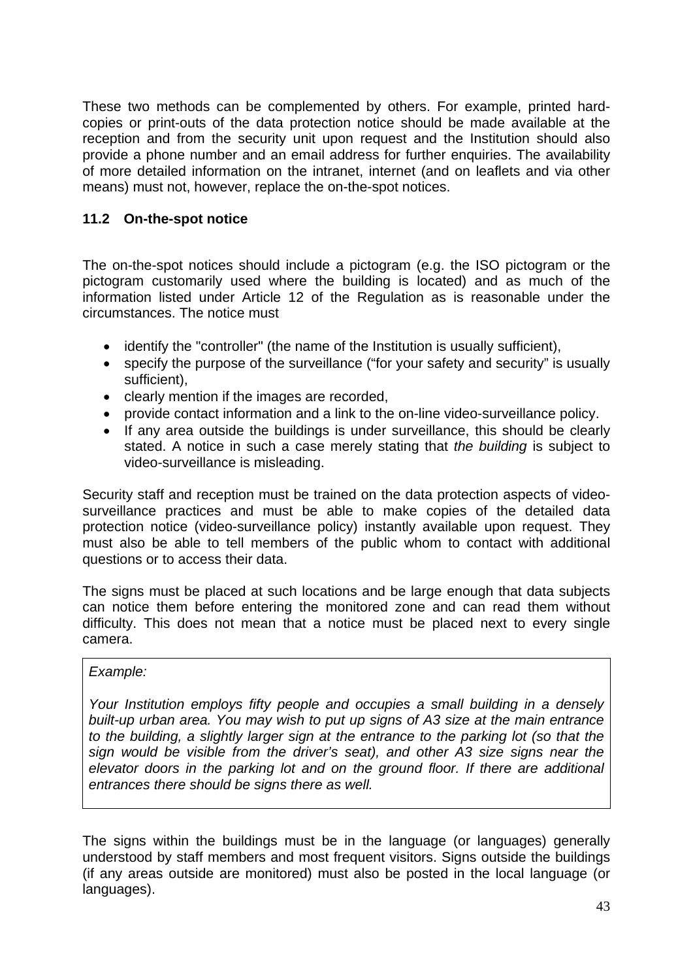These two methods can be complemented by others. For example, printed hardcopies or print-outs of the data protection notice should be made available at the reception and from the security unit upon request and the Institution should also provide a phone number and an email address for further enquiries. The availability of more detailed information on the intranet, internet (and on leaflets and via other means) must not, however, replace the on-the-spot notices.

### <span id="page-42-0"></span>**11.2 On-the-spot notice**

The on-the-spot notices should include a pictogram (e.g. the ISO pictogram or the pictogram customarily used where the building is located) and as much of the information listed under Article 12 of the Regulation as is reasonable under the circumstances. The notice must

- identify the "controller" (the name of the Institution is usually sufficient),
- specify the purpose of the surveillance ("for your safety and security" is usually sufficient),
- clearly mention if the images are recorded,
- provide contact information and a link to the on-line video-surveillance policy.
- If any area outside the buildings is under surveillance, this should be clearly stated. A notice in such a case merely stating that *the building* is subject to video-surveillance is misleading.

Security staff and reception must be trained on the data protection aspects of videosurveillance practices and must be able to make copies of the detailed data protection notice (video-surveillance policy) instantly available upon request. They must also be able to tell members of the public whom to contact with additional questions or to access their data.

The signs must be placed at such locations and be large enough that data subjects can notice them before entering the monitored zone and can read them without difficulty. This does not mean that a notice must be placed next to every single camera.

### *Example:*

*Your Institution employs fifty people and occupies a small building in a densely built-up urban area. You may wish to put up signs of A3 size at the main entrance to the building, a slightly larger sign at the entrance to the parking lot (so that the sign would be visible from the driver's seat), and other A3 size signs near the elevator doors in the parking lot and on the ground floor. If there are additional entrances there should be signs there as well.* 

The signs within the buildings must be in the language (or languages) generally understood by staff members and most frequent visitors. Signs outside the buildings (if any areas outside are monitored) must also be posted in the local language (or languages).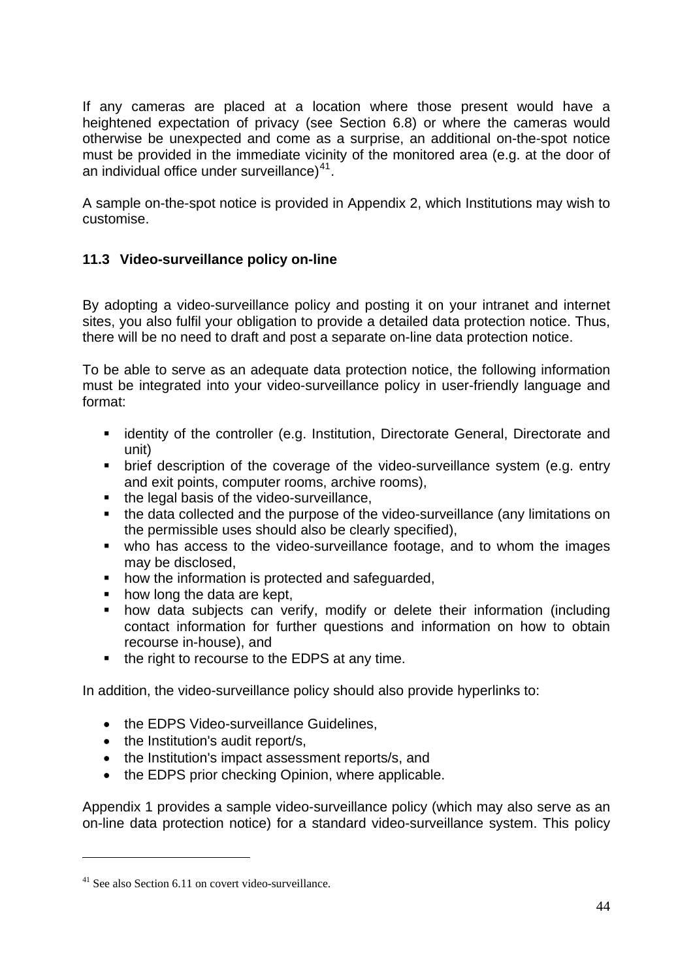If any cameras are placed at a location where those present would have a heightened expectation of privacy (see Section 6.8) or where the cameras would otherwise be unexpected and come as a surprise, an additional on-the-spot notice must be provided in the immediate vicinity of the monitored area (e.g. at the door of an individual office under surveillance $1^{41}$  $1^{41}$  $1^{41}$ .

A sample on-the-spot notice is provided in Appendix 2, which Institutions may wish to customise.

## <span id="page-43-0"></span>**11.3 Video-surveillance policy on-line**

By adopting a video-surveillance policy and posting it on your intranet and internet sites, you also fulfil your obligation to provide a detailed data protection notice. Thus, there will be no need to draft and post a separate on-line data protection notice.

To be able to serve as an adequate data protection notice, the following information must be integrated into your video-surveillance policy in user-friendly language and format:

- **EXT** identity of the controller (e.g. Institution, Directorate General, Directorate and unit)
- brief description of the coverage of the video-surveillance system (e.g. entry and exit points, computer rooms, archive rooms),
- the legal basis of the video-surveillance,
- the data collected and the purpose of the video-surveillance (any limitations on the permissible uses should also be clearly specified),
- who has access to the video-surveillance footage, and to whom the images may be disclosed,
- how the information is protected and safeguarded,
- how long the data are kept,
- how data subjects can verify, modify or delete their information (including contact information for further questions and information on how to obtain recourse in-house), and
- the right to recourse to the EDPS at any time.

In addition, the video-surveillance policy should also provide hyperlinks to:

- the EDPS Video-surveillance Guidelines,
- the Institution's audit report/s,
- the Institution's impact assessment reports/s, and
- the EDPS prior checking Opinion, where applicable.

Appendix 1 provides a sample video-surveillance policy (which may also serve as an on-line data protection notice) for a standard video-surveillance system. This policy

<span id="page-43-1"></span><sup>&</sup>lt;sup>41</sup> See also Section 6.11 on covert video-surveillance.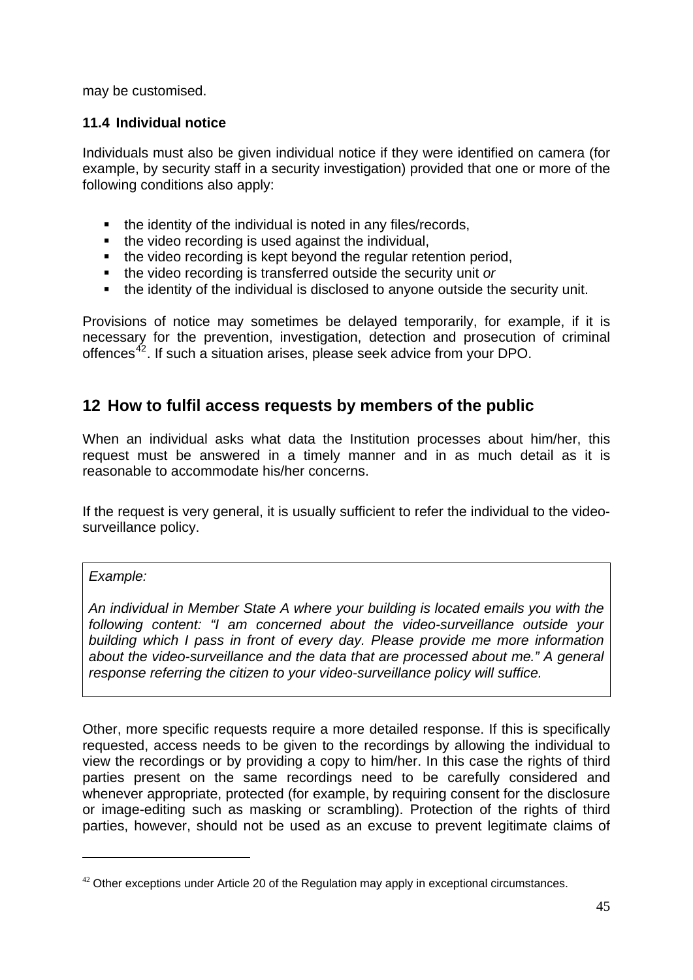may be customised.

### <span id="page-44-0"></span>**11.4 Individual notice**

Individuals must also be given individual notice if they were identified on camera (for example, by security staff in a security investigation) provided that one or more of the following conditions also apply:

- the identity of the individual is noted in any files/records,
- the video recording is used against the individual,
- the video recording is kept beyond the regular retention period,
- the video recording is transferred outside the security unit *or*
- the identity of the individual is disclosed to anyone outside the security unit.

Provisions of notice may sometimes be delayed temporarily, for example, if it is necessary for the prevention, investigation, detection and prosecution of criminal offences[42](#page-44-2). If such a situation arises, please seek advice from your DPO.

## <span id="page-44-1"></span>**12 How to fulfil access requests by members of the public**

When an individual asks what data the Institution processes about him/her, this request must be answered in a timely manner and in as much detail as it is reasonable to accommodate his/her concerns.

If the request is very general, it is usually sufficient to refer the individual to the videosurveillance policy.

#### *Example:*

-

*An individual in Member State A where your building is located emails you with the following content: "I am concerned about the video-surveillance outside your building which I pass in front of every day. Please provide me more information about the video-surveillance and the data that are processed about me." A general response referring the citizen to your video-surveillance policy will suffice.* 

Other, more specific requests require a more detailed response. If this is specifically requested, access needs to be given to the recordings by allowing the individual to view the recordings or by providing a copy to him/her. In this case the rights of third parties present on the same recordings need to be carefully considered and whenever appropriate, protected (for example, by requiring consent for the disclosure or image-editing such as masking or scrambling). Protection of the rights of third parties, however, should not be used as an excuse to prevent legitimate claims of

<span id="page-44-2"></span> $42$  Other exceptions under Article 20 of the Regulation may apply in exceptional circumstances.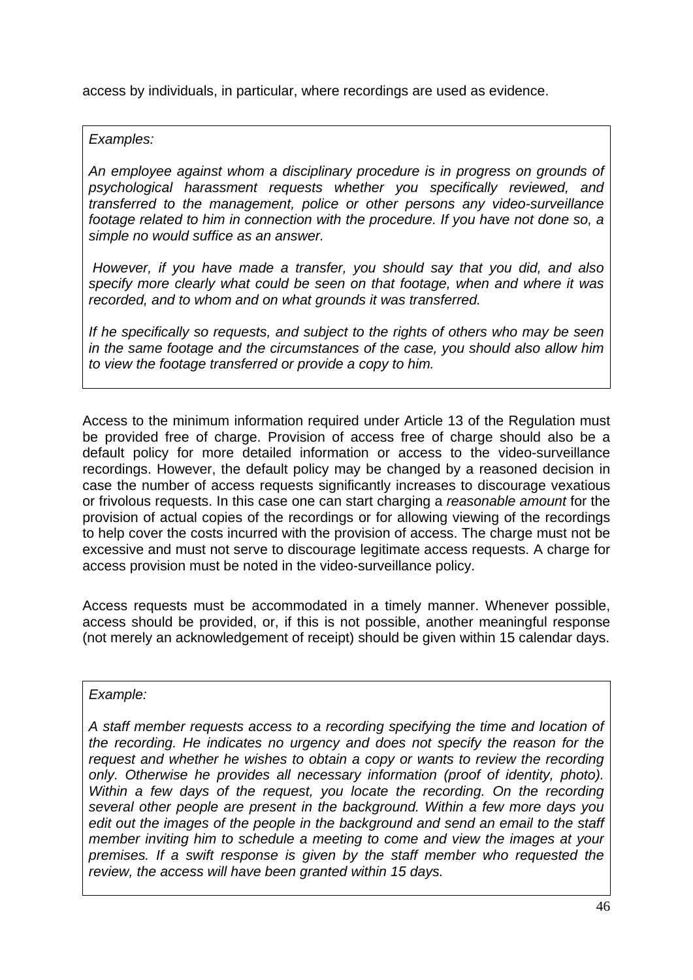access by individuals, in particular, where recordings are used as evidence.

*Examples:* 

*An employee against whom a disciplinary procedure is in progress on grounds of psychological harassment requests whether you specifically reviewed, and transferred to the management, police or other persons any video-surveillance footage related to him in connection with the procedure. If you have not done so, a simple no would suffice as an answer.* 

 *However, if you have made a transfer, you should say that you did, and also specify more clearly what could be seen on that footage, when and where it was recorded, and to whom and on what grounds it was transferred.* 

*If he specifically so requests, and subject to the rights of others who may be seen in the same footage and the circumstances of the case, you should also allow him to view the footage transferred or provide a copy to him.* 

Access to the minimum information required under Article 13 of the Regulation must be provided free of charge. Provision of access free of charge should also be a default policy for more detailed information or access to the video-surveillance recordings. However, the default policy may be changed by a reasoned decision in case the number of access requests significantly increases to discourage vexatious or frivolous requests. In this case one can start charging a *reasonable amount* for the provision of actual copies of the recordings or for allowing viewing of the recordings to help cover the costs incurred with the provision of access. The charge must not be excessive and must not serve to discourage legitimate access requests. A charge for access provision must be noted in the video-surveillance policy.

Access requests must be accommodated in a timely manner. Whenever possible, access should be provided, or, if this is not possible, another meaningful response (not merely an acknowledgement of receipt) should be given within 15 calendar days.

*Example:* 

*A staff member requests access to a recording specifying the time and location of the recording. He indicates no urgency and does not specify the reason for the request and whether he wishes to obtain a copy or wants to review the recording only. Otherwise he provides all necessary information (proof of identity, photo). Within a few days of the request, you locate the recording. On the recording several other people are present in the background. Within a few more days you edit out the images of the people in the background and send an email to the staff member inviting him to schedule a meeting to come and view the images at your premises. If a swift response is given by the staff member who requested the review, the access will have been granted within 15 days.*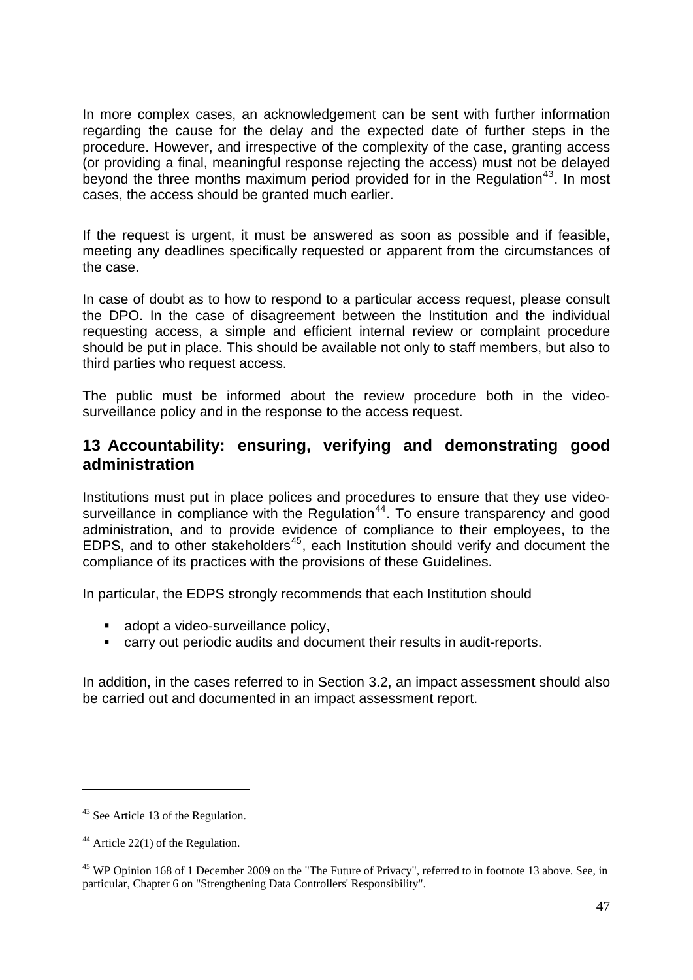In more complex cases, an acknowledgement can be sent with further information regarding the cause for the delay and the expected date of further steps in the procedure. However, and irrespective of the complexity of the case, granting access (or providing a final, meaningful response rejecting the access) must not be delayed beyond the three months maximum period provided for in the Regulation<sup>[43](#page-46-1)</sup>. In most cases, the access should be granted much earlier.

If the request is urgent, it must be answered as soon as possible and if feasible, meeting any deadlines specifically requested or apparent from the circumstances of the case.

In case of doubt as to how to respond to a particular access request, please consult the DPO. In the case of disagreement between the Institution and the individual requesting access, a simple and efficient internal review or complaint procedure should be put in place. This should be available not only to staff members, but also to third parties who request access.

The public must be informed about the review procedure both in the videosurveillance policy and in the response to the access request.

## <span id="page-46-0"></span>**13 Accountability: ensuring, verifying and demonstrating good administration**

Institutions must put in place polices and procedures to ensure that they use video-surveillance in compliance with the Regulation<sup>[44](#page-46-2)</sup>. To ensure transparency and good administration, and to provide evidence of compliance to their employees, to the EDPS, and to other stakeholders<sup>[45](#page-46-3)</sup>, each Institution should verify and document the compliance of its practices with the provisions of these Guidelines.

In particular, the EDPS strongly recommends that each Institution should

- adopt a video-surveillance policy,
- carry out periodic audits and document their results in audit-reports.

In addition, in the cases referred to in Section 3.2, an impact assessment should also be carried out and documented in an impact assessment report.

<span id="page-46-1"></span><sup>&</sup>lt;sup>43</sup> See Article 13 of the Regulation.

<span id="page-46-2"></span> $44$  Article 22(1) of the Regulation.

<span id="page-46-3"></span><sup>&</sup>lt;sup>45</sup> WP Opinion 168 of 1 December 2009 on the "The Future of Privacy", referred to in footnote 13 above. See, in particular, Chapter 6 on "Strengthening Data Controllers' Responsibility".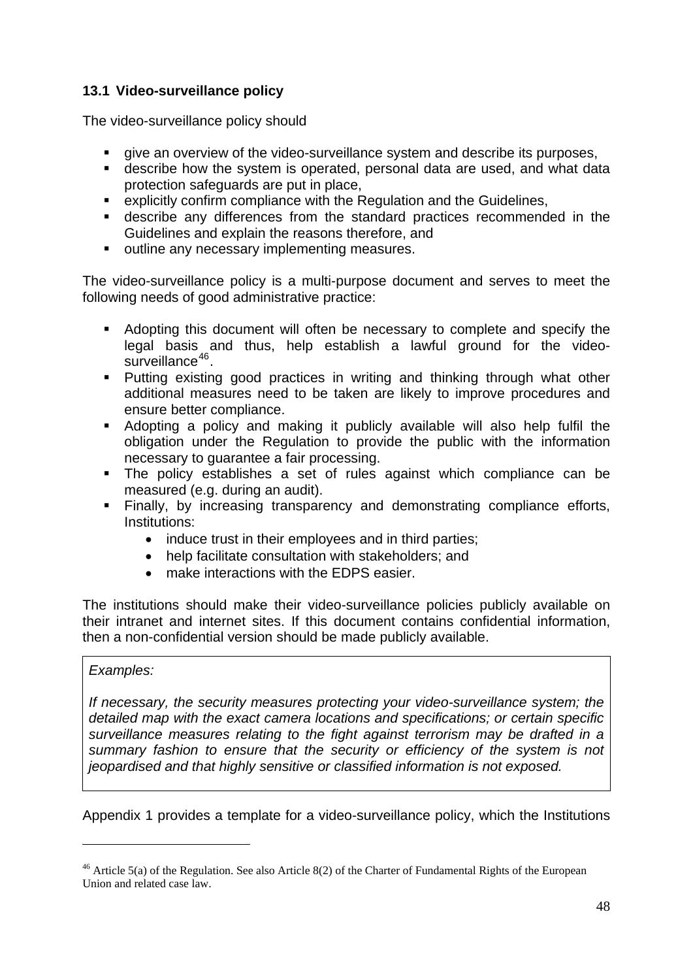## <span id="page-47-0"></span>**13.1 Video-surveillance policy**

The video-surveillance policy should

- give an overview of the video-surveillance system and describe its purposes,
- describe how the system is operated, personal data are used, and what data protection safeguards are put in place,
- explicitly confirm compliance with the Regulation and the Guidelines,
- describe any differences from the standard practices recommended in the Guidelines and explain the reasons therefore, and
- **outline any necessary implementing measures.**

The video-surveillance policy is a multi-purpose document and serves to meet the following needs of good administrative practice:

- Adopting this document will often be necessary to complete and specify the legal basis and thus, help establish a lawful ground for the video-surveillance<sup>[46](#page-47-1)</sup>.
- **Putting existing good practices in writing and thinking through what other** additional measures need to be taken are likely to improve procedures and ensure better compliance.
- Adopting a policy and making it publicly available will also help fulfil the obligation under the Regulation to provide the public with the information necessary to guarantee a fair processing.
- The policy establishes a set of rules against which compliance can be measured (e.g. during an audit).
- Finally, by increasing transparency and demonstrating compliance efforts, Institutions:
	- induce trust in their employees and in third parties;
	- help facilitate consultation with stakeholders; and
	- make interactions with the EDPS easier.

The institutions should make their video-surveillance policies publicly available on their intranet and internet sites. If this document contains confidential information, then a non-confidential version should be made publicly available.

#### *Examples:*

-

*If necessary, the security measures protecting your video-surveillance system; the detailed map with the exact camera locations and specifications; or certain specific surveillance measures relating to the fight against terrorism may be drafted in a summary fashion to ensure that the security or efficiency of the system is not jeopardised and that highly sensitive or classified information is not exposed.* 

Appendix 1 provides a template for a video-surveillance policy, which the Institutions

<span id="page-47-1"></span><sup>&</sup>lt;sup>46</sup> Article 5(a) of the Regulation. See also Article 8(2) of the Charter of Fundamental Rights of the European Union and related case law.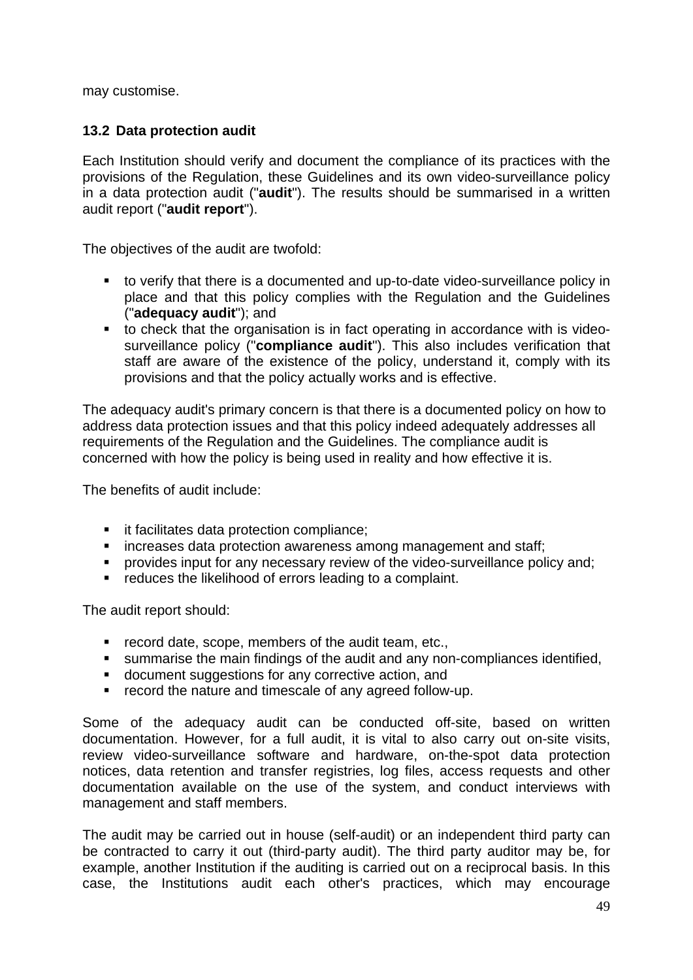may customise.

#### <span id="page-48-0"></span>**13.2 Data protection audit**

Each Institution should verify and document the compliance of its practices with the provisions of the Regulation, these Guidelines and its own video-surveillance policy in a data protection audit ("**audit**"). The results should be summarised in a written audit report ("**audit report**").

The objectives of the audit are twofold:

- to verify that there is a documented and up-to-date video-surveillance policy in place and that this policy complies with the Regulation and the Guidelines ("**adequacy audit**"); and
- to check that the organisation is in fact operating in accordance with is videosurveillance policy ("**compliance audit**"). This also includes verification that staff are aware of the existence of the policy, understand it, comply with its provisions and that the policy actually works and is effective.

The adequacy audit's primary concern is that there is a documented policy on how to address data protection issues and that this policy indeed adequately addresses all requirements of the Regulation and the Guidelines. The compliance audit is concerned with how the policy is being used in reality and how effective it is.

The benefits of audit include:

- it facilitates data protection compliance;
- **EXECTE:** increases data protection awareness among management and staff;
- **•** provides input for any necessary review of the video-surveillance policy and;
- **•** reduces the likelihood of errors leading to a complaint.

The audit report should:

- **F** record date, scope, members of the audit team, etc.,
- summarise the main findings of the audit and any non-compliances identified,
- document suggestions for any corrective action, and
- **•** record the nature and timescale of any agreed follow-up.

Some of the adequacy audit can be conducted off-site, based on written documentation. However, for a full audit, it is vital to also carry out on-site visits, review video-surveillance software and hardware, on-the-spot data protection notices, data retention and transfer registries, log files, access requests and other documentation available on the use of the system, and conduct interviews with management and staff members.

The audit may be carried out in house (self-audit) or an independent third party can be contracted to carry it out (third-party audit). The third party auditor may be, for example, another Institution if the auditing is carried out on a reciprocal basis. In this case, the Institutions audit each other's practices, which may encourage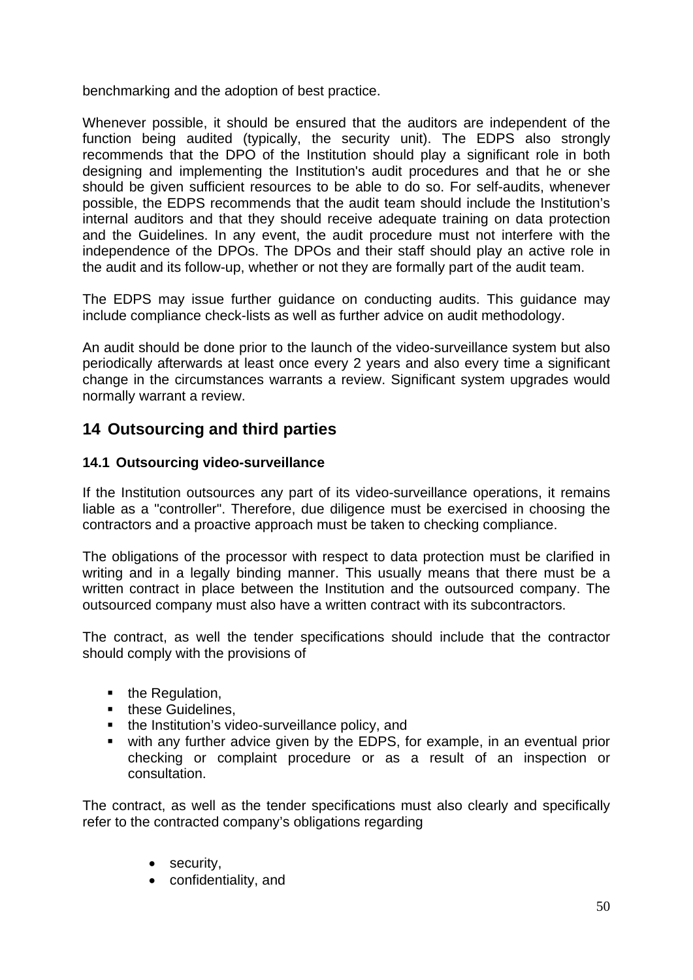benchmarking and the adoption of best practice.

Whenever possible, it should be ensured that the auditors are independent of the function being audited (typically, the security unit). The EDPS also strongly recommends that the DPO of the Institution should play a significant role in both designing and implementing the Institution's audit procedures and that he or she should be given sufficient resources to be able to do so. For self-audits, whenever possible, the EDPS recommends that the audit team should include the Institution's internal auditors and that they should receive adequate training on data protection and the Guidelines. In any event, the audit procedure must not interfere with the independence of the DPOs. The DPOs and their staff should play an active role in the audit and its follow-up, whether or not they are formally part of the audit team.

The EDPS may issue further guidance on conducting audits. This guidance may include compliance check-lists as well as further advice on audit methodology.

An audit should be done prior to the launch of the video-surveillance system but also periodically afterwards at least once every 2 years and also every time a significant change in the circumstances warrants a review. Significant system upgrades would normally warrant a review.

## <span id="page-49-0"></span>**14 Outsourcing and third parties**

### <span id="page-49-1"></span>**14.1 Outsourcing video-surveillance**

If the Institution outsources any part of its video-surveillance operations, it remains liable as a "controller". Therefore, due diligence must be exercised in choosing the contractors and a proactive approach must be taken to checking compliance.

The obligations of the processor with respect to data protection must be clarified in writing and in a legally binding manner. This usually means that there must be a written contract in place between the Institution and the outsourced company. The outsourced company must also have a written contract with its subcontractors.

The contract, as well the tender specifications should include that the contractor should comply with the provisions of

- $\blacksquare$  the Regulation,
- these Guidelines,
- the Institution's video-surveillance policy, and
- with any further advice given by the EDPS, for example, in an eventual prior checking or complaint procedure or as a result of an inspection or consultation.

The contract, as well as the tender specifications must also clearly and specifically refer to the contracted company's obligations regarding

- security,
- confidentiality, and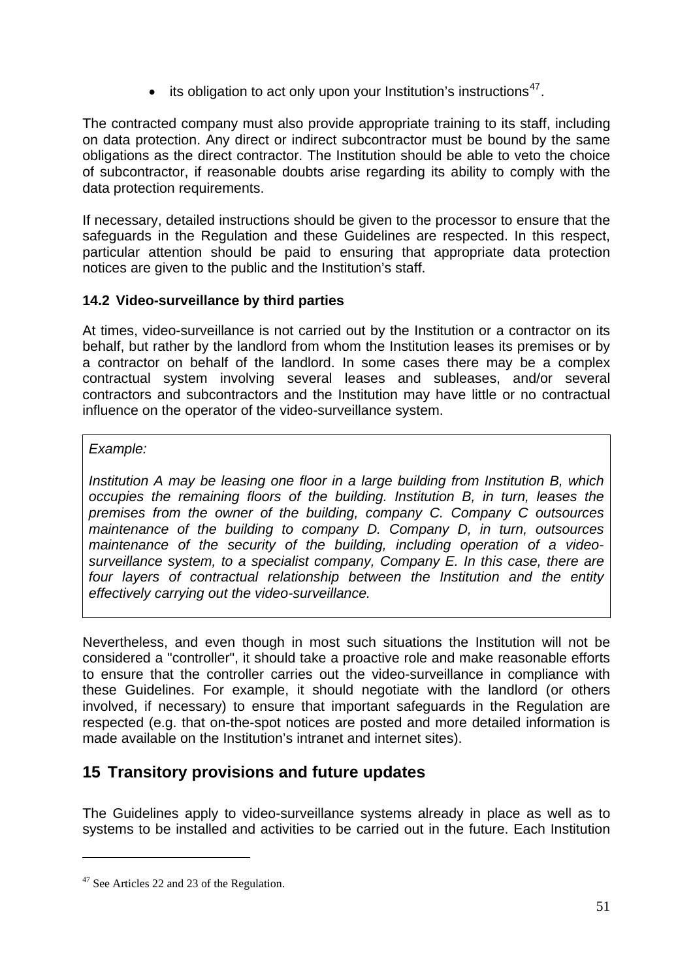$\bullet$  its obligation to act only upon your Institution's instructions<sup>[47](#page-50-2)</sup>.

The contracted company must also provide appropriate training to its staff, including on data protection. Any direct or indirect subcontractor must be bound by the same obligations as the direct contractor. The Institution should be able to veto the choice of subcontractor, if reasonable doubts arise regarding its ability to comply with the data protection requirements.

If necessary, detailed instructions should be given to the processor to ensure that the safeguards in the Regulation and these Guidelines are respected. In this respect, particular attention should be paid to ensuring that appropriate data protection notices are given to the public and the Institution's staff.

## <span id="page-50-0"></span>**14.2 Video-surveillance by third parties**

At times, video-surveillance is not carried out by the Institution or a contractor on its behalf, but rather by the landlord from whom the Institution leases its premises or by a contractor on behalf of the landlord. In some cases there may be a complex contractual system involving several leases and subleases, and/or several contractors and subcontractors and the Institution may have little or no contractual influence on the operator of the video-surveillance system.

#### *Example:*

*Institution A may be leasing one floor in a large building from Institution B, which occupies the remaining floors of the building. Institution B, in turn, leases the premises from the owner of the building, company C. Company C outsources maintenance of the building to company D. Company D, in turn, outsources maintenance of the security of the building, including operation of a videosurveillance system, to a specialist company, Company E. In this case, there are four layers of contractual relationship between the Institution and the entity effectively carrying out the video-surveillance.* 

Nevertheless, and even though in most such situations the Institution will not be considered a "controller", it should take a proactive role and make reasonable efforts to ensure that the controller carries out the video-surveillance in compliance with these Guidelines. For example, it should negotiate with the landlord (or others involved, if necessary) to ensure that important safeguards in the Regulation are respected (e.g. that on-the-spot notices are posted and more detailed information is made available on the Institution's intranet and internet sites).

## <span id="page-50-1"></span>**15 Transitory provisions and future updates**

The Guidelines apply to video-surveillance systems already in place as well as to systems to be installed and activities to be carried out in the future. Each Institution

<span id="page-50-2"></span><sup>&</sup>lt;sup>47</sup> See Articles 22 and 23 of the Regulation.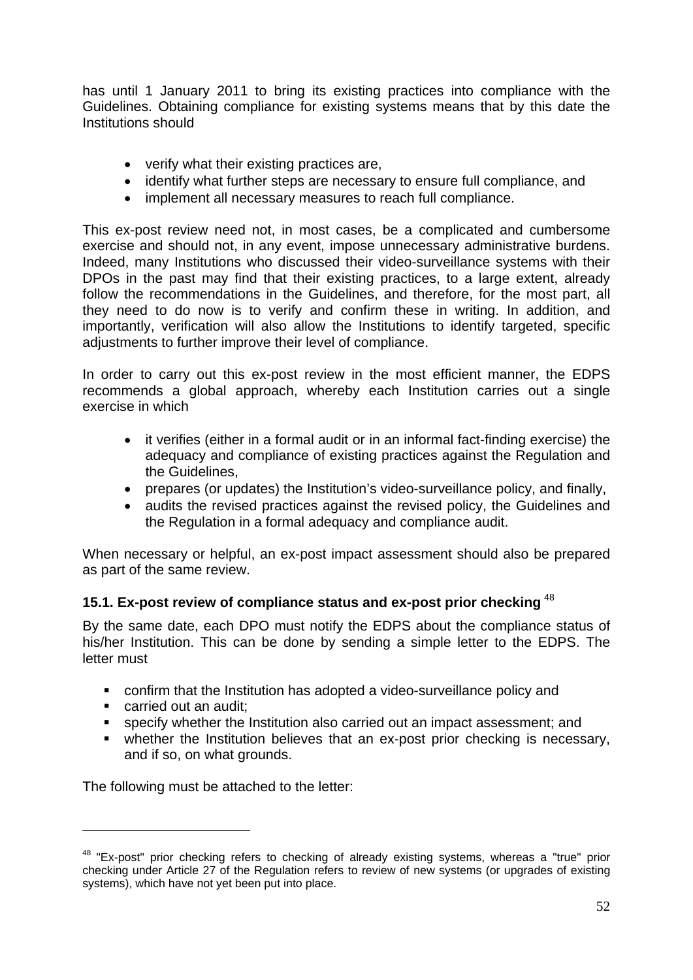has until 1 January 2011 to bring its existing practices into compliance with the Guidelines. Obtaining compliance for existing systems means that by this date the Institutions should

- verify what their existing practices are,
- identify what further steps are necessary to ensure full compliance, and
- implement all necessary measures to reach full compliance.

This ex-post review need not, in most cases, be a complicated and cumbersome exercise and should not, in any event, impose unnecessary administrative burdens. Indeed, many Institutions who discussed their video-surveillance systems with their DPOs in the past may find that their existing practices, to a large extent, already follow the recommendations in the Guidelines, and therefore, for the most part, all they need to do now is to verify and confirm these in writing. In addition, and importantly, verification will also allow the Institutions to identify targeted, specific adjustments to further improve their level of compliance.

In order to carry out this ex-post review in the most efficient manner, the EDPS recommends a global approach, whereby each Institution carries out a single exercise in which

- it verifies (either in a formal audit or in an informal fact-finding exercise) the adequacy and compliance of existing practices against the Regulation and the Guidelines,
- prepares (or updates) the Institution's video-surveillance policy, and finally,
- audits the revised practices against the revised policy, the Guidelines and the Regulation in a formal adequacy and compliance audit.

When necessary or helpful, an ex-post impact assessment should also be prepared as part of the same review.

#### **15.1. Ex-post review of compliance status and ex-post prior checking** [48](#page-51-0)

By the same date, each DPO must notify the EDPS about the compliance status of his/her Institution. This can be done by sending a simple letter to the EDPS. The letter must

- confirm that the Institution has adopted a video-surveillance policy and
- carried out an audit;

1

- specify whether the Institution also carried out an impact assessment; and
- whether the Institution believes that an ex-post prior checking is necessary, and if so, on what grounds.

The following must be attached to the letter:

<span id="page-51-0"></span><sup>&</sup>lt;sup>48</sup> "Ex-post" prior checking refers to checking of already existing systems, whereas a "true" prior checking under Article 27 of the Regulation refers to review of new systems (or upgrades of existing systems), which have not yet been put into place.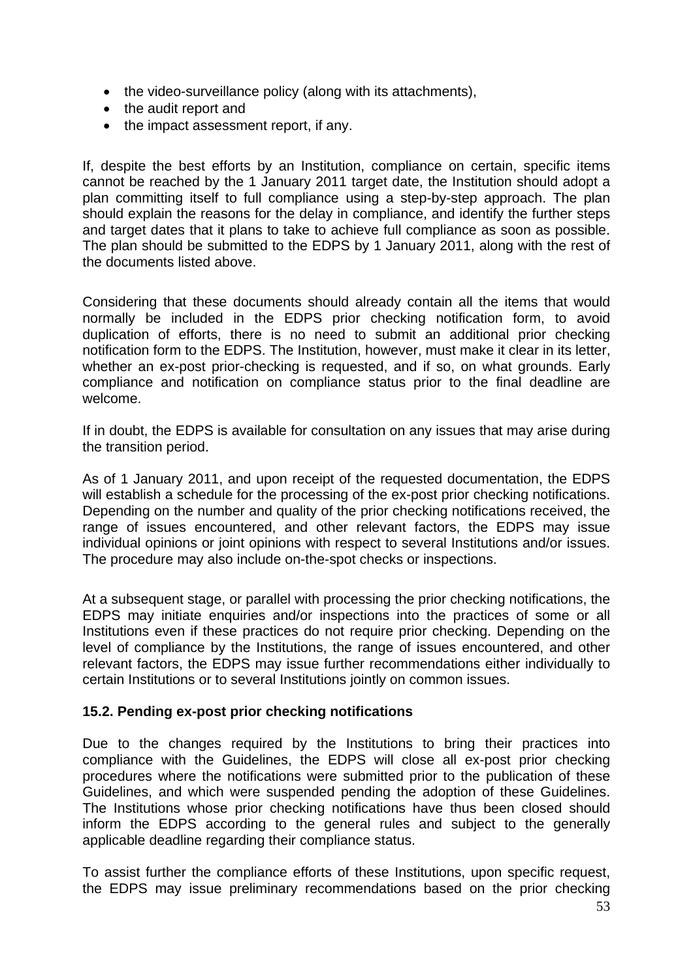- the video-surveillance policy (along with its attachments),
- the audit report and
- the impact assessment report, if any.

If, despite the best efforts by an Institution, compliance on certain, specific items cannot be reached by the 1 January 2011 target date, the Institution should adopt a plan committing itself to full compliance using a step-by-step approach. The plan should explain the reasons for the delay in compliance, and identify the further steps and target dates that it plans to take to achieve full compliance as soon as possible. The plan should be submitted to the EDPS by 1 January 2011, along with the rest of the documents listed above.

Considering that these documents should already contain all the items that would normally be included in the EDPS prior checking notification form, to avoid duplication of efforts, there is no need to submit an additional prior checking notification form to the EDPS. The Institution, however, must make it clear in its letter, whether an ex-post prior-checking is requested, and if so, on what grounds. Early compliance and notification on compliance status prior to the final deadline are welcome.

If in doubt, the EDPS is available for consultation on any issues that may arise during the transition period.

As of 1 January 2011, and upon receipt of the requested documentation, the EDPS will establish a schedule for the processing of the ex-post prior checking notifications. Depending on the number and quality of the prior checking notifications received, the range of issues encountered, and other relevant factors, the EDPS may issue individual opinions or joint opinions with respect to several Institutions and/or issues. The procedure may also include on-the-spot checks or inspections.

At a subsequent stage, or parallel with processing the prior checking notifications, the EDPS may initiate enquiries and/or inspections into the practices of some or all Institutions even if these practices do not require prior checking. Depending on the level of compliance by the Institutions, the range of issues encountered, and other relevant factors, the EDPS may issue further recommendations either individually to certain Institutions or to several Institutions jointly on common issues.

### **15.2. Pending ex-post prior checking notifications**

Due to the changes required by the Institutions to bring their practices into compliance with the Guidelines, the EDPS will close all ex-post prior checking procedures where the notifications were submitted prior to the publication of these Guidelines, and which were suspended pending the adoption of these Guidelines. The Institutions whose prior checking notifications have thus been closed should inform the EDPS according to the general rules and subject to the generally applicable deadline regarding their compliance status.

To assist further the compliance efforts of these Institutions, upon specific request, the EDPS may issue preliminary recommendations based on the prior checking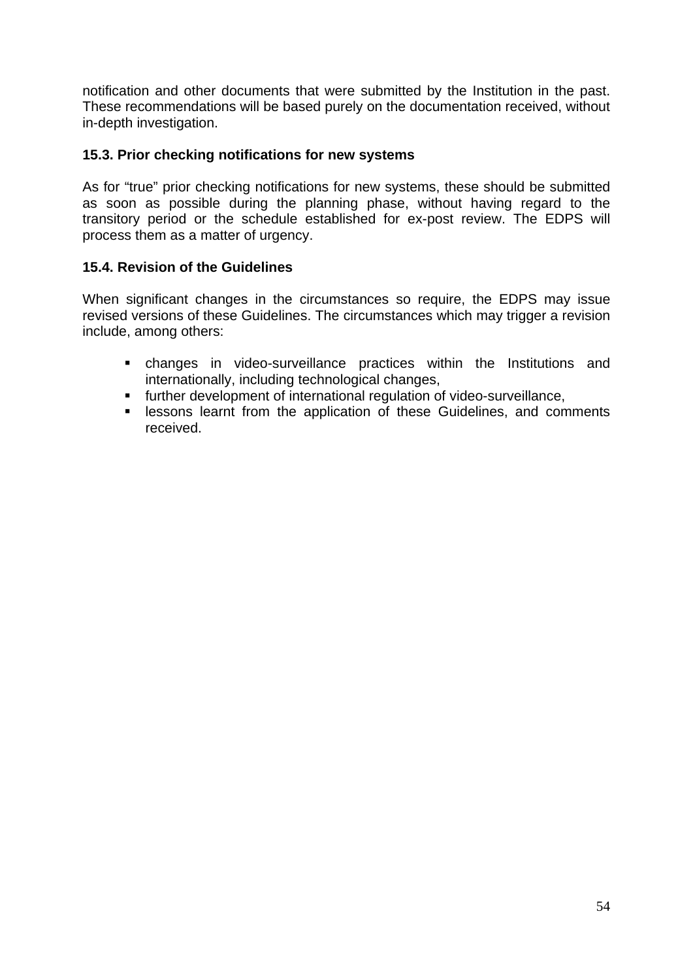notification and other documents that were submitted by the Institution in the past. These recommendations will be based purely on the documentation received, without in-depth investigation.

#### **15.3. Prior checking notifications for new systems**

As for "true" prior checking notifications for new systems, these should be submitted as soon as possible during the planning phase, without having regard to the transitory period or the schedule established for ex-post review. The EDPS will process them as a matter of urgency.

## **15.4. Revision of the Guidelines**

When significant changes in the circumstances so require, the EDPS may issue revised versions of these Guidelines. The circumstances which may trigger a revision include, among others:

- changes in video-surveillance practices within the Institutions and internationally, including technological changes,
- further development of international regulation of video-surveillance,
- **EXEL EXERCITE ISSONS Learnt from the application of these Guidelines, and comments** received.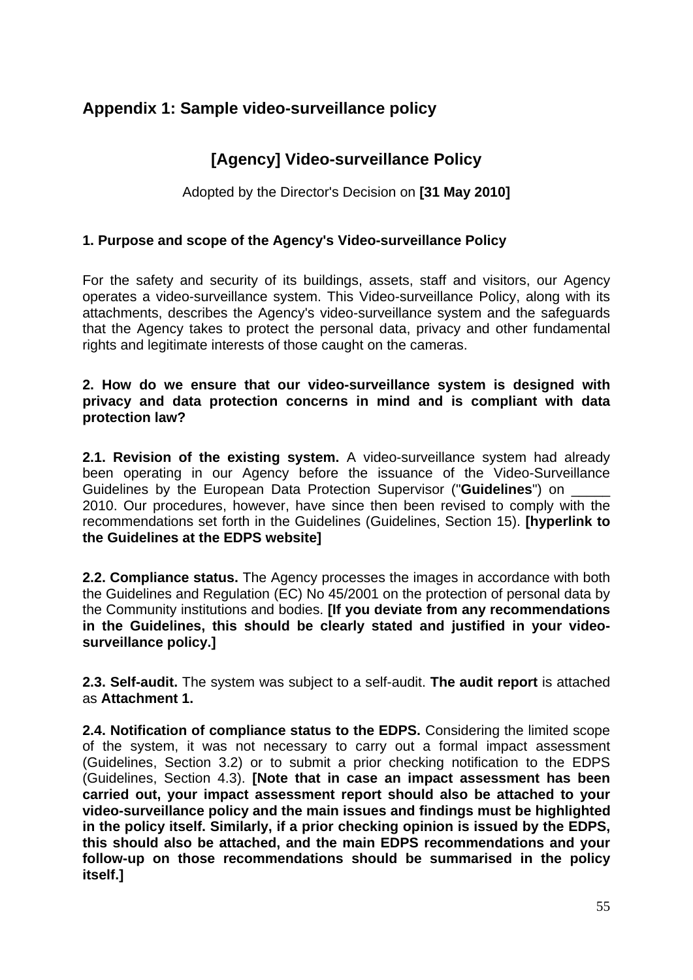## <span id="page-54-0"></span>**Appendix 1: Sample video-surveillance policy**

## **[Agency] Video-surveillance Policy**

Adopted by the Director's Decision on **[31 May 2010]**

#### **1. Purpose and scope of the Agency's Video-surveillance Policy**

For the safety and security of its buildings, assets, staff and visitors, our Agency operates a video-surveillance system. This Video-surveillance Policy, along with its attachments, describes the Agency's video-surveillance system and the safeguards that the Agency takes to protect the personal data, privacy and other fundamental rights and legitimate interests of those caught on the cameras.

#### **2. How do we ensure that our video-surveillance system is designed with privacy and data protection concerns in mind and is compliant with data protection law?**

**2.1. Revision of the existing system.** A video-surveillance system had already been operating in our Agency before the issuance of the Video-Surveillance Guidelines by the European Data Protection Supervisor ("**Guidelines**") on \_\_\_\_\_ 2010. Our procedures, however, have since then been revised to comply with the recommendations set forth in the Guidelines (Guidelines, Section 15). **[hyperlink to the Guidelines at the EDPS website]** 

**2.2. Compliance status.** The Agency processes the images in accordance with both the Guidelines and Regulation (EC) No 45/2001 on the protection of personal data by the Community institutions and bodies. **[If you deviate from any recommendations in the Guidelines, this should be clearly stated and justified in your videosurveillance policy.]**

**2.3. Self-audit.** The system was subject to a self-audit. **The audit report** is attached as **Attachment 1.**

**2.4. Notification of compliance status to the EDPS.** Considering the limited scope of the system, it was not necessary to carry out a formal impact assessment (Guidelines, Section 3.2) or to submit a prior checking notification to the EDPS (Guidelines, Section 4.3). **[Note that in case an impact assessment has been carried out, your impact assessment report should also be attached to your video-surveillance policy and the main issues and findings must be highlighted in the policy itself. Similarly, if a prior checking opinion is issued by the EDPS, this should also be attached, and the main EDPS recommendations and your follow-up on those recommendations should be summarised in the policy itself.]**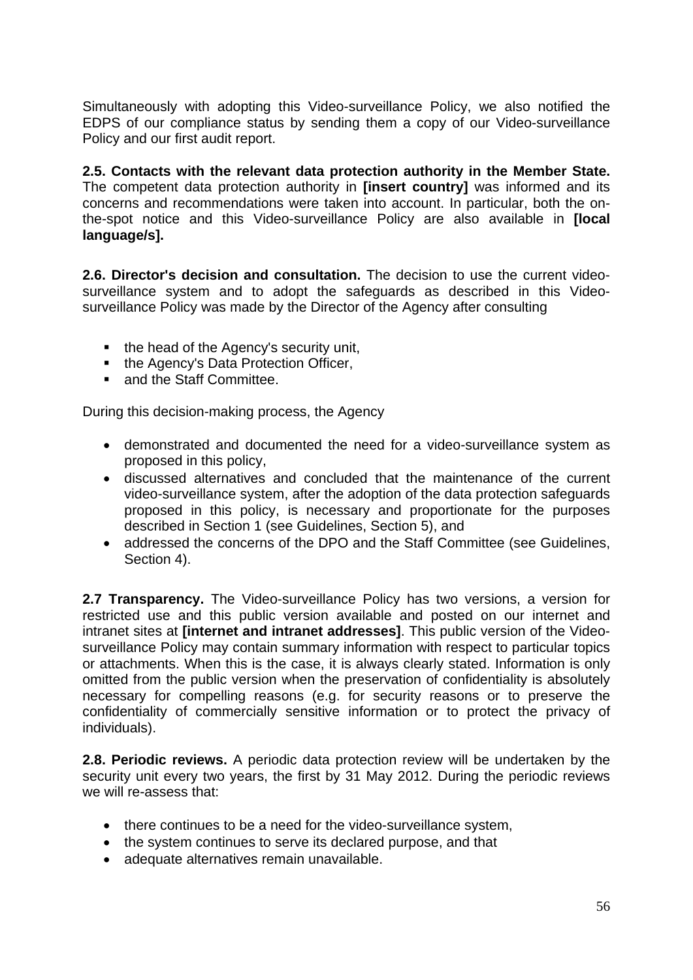Simultaneously with adopting this Video-surveillance Policy, we also notified the EDPS of our compliance status by sending them a copy of our Video-surveillance Policy and our first audit report.

**2.5. Contacts with the relevant data protection authority in the Member State.** The competent data protection authority in **[insert country]** was informed and its concerns and recommendations were taken into account. In particular, both the onthe-spot notice and this Video-surveillance Policy are also available in **[local language/s].**

**2.6. Director's decision and consultation.** The decision to use the current videosurveillance system and to adopt the safeguards as described in this Videosurveillance Policy was made by the Director of the Agency after consulting

- the head of the Agency's security unit,
- the Agency's Data Protection Officer,
- and the Staff Committee.

During this decision-making process, the Agency

- demonstrated and documented the need for a video-surveillance system as proposed in this policy,
- discussed alternatives and concluded that the maintenance of the current video-surveillance system, after the adoption of the data protection safeguards proposed in this policy, is necessary and proportionate for the purposes described in Section 1 (see Guidelines, Section 5), and
- addressed the concerns of the DPO and the Staff Committee (see Guidelines, Section 4).

**2.7 Transparency.** The Video-surveillance Policy has two versions, a version for restricted use and this public version available and posted on our internet and intranet sites at **[internet and intranet addresses]**. This public version of the Videosurveillance Policy may contain summary information with respect to particular topics or attachments. When this is the case, it is always clearly stated. Information is only omitted from the public version when the preservation of confidentiality is absolutely necessary for compelling reasons (e.g. for security reasons or to preserve the confidentiality of commercially sensitive information or to protect the privacy of individuals).

**2.8. Periodic reviews.** A periodic data protection review will be undertaken by the security unit every two years, the first by 31 May 2012. During the periodic reviews we will re-assess that:

- there continues to be a need for the video-surveillance system,
- the system continues to serve its declared purpose, and that
- adequate alternatives remain unavailable.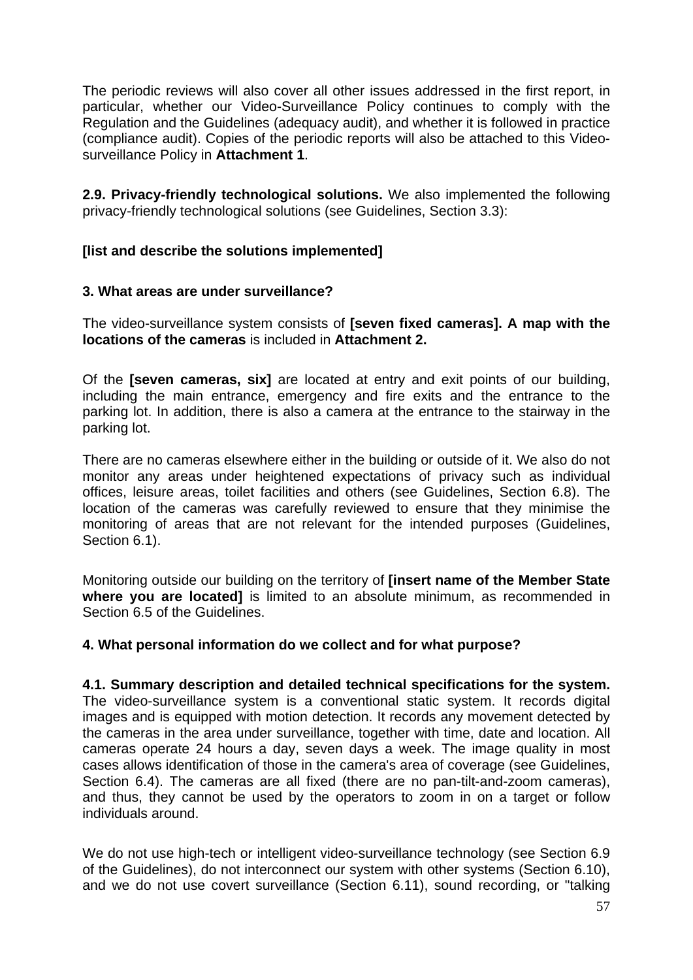The periodic reviews will also cover all other issues addressed in the first report, in particular, whether our Video-Surveillance Policy continues to comply with the Regulation and the Guidelines (adequacy audit), and whether it is followed in practice (compliance audit). Copies of the periodic reports will also be attached to this Videosurveillance Policy in **Attachment 1**.

**2.9. Privacy-friendly technological solutions.** We also implemented the following privacy-friendly technological solutions (see Guidelines, Section 3.3):

#### **[list and describe the solutions implemented]**

#### **3. What areas are under surveillance?**

The video-surveillance system consists of **[seven fixed cameras]. A map with the locations of the cameras** is included in **Attachment 2.** 

Of the **[seven cameras, six]** are located at entry and exit points of our building, including the main entrance, emergency and fire exits and the entrance to the parking lot. In addition, there is also a camera at the entrance to the stairway in the parking lot.

There are no cameras elsewhere either in the building or outside of it. We also do not monitor any areas under heightened expectations of privacy such as individual offices, leisure areas, toilet facilities and others (see Guidelines, Section 6.8). The location of the cameras was carefully reviewed to ensure that they minimise the monitoring of areas that are not relevant for the intended purposes (Guidelines, Section 6.1).

Monitoring outside our building on the territory of **[insert name of the Member State where you are located]** is limited to an absolute minimum, as recommended in Section 6.5 of the Guidelines.

#### **4. What personal information do we collect and for what purpose?**

## **4.1. Summary description and detailed technical specifications for the system.**

The video-surveillance system is a conventional static system. It records digital images and is equipped with motion detection. It records any movement detected by the cameras in the area under surveillance, together with time, date and location. All cameras operate 24 hours a day, seven days a week. The image quality in most cases allows identification of those in the camera's area of coverage (see Guidelines, Section 6.4). The cameras are all fixed (there are no pan-tilt-and-zoom cameras), and thus, they cannot be used by the operators to zoom in on a target or follow individuals around.

We do not use high-tech or intelligent video-surveillance technology (see Section 6.9 of the Guidelines), do not interconnect our system with other systems (Section 6.10), and we do not use covert surveillance (Section 6.11), sound recording, or "talking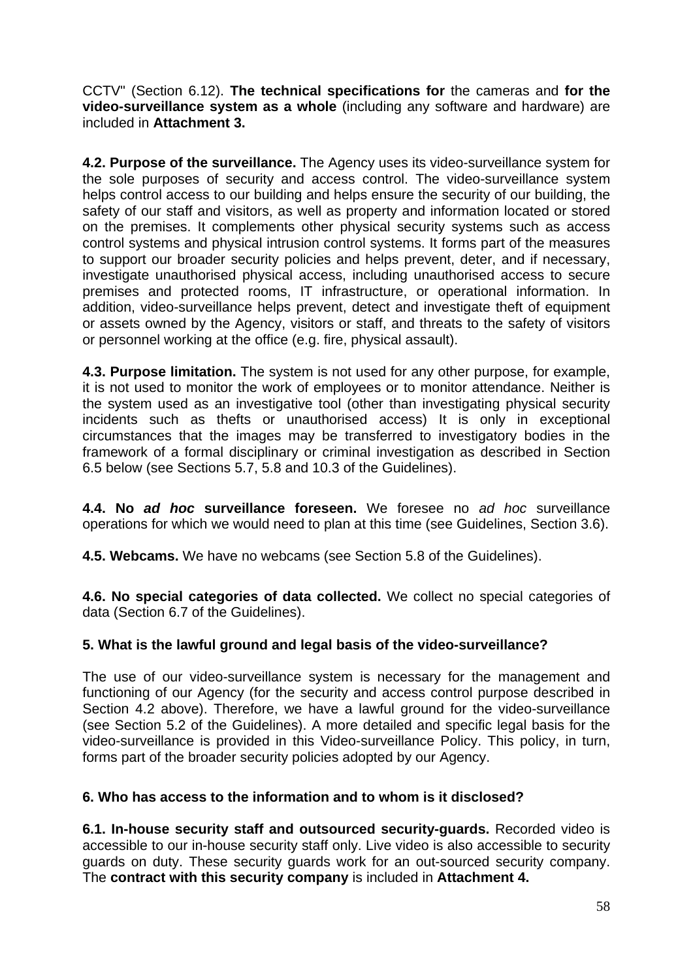CCTV" (Section 6.12). **The technical specifications for** the cameras and **for the video-surveillance system as a whole** (including any software and hardware) are included in **Attachment 3.**

**4.2. Purpose of the surveillance.** The Agency uses its video-surveillance system for the sole purposes of security and access control. The video-surveillance system helps control access to our building and helps ensure the security of our building, the safety of our staff and visitors, as well as property and information located or stored on the premises. It complements other physical security systems such as access control systems and physical intrusion control systems. It forms part of the measures to support our broader security policies and helps prevent, deter, and if necessary, investigate unauthorised physical access, including unauthorised access to secure premises and protected rooms, IT infrastructure, or operational information. In addition, video-surveillance helps prevent, detect and investigate theft of equipment or assets owned by the Agency, visitors or staff, and threats to the safety of visitors or personnel working at the office (e.g. fire, physical assault).

**4.3. Purpose limitation.** The system is not used for any other purpose, for example, it is not used to monitor the work of employees or to monitor attendance. Neither is the system used as an investigative tool (other than investigating physical security incidents such as thefts or unauthorised access) It is only in exceptional circumstances that the images may be transferred to investigatory bodies in the framework of a formal disciplinary or criminal investigation as described in Section 6.5 below (see Sections 5.7, 5.8 and 10.3 of the Guidelines).

**4.4. No** *ad hoc* **surveillance foreseen.** We foresee no *ad hoc* surveillance operations for which we would need to plan at this time (see Guidelines, Section 3.6).

**4.5. Webcams.** We have no webcams (see Section 5.8 of the Guidelines).

**4.6. No special categories of data collected.** We collect no special categories of data (Section 6.7 of the Guidelines).

### **5. What is the lawful ground and legal basis of the video-surveillance?**

The use of our video-surveillance system is necessary for the management and functioning of our Agency (for the security and access control purpose described in Section 4.2 above). Therefore, we have a lawful ground for the video-surveillance (see Section 5.2 of the Guidelines). A more detailed and specific legal basis for the video-surveillance is provided in this Video-surveillance Policy. This policy, in turn, forms part of the broader security policies adopted by our Agency.

#### **6. Who has access to the information and to whom is it disclosed?**

**6.1. In-house security staff and outsourced security-guards.** Recorded video is accessible to our in-house security staff only. Live video is also accessible to security guards on duty. These security guards work for an out-sourced security company. The **contract with this security company** is included in **Attachment 4.**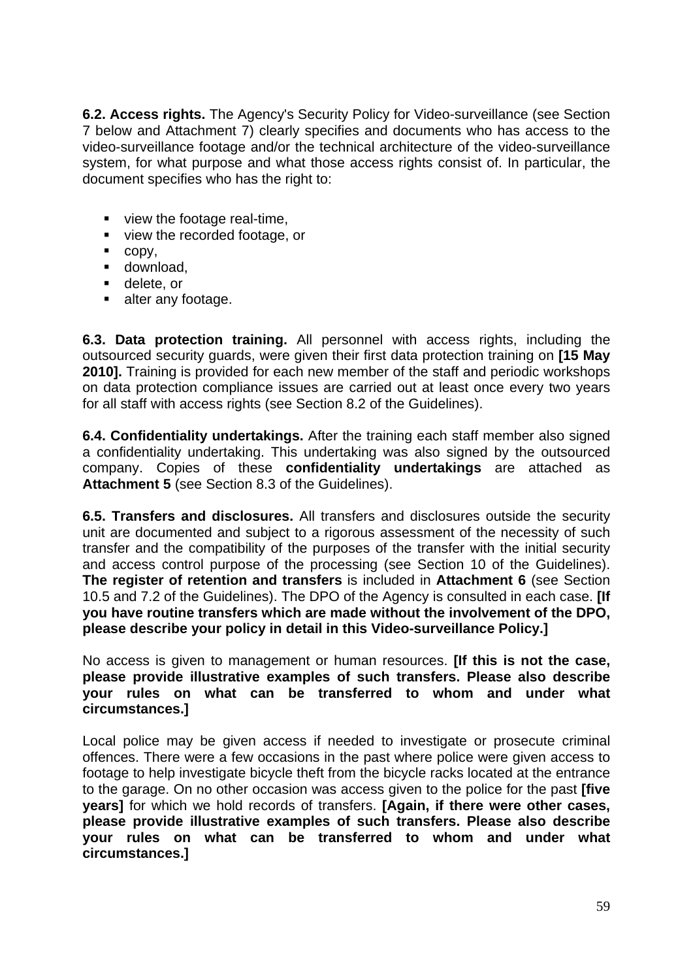**6.2. Access rights.** The Agency's Security Policy for Video-surveillance (see Section 7 below and Attachment 7) clearly specifies and documents who has access to the video-surveillance footage and/or the technical architecture of the video-surveillance system, for what purpose and what those access rights consist of. In particular, the document specifies who has the right to:

- view the footage real-time,
- view the recorded footage, or
- $\overline{\phantom{a}}$  copy,
- **download,**
- **delete**, or
- alter any footage.

**6.3. Data protection training.** All personnel with access rights, including the outsourced security guards, were given their first data protection training on **[15 May 2010].** Training is provided for each new member of the staff and periodic workshops on data protection compliance issues are carried out at least once every two years for all staff with access rights (see Section 8.2 of the Guidelines).

**6.4. Confidentiality undertakings.** After the training each staff member also signed a confidentiality undertaking. This undertaking was also signed by the outsourced company. Copies of these **confidentiality undertakings** are attached as **Attachment 5** (see Section 8.3 of the Guidelines).

**6.5. Transfers and disclosures.** All transfers and disclosures outside the security unit are documented and subject to a rigorous assessment of the necessity of such transfer and the compatibility of the purposes of the transfer with the initial security and access control purpose of the processing (see Section 10 of the Guidelines). **The register of retention and transfers** is included in **Attachment 6** (see Section 10.5 and 7.2 of the Guidelines). The DPO of the Agency is consulted in each case. **[If you have routine transfers which are made without the involvement of the DPO, please describe your policy in detail in this Video-surveillance Policy.]**

No access is given to management or human resources. **[If this is not the case, please provide illustrative examples of such transfers. Please also describe your rules on what can be transferred to whom and under what circumstances.]**

Local police may be given access if needed to investigate or prosecute criminal offences. There were a few occasions in the past where police were given access to footage to help investigate bicycle theft from the bicycle racks located at the entrance to the garage. On no other occasion was access given to the police for the past **[five years]** for which we hold records of transfers. **[Again, if there were other cases, please provide illustrative examples of such transfers. Please also describe your rules on what can be transferred to whom and under what circumstances.]**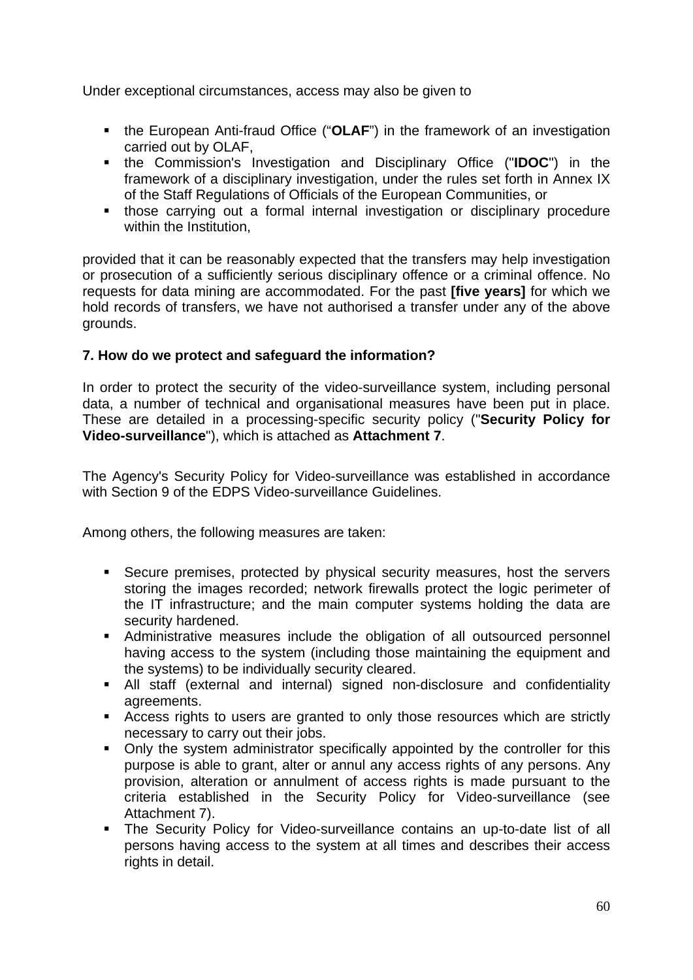Under exceptional circumstances, access may also be given to

- **the European Anti-fraud Office ("OLAF") in the framework of an investigation** carried out by OLAF,
- the Commission's Investigation and Disciplinary Office ("**IDOC**") in the framework of a disciplinary investigation, under the rules set forth in Annex IX of the Staff Regulations of Officials of the European Communities, or
- those carrying out a formal internal investigation or disciplinary procedure within the Institution,

provided that it can be reasonably expected that the transfers may help investigation or prosecution of a sufficiently serious disciplinary offence or a criminal offence. No requests for data mining are accommodated. For the past **[five years]** for which we hold records of transfers, we have not authorised a transfer under any of the above grounds.

#### **7. How do we protect and safeguard the information?**

In order to protect the security of the video-surveillance system, including personal data, a number of technical and organisational measures have been put in place. These are detailed in a processing-specific security policy ("**Security Policy for Video-surveillance**"), which is attached as **Attachment 7**.

The Agency's Security Policy for Video-surveillance was established in accordance with Section 9 of the EDPS Video-surveillance Guidelines.

Among others, the following measures are taken:

- Secure premises, protected by physical security measures, host the servers storing the images recorded; network firewalls protect the logic perimeter of the IT infrastructure; and the main computer systems holding the data are security hardened.
- Administrative measures include the obligation of all outsourced personnel having access to the system (including those maintaining the equipment and the systems) to be individually security cleared.
- All staff (external and internal) signed non-disclosure and confidentiality agreements.
- Access rights to users are granted to only those resources which are strictly necessary to carry out their jobs.
- Only the system administrator specifically appointed by the controller for this purpose is able to grant, alter or annul any access rights of any persons. Any provision, alteration or annulment of access rights is made pursuant to the criteria established in the Security Policy for Video-surveillance (see Attachment 7).
- The Security Policy for Video-surveillance contains an up-to-date list of all persons having access to the system at all times and describes their access rights in detail.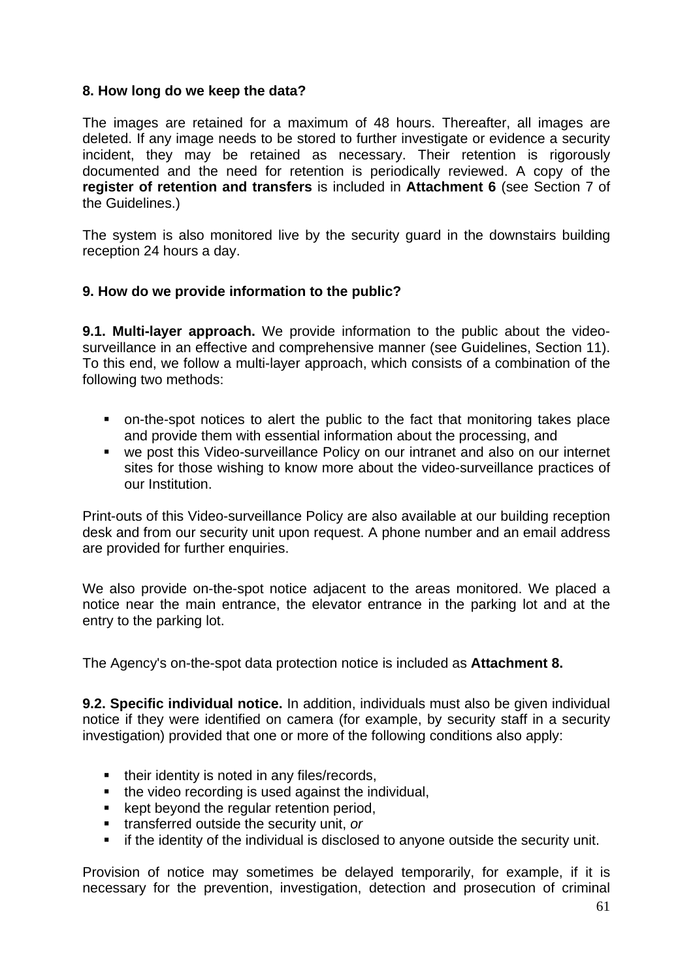#### **8. How long do we keep the data?**

The images are retained for a maximum of 48 hours. Thereafter, all images are deleted. If any image needs to be stored to further investigate or evidence a security incident, they may be retained as necessary. Their retention is rigorously documented and the need for retention is periodically reviewed. A copy of the **register of retention and transfers** is included in **Attachment 6** (see Section 7 of the Guidelines.)

The system is also monitored live by the security guard in the downstairs building reception 24 hours a day.

#### **9. How do we provide information to the public?**

**9.1. Multi-layer approach.** We provide information to the public about the videosurveillance in an effective and comprehensive manner (see Guidelines, Section 11). To this end, we follow a multi-layer approach, which consists of a combination of the following two methods:

- on-the-spot notices to alert the public to the fact that monitoring takes place and provide them with essential information about the processing, and
- we post this Video-surveillance Policy on our intranet and also on our internet sites for those wishing to know more about the video-surveillance practices of our Institution.

Print-outs of this Video-surveillance Policy are also available at our building reception desk and from our security unit upon request. A phone number and an email address are provided for further enquiries.

We also provide on-the-spot notice adjacent to the areas monitored. We placed a notice near the main entrance, the elevator entrance in the parking lot and at the entry to the parking lot.

The Agency's on-the-spot data protection notice is included as **Attachment 8.**

**9.2. Specific individual notice.** In addition, individuals must also be given individual notice if they were identified on camera (for example, by security staff in a security investigation) provided that one or more of the following conditions also apply:

- their identity is noted in any files/records,
- the video recording is used against the individual,
- **EXECT:** kept beyond the regular retention period,
- transferred outside the security unit, *or*
- **F** if the identity of the individual is disclosed to anyone outside the security unit.

Provision of notice may sometimes be delayed temporarily, for example, if it is necessary for the prevention, investigation, detection and prosecution of criminal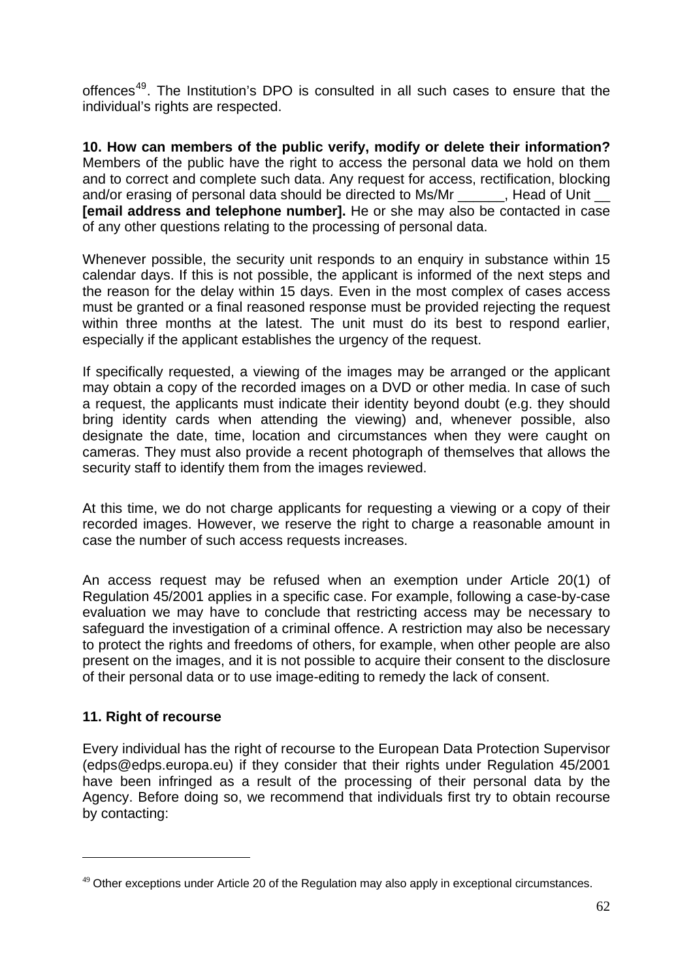offences<sup>[49](#page-61-0)</sup>. The Institution's DPO is consulted in all such cases to ensure that the individual's rights are respected.

**10. How can members of the public verify, modify or delete their information?**  Members of the public have the right to access the personal data we hold on them and to correct and complete such data. Any request for access, rectification, blocking and/or erasing of personal data should be directed to Ms/Mr Thead of Unit **[email address and telephone number].** He or she may also be contacted in case of any other questions relating to the processing of personal data.

Whenever possible, the security unit responds to an enquiry in substance within 15 calendar days. If this is not possible, the applicant is informed of the next steps and the reason for the delay within 15 days. Even in the most complex of cases access must be granted or a final reasoned response must be provided rejecting the request within three months at the latest. The unit must do its best to respond earlier, especially if the applicant establishes the urgency of the request.

If specifically requested, a viewing of the images may be arranged or the applicant may obtain a copy of the recorded images on a DVD or other media. In case of such a request, the applicants must indicate their identity beyond doubt (e.g. they should bring identity cards when attending the viewing) and, whenever possible, also designate the date, time, location and circumstances when they were caught on cameras. They must also provide a recent photograph of themselves that allows the security staff to identify them from the images reviewed.

At this time, we do not charge applicants for requesting a viewing or a copy of their recorded images. However, we reserve the right to charge a reasonable amount in case the number of such access requests increases.

An access request may be refused when an exemption under Article 20(1) of Regulation 45/2001 applies in a specific case. For example, following a case-by-case evaluation we may have to conclude that restricting access may be necessary to safeguard the investigation of a criminal offence. A restriction may also be necessary to protect the rights and freedoms of others, for example, when other people are also present on the images, and it is not possible to acquire their consent to the disclosure of their personal data or to use image-editing to remedy the lack of consent.

### **11. Right of recourse**

-

Every individual has the right of recourse to the European Data Protection Supervisor (edps@edps.europa.eu) if they consider that their rights under Regulation 45/2001 have been infringed as a result of the processing of their personal data by the Agency. Before doing so, we recommend that individuals first try to obtain recourse by contacting:

<span id="page-61-0"></span> $49$  Other exceptions under Article 20 of the Regulation may also apply in exceptional circumstances.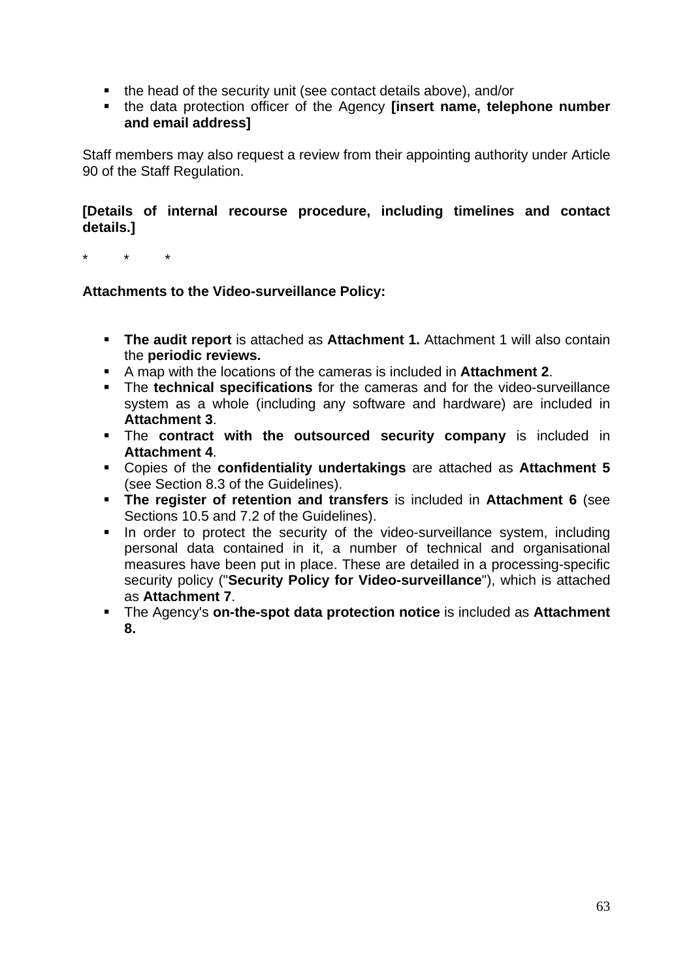- the head of the security unit (see contact details above), and/or
- the data protection officer of the Agency **[insert name, telephone number and email address]**

Staff members may also request a review from their appointing authority under Article 90 of the Staff Regulation.

#### **[Details of internal recourse procedure, including timelines and contact details.]**

\* \* \*

#### **Attachments to the Video-surveillance Policy:**

- **The audit report** is attached as **Attachment 1.** Attachment 1 will also contain the **periodic reviews.**
- A map with the locations of the cameras is included in **Attachment 2**.
- The **technical specifications** for the cameras and for the video-surveillance system as a whole (including any software and hardware) are included in **Attachment 3**.
- The **contract with the outsourced security company** is included in **Attachment 4**.
- Copies of the **confidentiality undertakings** are attached as **Attachment 5**  (see Section 8.3 of the Guidelines).
- **The register of retention and transfers** is included in **Attachment 6** (see Sections 10.5 and 7.2 of the Guidelines).
- In order to protect the security of the video-surveillance system, including personal data contained in it, a number of technical and organisational measures have been put in place. These are detailed in a processing-specific security policy ("**Security Policy for Video-surveillance**"), which is attached as **Attachment 7**.
- The Agency's **on-the-spot data protection notice** is included as **Attachment 8.**